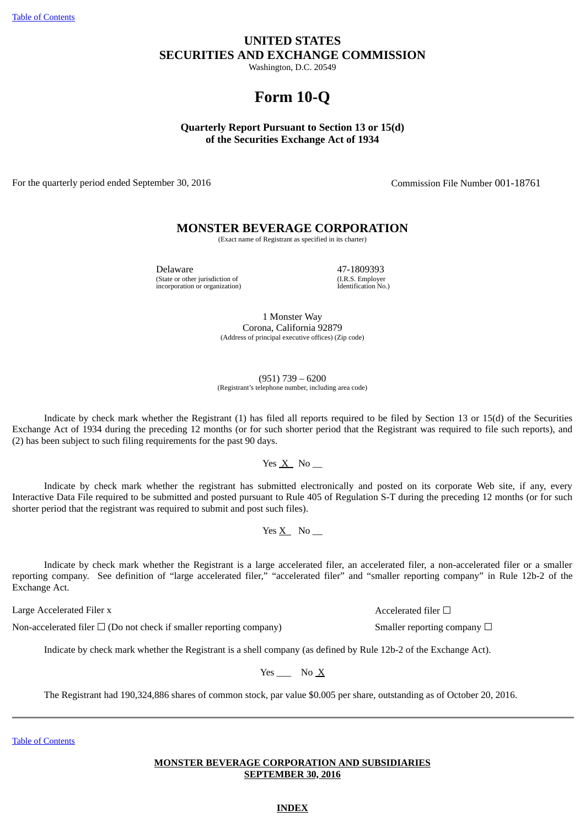Table of [Contents](#page-0-0)

# **UNITED STATES SECURITIES AND EXCHANGE COMMISSION**

Washington, D.C. 20549

# **Form 10-Q**

**Quarterly Report Pursuant to Section 13 or 15(d) of the Securities Exchange Act of 1934**

For the quarterly period ended September 30, 2016 Commission File Number 001-18761

# **MONSTER BEVERAGE CORPORATION**

(Exact name of Registrant as specified in its charter)

Delaware 47-1809393<br>
(State or other jurisdiction of the control of the control of the control of the control of the control of the control of the control of the control of the control of the control of the control of the (State or other jurisdiction of  $(IR.S.$  Employer incorporation or organization)  $Idenitification No.$ incorporation or organization)

1 Monster Way

Corona, California 92879 (Address of principal executive offices) (Zip code)

(951) 739 – 6200 (Registrant's telephone number, including area code)

Indicate by check mark whether the Registrant (1) has filed all reports required to be filed by Section 13 or 15(d) of the Securities Exchange Act of 1934 during the preceding 12 months (or for such shorter period that the Registrant was required to file such reports), and (2) has been subject to such filing requirements for the past 90 days.

Yes  $X$  No  $\_$ 

Indicate by check mark whether the registrant has submitted electronically and posted on its corporate Web site, if any, every Interactive Data File required to be submitted and posted pursuant to Rule 405 of Regulation S-T during the preceding 12 months (or for such shorter period that the registrant was required to submit and post such files).

Yes  $X$  No

Indicate by check mark whether the Registrant is a large accelerated filer, an accelerated filer, a non-accelerated filer or a smaller reporting company. See definition of "large accelerated filer," "accelerated filer" and "smaller reporting company" in Rule 12b-2 of the Exchange Act.

Large Accelerated Filer x <br>
Accelerated filer □

Non-accelerated filer □ (Do not check if smaller reporting company) Smaller reporting company □

Indicate by check mark whether the Registrant is a shell company (as defined by Rule 12b-2 of the Exchange Act).

Yes  $\_\_$  No  $\overline{X}$ 

The Registrant had 190,324,886 shares of common stock, par value \$0.005 per share, outstanding as of October 20, 2016.

Table of [Contents](#page-0-0)

### **MONSTER BEVERAGE CORPORATION AND SUBSIDIARIES SEPTEMBER 30, 2016**

# <span id="page-0-0"></span>**INDEX**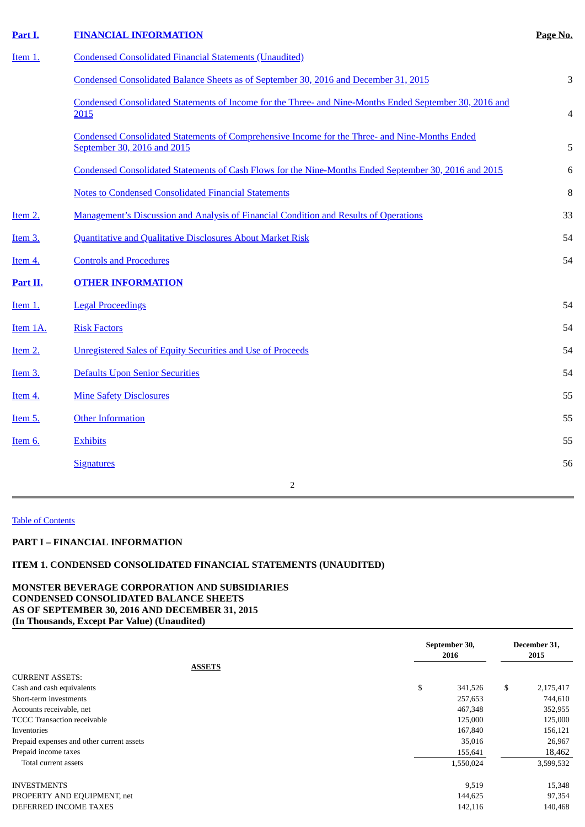| Part I.  | <b>FINANCIAL INFORMATION</b>                                                                                                  | Page No. |
|----------|-------------------------------------------------------------------------------------------------------------------------------|----------|
| Item 1.  | <b>Condensed Consolidated Financial Statements (Unaudited)</b>                                                                |          |
|          | Condensed Consolidated Balance Sheets as of September 30, 2016 and December 31, 2015                                          | 3        |
|          | Condensed Consolidated Statements of Income for the Three- and Nine-Months Ended September 30, 2016 and<br>2015               | 4        |
|          | Condensed Consolidated Statements of Comprehensive Income for the Three- and Nine-Months Ended<br>September 30, 2016 and 2015 | 5        |
|          | Condensed Consolidated Statements of Cash Flows for the Nine-Months Ended September 30, 2016 and 2015                         | 6        |
|          | <b>Notes to Condensed Consolidated Financial Statements</b>                                                                   | 8        |
| Item 2.  | <b>Management's Discussion and Analysis of Financial Condition and Results of Operations</b>                                  | 33       |
| Item 3.  | Quantitative and Qualitative Disclosures About Market Risk                                                                    | 54       |
| Item 4.  | <b>Controls and Procedures</b>                                                                                                | 54       |
| Part II. | <b>OTHER INFORMATION</b>                                                                                                      |          |
| Item 1.  | <b>Legal Proceedings</b>                                                                                                      | 54       |
| Item 1A. | <b>Risk Factors</b>                                                                                                           | 54       |
| Item 2.  | <b>Unregistered Sales of Equity Securities and Use of Proceeds</b>                                                            | 54       |
| Item 3.  | <b>Defaults Upon Senior Securities</b>                                                                                        | 54       |
| Item 4.  | <b>Mine Safety Disclosures</b>                                                                                                | 55       |
| Item 5.  | <b>Other Information</b>                                                                                                      | 55       |
| Item 6.  | <b>Exhibits</b>                                                                                                               | 55       |
|          | <b>Signatures</b>                                                                                                             | 56       |
|          | $\mathcal{P}$                                                                                                                 |          |

Table of [Contents](#page-0-0)

# <span id="page-1-0"></span>**PART I – FINANCIAL INFORMATION**

# <span id="page-1-1"></span>**ITEM 1. CONDENSED CONSOLIDATED FINANCIAL STATEMENTS (UNAUDITED)**

# <span id="page-1-2"></span>**MONSTER BEVERAGE CORPORATION AND SUBSIDIARIES CONDENSED CONSOLIDATED BALANCE SHEETS AS OF SEPTEMBER 30, 2016 AND DECEMBER 31, 2015 (In Thousands, Except Par Value) (Unaudited)**

|                                           | September 30,<br>2016 |           | December 31,<br>2015 |
|-------------------------------------------|-----------------------|-----------|----------------------|
| <b>ASSETS</b><br><b>CURRENT ASSETS:</b>   |                       |           |                      |
| Cash and cash equivalents                 | \$                    | 341,526   | \$<br>2,175,417      |
| Short-term investments                    |                       | 257,653   | 744,610              |
| Accounts receivable, net                  |                       | 467,348   | 352,955              |
| <b>TCCC</b> Transaction receivable        |                       | 125,000   | 125,000              |
| Inventories                               |                       | 167,840   | 156,121              |
| Prepaid expenses and other current assets |                       | 35,016    | 26,967               |
| Prepaid income taxes                      |                       | 155,641   | 18,462               |
| Total current assets                      |                       | 1,550,024 | 3,599,532            |
| <b>INVESTMENTS</b>                        |                       | 9,519     | 15,348               |
| PROPERTY AND EQUIPMENT, net               |                       | 144,625   | 97,354               |
| DEFERRED INCOME TAXES                     |                       | 142,116   | 140,468              |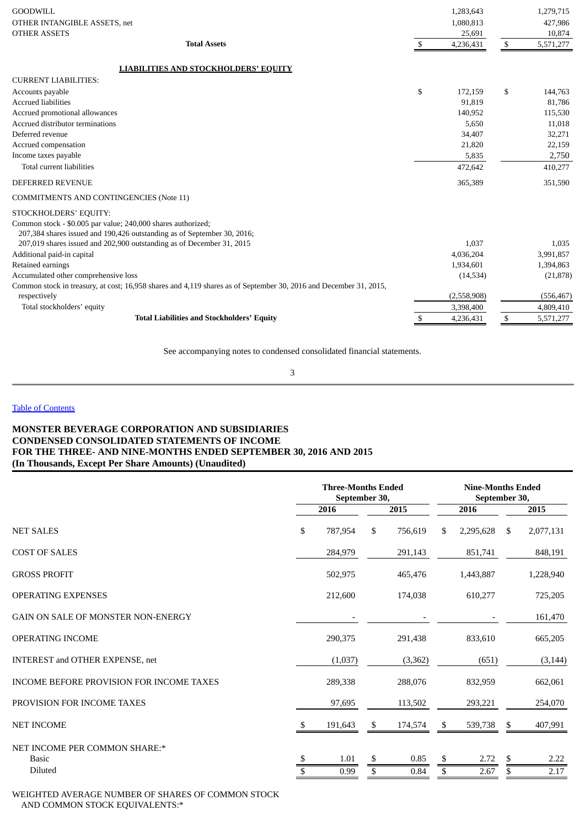| <b>GOODWILL</b>                                                                                                   | 1,283,643       | 1,279,715       |
|-------------------------------------------------------------------------------------------------------------------|-----------------|-----------------|
| OTHER INTANGIBLE ASSETS, net                                                                                      | 1,080,813       | 427,986         |
| <b>OTHER ASSETS</b>                                                                                               | 25,691          | 10,874          |
| <b>Total Assets</b>                                                                                               | \$<br>4,236,431 | \$<br>5,571,277 |
| <b>LIABILITIES AND STOCKHOLDERS' EQUITY</b>                                                                       |                 |                 |
| <b>CURRENT LIABILITIES:</b>                                                                                       |                 |                 |
| Accounts payable                                                                                                  | \$<br>172,159   | \$<br>144,763   |
| <b>Accrued liabilities</b>                                                                                        | 91,819          | 81,786          |
| Accrued promotional allowances                                                                                    | 140,952         | 115,530         |
| Accrued distributor terminations                                                                                  | 5,650           | 11,018          |
| Deferred revenue                                                                                                  | 34,407          | 32,271          |
| Accrued compensation                                                                                              | 21,820          | 22,159          |
| Income taxes payable                                                                                              | 5,835           | 2,750           |
| Total current liabilities                                                                                         | 472,642         | 410,277         |
| DEFERRED REVENUE                                                                                                  | 365,389         | 351,590         |
| <b>COMMITMENTS AND CONTINGENCIES (Note 11)</b>                                                                    |                 |                 |
| STOCKHOLDERS' EQUITY:                                                                                             |                 |                 |
| Common stock - \$0.005 par value; 240,000 shares authorized;                                                      |                 |                 |
| 207,384 shares issued and 190,426 outstanding as of September 30, 2016;                                           |                 |                 |
| 207,019 shares issued and 202,900 outstanding as of December 31, 2015                                             | 1,037           | 1,035           |
| Additional paid-in capital                                                                                        | 4,036,204       | 3,991,857       |
| Retained earnings                                                                                                 | 1,934,601       | 1,394,863       |
| Accumulated other comprehensive loss                                                                              | (14, 534)       | (21, 878)       |
| Common stock in treasury, at cost; 16,958 shares and 4,119 shares as of September 30, 2016 and December 31, 2015, |                 |                 |
| respectively                                                                                                      | (2,558,908)     | (556, 467)      |
| Total stockholders' equity                                                                                        | 3,398,400       | 4,809,410       |
| <b>Total Liabilities and Stockholders' Equity</b>                                                                 | \$<br>4,236,431 | \$<br>5,571,277 |

See accompanying notes to condensed consolidated financial statements.

<span id="page-2-0"></span>3

### Table of [Contents](#page-0-0)

# **MONSTER BEVERAGE CORPORATION AND SUBSIDIARIES CONDENSED CONSOLIDATED STATEMENTS OF INCOME FOR THE THREE- AND NINE-MONTHS ENDED SEPTEMBER 30, 2016 AND 2015 (In Thousands, Except Per Share Amounts) (Unaudited)**

|                                           | <b>Three-Months Ended</b><br>September 30, |         |    | <b>Nine-Months Ended</b><br>September 30, |    |           |     |           |  |
|-------------------------------------------|--------------------------------------------|---------|----|-------------------------------------------|----|-----------|-----|-----------|--|
|                                           |                                            | 2016    |    | 2015                                      |    | 2016      |     | 2015      |  |
| <b>NET SALES</b>                          | \$                                         | 787,954 | \$ | 756,619                                   | \$ | 2,295,628 | \$  | 2,077,131 |  |
| <b>COST OF SALES</b>                      |                                            | 284,979 |    | 291,143                                   |    | 851,741   |     | 848,191   |  |
| <b>GROSS PROFIT</b>                       |                                            | 502,975 |    | 465,476                                   |    | 1,443,887 |     | 1,228,940 |  |
| <b>OPERATING EXPENSES</b>                 |                                            | 212,600 |    | 174,038                                   |    | 610,277   |     | 725,205   |  |
| <b>GAIN ON SALE OF MONSTER NON-ENERGY</b> |                                            |         |    |                                           |    |           |     | 161,470   |  |
| OPERATING INCOME                          |                                            | 290,375 |    | 291,438                                   |    | 833,610   |     | 665,205   |  |
| <b>INTEREST and OTHER EXPENSE, net</b>    |                                            | (1,037) |    | (3, 362)                                  |    | (651)     |     | (3, 144)  |  |
| INCOME BEFORE PROVISION FOR INCOME TAXES  |                                            | 289,338 |    | 288,076                                   |    | 832,959   |     | 662,061   |  |
| PROVISION FOR INCOME TAXES                |                                            | 97,695  |    | 113,502                                   |    | 293,221   |     | 254,070   |  |
| <b>NET INCOME</b>                         | -8                                         | 191,643 | S  | 174,574                                   | S  | 539,738   | -S  | 407,991   |  |
| NET INCOME PER COMMON SHARE:*             |                                            |         |    |                                           |    |           |     |           |  |
| <b>Basic</b>                              | \$                                         | 1.01    | \$ | 0.85                                      | \$ | 2.72      | \$  | 2.22      |  |
| Diluted                                   | \$                                         | 0.99    | \$ | 0.84                                      | \$ | 2.67      | \$. | 2.17      |  |

WEIGHTED AVERAGE NUMBER OF SHARES OF COMMON STOCK AND COMMON STOCK EQUIVALENTS:\*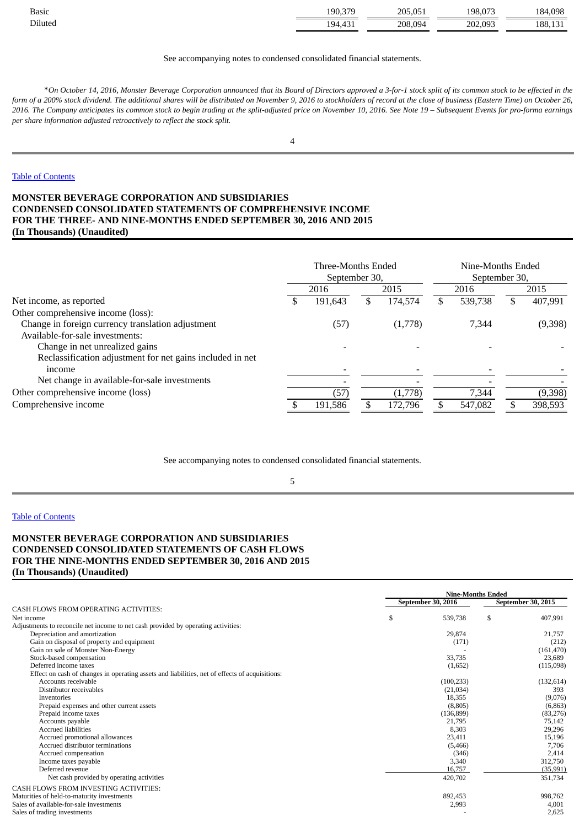| Basic               | 190.3<br>חדר          | DOE OF: | 198.073 | 184.098 |
|---------------------|-----------------------|---------|---------|---------|
| <b>Diluted</b><br>. | 194<br>$\overline{1}$ | 208.094 | 202.093 | 188.131 |

### See accompanying notes to condensed consolidated financial statements.

\**On October 14, 2016, Monster Beverage Corporation announced that its Board of Directors approved a 3-for-1 stock split of its common stock to be effected in the form of a 200% stock dividend. The additional shares will be distributed on November 9, 2016 to stockholders of record at the close of business (Eastern Time) on October 26, 2016. The Company anticipates its common stock to begin trading at the split-adjusted price on November 10, 2016. See Note 19 – Subsequent Events for pro-forma earnings per share information adjusted retroactively to reflect the stock split.*

<span id="page-3-0"></span>4

### Table of [Contents](#page-0-0)

### **MONSTER BEVERAGE CORPORATION AND SUBSIDIARIES CONDENSED CONSOLIDATED STATEMENTS OF COMPREHENSIVE INCOME FOR THE THREE- AND NINE-MONTHS ENDED SEPTEMBER 30, 2016 AND 2015 (In Thousands) (Unaudited)**

|                                                           | Three-Months Ended<br>September 30, |   |         |    | Nine-Months Ended<br>September 30, |  |         |  |
|-----------------------------------------------------------|-------------------------------------|---|---------|----|------------------------------------|--|---------|--|
|                                                           | 2016                                |   | 2015    |    | 2016                               |  | 2015    |  |
| Net income, as reported                                   | 191,643                             | S | 174,574 | S. | 539,738                            |  | 407,991 |  |
| Other comprehensive income (loss):                        |                                     |   |         |    |                                    |  |         |  |
| Change in foreign currency translation adjustment         | (57)                                |   | (1,778) |    | 7,344                              |  | (9,398) |  |
| Available-for-sale investments:                           |                                     |   |         |    |                                    |  |         |  |
| Change in net unrealized gains                            |                                     |   |         |    |                                    |  |         |  |
| Reclassification adjustment for net gains included in net |                                     |   |         |    |                                    |  |         |  |
| income                                                    |                                     |   |         |    |                                    |  |         |  |
| Net change in available-for-sale investments              |                                     |   |         |    |                                    |  |         |  |
| Other comprehensive income (loss)                         | (57)                                |   | (1,778) |    | 7,344                              |  | (9,398) |  |
| Comprehensive income                                      | 191,586                             |   | 172,796 |    | 547,082                            |  | 398,593 |  |

See accompanying notes to condensed consolidated financial statements.

<span id="page-3-1"></span>5

### Table of [Contents](#page-0-0)

# **MONSTER BEVERAGE CORPORATION AND SUBSIDIARIES CONDENSED CONSOLIDATED STATEMENTS OF CASH FLOWS FOR THE NINE-MONTHS ENDED SEPTEMBER 30, 2016 AND 2015 (In Thousands) (Unaudited)**

|                                                                                                | <b>Nine-Months Ended</b> |                           |    |                    |
|------------------------------------------------------------------------------------------------|--------------------------|---------------------------|----|--------------------|
|                                                                                                |                          | <b>September 30, 2016</b> |    | September 30, 2015 |
| <b>CASH FLOWS FROM OPERATING ACTIVITIES:</b>                                                   |                          |                           |    |                    |
| Net income                                                                                     | \$                       | 539,738                   | \$ | 407,991            |
| Adjustments to reconcile net income to net cash provided by operating activities:              |                          |                           |    |                    |
| Depreciation and amortization                                                                  |                          | 29,874                    |    | 21,757             |
| Gain on disposal of property and equipment                                                     |                          | (171)                     |    | (212)              |
| Gain on sale of Monster Non-Energy                                                             |                          |                           |    | (161, 470)         |
| Stock-based compensation                                                                       |                          | 33,735                    |    | 23,689             |
| Deferred income taxes                                                                          |                          | (1,652)                   |    | (115,098)          |
| Effect on cash of changes in operating assets and liabilities, net of effects of acquisitions: |                          |                           |    |                    |
| Accounts receivable                                                                            |                          | (100, 233)                |    | (132, 614)         |
| Distributor receivables                                                                        |                          | (21,034)                  |    | 393                |
| <b>Inventories</b>                                                                             |                          | 18.355                    |    | (9,076)            |
| Prepaid expenses and other current assets                                                      |                          | (8,805)                   |    | (6, 863)           |
| Prepaid income taxes                                                                           |                          | (136, 899)                |    | (83, 276)          |
| Accounts payable                                                                               |                          | 21,795                    |    | 75,142             |
| <b>Accrued liabilities</b>                                                                     |                          | 8.303                     |    | 29,296             |
| Accrued promotional allowances                                                                 |                          | 23,411                    |    | 15,196             |
| Accrued distributor terminations                                                               |                          | (5,466)                   |    | 7,706              |
| Accrued compensation                                                                           |                          | (346)                     |    | 2,414              |
| Income taxes payable                                                                           |                          | 3,340                     |    | 312,750            |
| Deferred revenue                                                                               |                          | 16,757                    |    | (35,991)           |
| Net cash provided by operating activities                                                      |                          | 420,702                   |    | 351,734            |
| CASH FLOWS FROM INVESTING ACTIVITIES:                                                          |                          |                           |    |                    |
| Maturities of held-to-maturity investments                                                     |                          | 892,453                   |    | 998.762            |
| Sales of available-for-sale investments                                                        |                          | 2,993                     |    | 4,001              |
| Sales of trading investments                                                                   |                          |                           |    | 2,625              |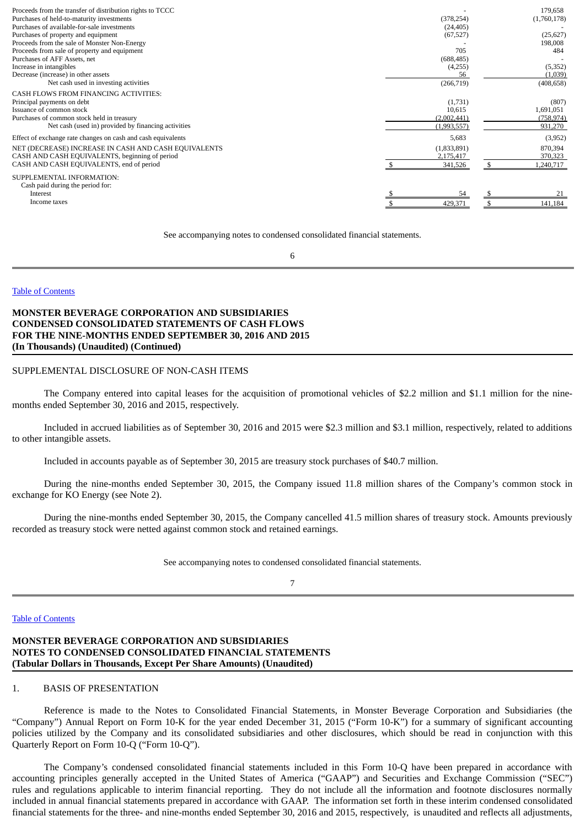| Proceeds from the transfer of distribution rights to TCCC    |             | 179,658     |
|--------------------------------------------------------------|-------------|-------------|
| Purchases of held-to-maturity investments                    | (378, 254)  | (1,760,178) |
| Purchases of available-for-sale investments                  | (24, 405)   |             |
| Purchases of property and equipment                          | (67, 527)   | (25, 627)   |
| Proceeds from the sale of Monster Non-Energy                 |             | 198,008     |
| Proceeds from sale of property and equipment                 | 705         | 484         |
| Purchases of AFF Assets, net                                 | (688, 485)  |             |
| Increase in intangibles                                      | (4,255)     | (5,352)     |
| Decrease (increase) in other assets                          | 56          | (1,039)     |
| Net cash used in investing activities                        | (266, 719)  | (408, 658)  |
| CASH FLOWS FROM FINANCING ACTIVITIES:                        |             |             |
| Principal payments on debt                                   | (1,731)     | (807)       |
| Issuance of common stock                                     | 10,615      | 1,691,051   |
| Purchases of common stock held in treasury                   | (2,002,441) | (758, 974)  |
| Net cash (used in) provided by financing activities          | (1,993,557) | 931,270     |
| Effect of exchange rate changes on cash and cash equivalents | 5.683       | (3,952)     |
| NET (DECREASE) INCREASE IN CASH AND CASH EQUIVALENTS         | (1,833,891) | 870,394     |
| CASH AND CASH EQUIVALENTS, beginning of period               | 2,175,417   | 370,323     |
| CASH AND CASH EQUIVALENTS, end of period                     | 341,526     | ,240,717    |
| SUPPLEMENTAL INFORMATION:                                    |             |             |
| Cash paid during the period for:                             |             |             |
| Interest                                                     | 54          | 21          |
| Income taxes                                                 | 429,371     | 141,184     |
|                                                              |             |             |

See accompanying notes to condensed consolidated financial statements.

6

### Table of [Contents](#page-0-0)

**MONSTER BEVERAGE CORPORATION AND SUBSIDIARIES CONDENSED CONSOLIDATED STATEMENTS OF CASH FLOWS FOR THE NINE-MONTHS ENDED SEPTEMBER 30, 2016 AND 2015 (In Thousands) (Unaudited) (Continued)**

# SUPPLEMENTAL DISCLOSURE OF NON-CASH ITEMS

The Company entered into capital leases for the acquisition of promotional vehicles of \$2.2 million and \$1.1 million for the ninemonths ended September 30, 2016 and 2015, respectively.

Included in accrued liabilities as of September 30, 2016 and 2015 were \$2.3 million and \$3.1 million, respectively, related to additions to other intangible assets.

Included in accounts payable as of September 30, 2015 are treasury stock purchases of \$40.7 million.

During the nine-months ended September 30, 2015, the Company issued 11.8 million shares of the Company's common stock in exchange for KO Energy (see Note 2).

During the nine-months ended September 30, 2015, the Company cancelled 41.5 million shares of treasury stock. Amounts previously recorded as treasury stock were netted against common stock and retained earnings.

See accompanying notes to condensed consolidated financial statements.

<span id="page-4-0"></span>7

### Table of [Contents](#page-0-0)

# **MONSTER BEVERAGE CORPORATION AND SUBSIDIARIES NOTES TO CONDENSED CONSOLIDATED FINANCIAL STATEMENTS (Tabular Dollars in Thousands, Except Per Share Amounts) (Unaudited)**

#### 1. BASIS OF PRESENTATION

Reference is made to the Notes to Consolidated Financial Statements, in Monster Beverage Corporation and Subsidiaries (the "Company") Annual Report on Form 10-K for the year ended December 31, 2015 ("Form 10-K") for a summary of significant accounting policies utilized by the Company and its consolidated subsidiaries and other disclosures, which should be read in conjunction with this Quarterly Report on Form 10-Q ("Form 10-Q").

The Company's condensed consolidated financial statements included in this Form 10-Q have been prepared in accordance with accounting principles generally accepted in the United States of America ("GAAP") and Securities and Exchange Commission ("SEC") rules and regulations applicable to interim financial reporting. They do not include all the information and footnote disclosures normally included in annual financial statements prepared in accordance with GAAP. The information set forth in these interim condensed consolidated financial statements for the three- and nine-months ended September 30, 2016 and 2015, respectively, is unaudited and reflects all adjustments,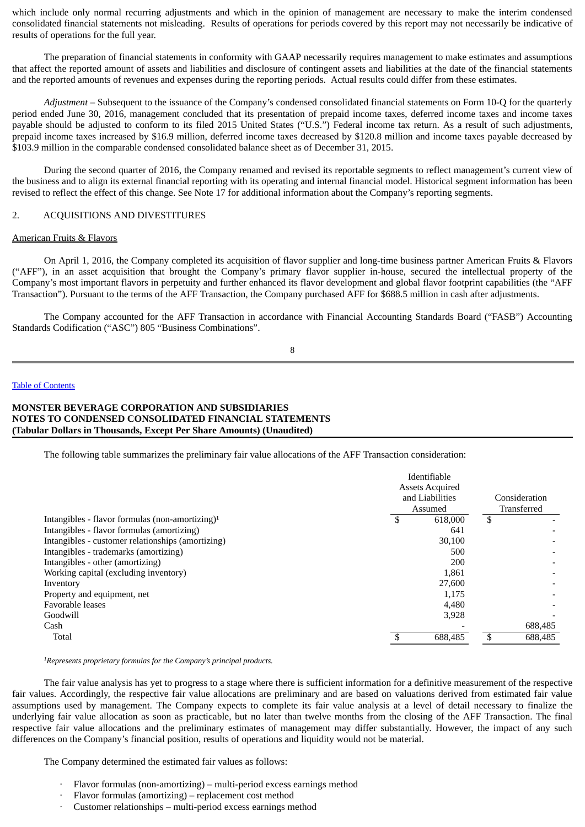which include only normal recurring adjustments and which in the opinion of management are necessary to make the interim condensed consolidated financial statements not misleading. Results of operations for periods covered by this report may not necessarily be indicative of results of operations for the full year.

The preparation of financial statements in conformity with GAAP necessarily requires management to make estimates and assumptions that affect the reported amount of assets and liabilities and disclosure of contingent assets and liabilities at the date of the financial statements and the reported amounts of revenues and expenses during the reporting periods. Actual results could differ from these estimates.

*Adjustment* – Subsequent to the issuance of the Company's condensed consolidated financial statements on Form 10-Q for the quarterly period ended June 30, 2016, management concluded that its presentation of prepaid income taxes, deferred income taxes and income taxes payable should be adjusted to conform to its filed 2015 United States ("U.S.") Federal income tax return. As a result of such adjustments, prepaid income taxes increased by \$16.9 million, deferred income taxes decreased by \$120.8 million and income taxes payable decreased by \$103.9 million in the comparable condensed consolidated balance sheet as of December 31, 2015.

During the second quarter of 2016, the Company renamed and revised its reportable segments to reflect management's current view of the business and to align its external financial reporting with its operating and internal financial model. Historical segment information has been revised to reflect the effect of this change. See Note 17 for additional information about the Company's reporting segments.

### 2. ACQUISITIONS AND DIVESTITURES

### American Fruits & Flavors

On April 1, 2016, the Company completed its acquisition of flavor supplier and long-time business partner American Fruits & Flavors ("AFF"), in an asset acquisition that brought the Company's primary flavor supplier in-house, secured the intellectual property of the Company's most important flavors in perpetuity and further enhanced its flavor development and global flavor footprint capabilities (the "AFF Transaction"). Pursuant to the terms of the AFF Transaction, the Company purchased AFF for \$688.5 million in cash after adjustments.

The Company accounted for the AFF Transaction in accordance with Financial Accounting Standards Board ("FASB") Accounting Standards Codification ("ASC") 805 "Business Combinations".

|   | ٦       |   |  |
|---|---------|---|--|
| × | I<br>۰. | I |  |
|   |         |   |  |

#### Table of [Contents](#page-0-0)

# **MONSTER BEVERAGE CORPORATION AND SUBSIDIARIES NOTES TO CONDENSED CONSOLIDATED FINANCIAL STATEMENTS (Tabular Dollars in Thousands, Except Per Share Amounts) (Unaudited)**

The following table summarizes the preliminary fair value allocations of the AFF Transaction consideration:

|                                                             | Identifiable |                        |    |               |
|-------------------------------------------------------------|--------------|------------------------|----|---------------|
|                                                             |              | <b>Assets Acquired</b> |    |               |
|                                                             |              | and Liabilities        |    | Consideration |
|                                                             | Assumed      |                        |    | Transferred   |
| Intangibles - flavor formulas (non-amortizing) <sup>1</sup> |              | 618,000                | \$ |               |
| Intangibles - flavor formulas (amortizing)                  |              | 641                    |    |               |
| Intangibles - customer relationships (amortizing)           |              | 30,100                 |    |               |
| Intangibles - trademarks (amortizing)                       |              | 500                    |    |               |
| Intangibles - other (amortizing)                            |              | 200                    |    |               |
| Working capital (excluding inventory)                       |              | 1,861                  |    |               |
| Inventory                                                   |              | 27,600                 |    |               |
| Property and equipment, net                                 |              | 1,175                  |    |               |
| Favorable leases                                            |              | 4,480                  |    |               |
| Goodwill                                                    |              | 3,928                  |    |               |
| Cash                                                        |              |                        |    | 688,485       |
| Total                                                       |              | 688,485                | £. | 688,485       |

#### *Represents proprietary formulas for the Company's principal products. 1*

The fair value analysis has yet to progress to a stage where there is sufficient information for a definitive measurement of the respective fair values. Accordingly, the respective fair value allocations are preliminary and are based on valuations derived from estimated fair value assumptions used by management. The Company expects to complete its fair value analysis at a level of detail necessary to finalize the underlying fair value allocation as soon as practicable, but no later than twelve months from the closing of the AFF Transaction. The final respective fair value allocations and the preliminary estimates of management may differ substantially. However, the impact of any such differences on the Company's financial position, results of operations and liquidity would not be material.

The Company determined the estimated fair values as follows:

- · Flavor formulas (non-amortizing) multi-period excess earnings method
- Flavor formulas (amortizing) replacement cost method
- Customer relationships multi-period excess earnings method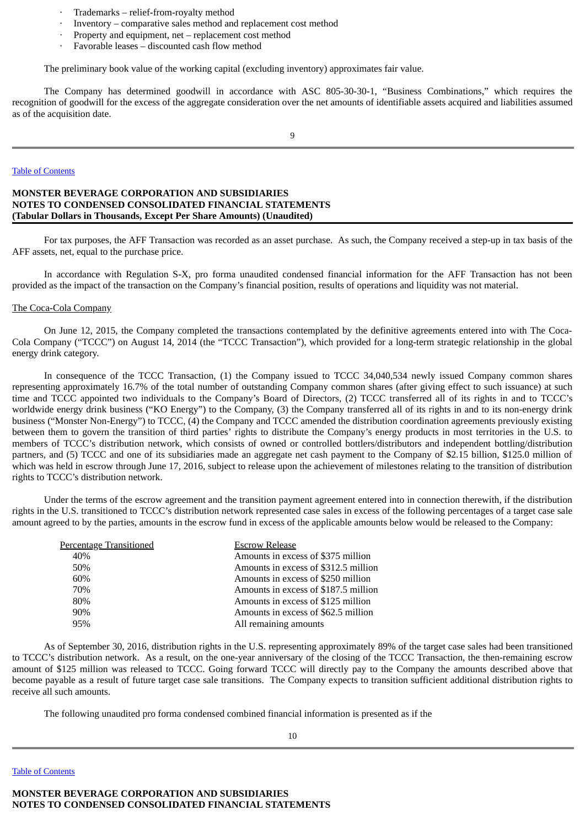- · Trademarks relief-from-royalty method
- Inventory comparative sales method and replacement cost method
- Property and equipment, net replacement cost method
- Favorable leases discounted cash flow method

### The preliminary book value of the working capital (excluding inventory) approximates fair value.

The Company has determined goodwill in accordance with ASC 805-30-30-1, "Business Combinations," which requires the recognition of goodwill for the excess of the aggregate consideration over the net amounts of identifiable assets acquired and liabilities assumed as of the acquisition date.

9

### Table of [Contents](#page-0-0)

# **MONSTER BEVERAGE CORPORATION AND SUBSIDIARIES NOTES TO CONDENSED CONSOLIDATED FINANCIAL STATEMENTS (Tabular Dollars in Thousands, Except Per Share Amounts) (Unaudited)**

For tax purposes, the AFF Transaction was recorded as an asset purchase. As such, the Company received a step-up in tax basis of the AFF assets, net, equal to the purchase price.

In accordance with Regulation S-X, pro forma unaudited condensed financial information for the AFF Transaction has not been provided as the impact of the transaction on the Company's financial position, results of operations and liquidity was not material.

#### The Coca-Cola Company

On June 12, 2015, the Company completed the transactions contemplated by the definitive agreements entered into with The Coca-Cola Company ("TCCC") on August 14, 2014 (the "TCCC Transaction"), which provided for a long-term strategic relationship in the global energy drink category.

In consequence of the TCCC Transaction, (1) the Company issued to TCCC 34,040,534 newly issued Company common shares representing approximately 16.7% of the total number of outstanding Company common shares (after giving effect to such issuance) at such time and TCCC appointed two individuals to the Company's Board of Directors, (2) TCCC transferred all of its rights in and to TCCC's worldwide energy drink business ("KO Energy") to the Company, (3) the Company transferred all of its rights in and to its non-energy drink business ("Monster Non-Energy") to TCCC, (4) the Company and TCCC amended the distribution coordination agreements previously existing between them to govern the transition of third parties' rights to distribute the Company's energy products in most territories in the U.S. to members of TCCC's distribution network, which consists of owned or controlled bottlers/distributors and independent bottling/distribution partners, and (5) TCCC and one of its subsidiaries made an aggregate net cash payment to the Company of \$2.15 billion, \$125.0 million of which was held in escrow through June 17, 2016, subject to release upon the achievement of milestones relating to the transition of distribution rights to TCCC's distribution network.

Under the terms of the escrow agreement and the transition payment agreement entered into in connection therewith, if the distribution rights in the U.S. transitioned to TCCC's distribution network represented case sales in excess of the following percentages of a target case sale amount agreed to by the parties, amounts in the escrow fund in excess of the applicable amounts below would be released to the Company:

| Percentage Transitioned | <b>Escrow Release</b>                |
|-------------------------|--------------------------------------|
| 40%                     | Amounts in excess of \$375 million   |
| 50%                     | Amounts in excess of \$312.5 million |
| 60%                     | Amounts in excess of \$250 million   |
| 70%                     | Amounts in excess of \$187.5 million |
| 80%                     | Amounts in excess of \$125 million   |
| 90%                     | Amounts in excess of \$62.5 million  |
| 95%                     | All remaining amounts                |

As of September 30, 2016, distribution rights in the U.S. representing approximately 89% of the target case sales had been transitioned to TCCC's distribution network. As a result, on the one-year anniversary of the closing of the TCCC Transaction, the then-remaining escrow amount of \$125 million was released to TCCC. Going forward TCCC will directly pay to the Company the amounts described above that become payable as a result of future target case sale transitions. The Company expects to transition sufficient additional distribution rights to receive all such amounts.

The following unaudited pro forma condensed combined financial information is presented as if the

#### Table of [Contents](#page-0-0)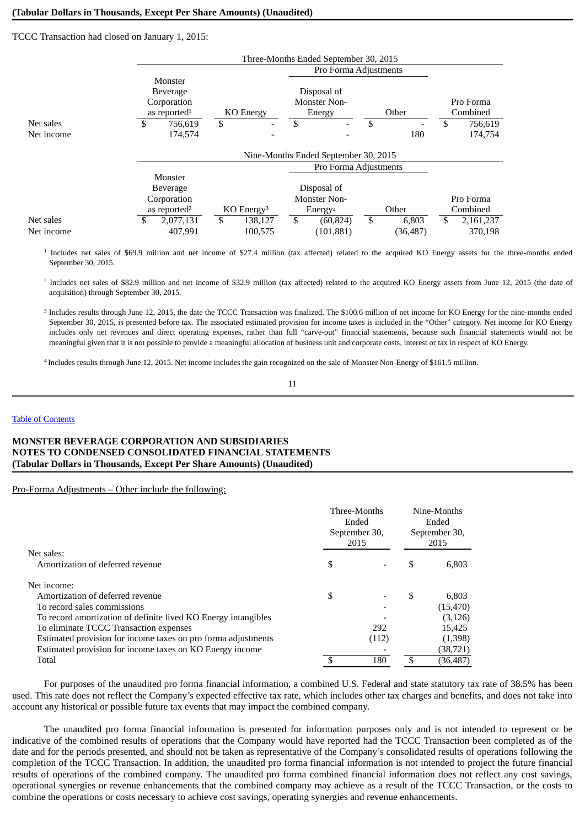### **(Tabular Dollars in Thousands, Except Per Share Amounts) (Unaudited)**

TCCC Transaction had closed on January 1, 2015:

|            |                          |    |                                      |                     | Three-Months Ended September 30, 2015 |       |          |          |           |
|------------|--------------------------|----|--------------------------------------|---------------------|---------------------------------------|-------|----------|----------|-----------|
|            | Pro Forma Adjustments    |    |                                      |                     |                                       |       |          |          |           |
|            | Monster                  |    |                                      |                     |                                       |       |          |          |           |
|            | Beverage                 |    |                                      |                     | Disposal of                           |       |          |          |           |
|            | Corporation              |    |                                      |                     | Monster Non-                          |       |          |          | Pro Forma |
|            | as reported <sup>1</sup> |    | <b>KO Energy</b>                     |                     | Energy                                |       | Other    | Combined |           |
| Net sales  | \$<br>756,619            | \$ |                                      | \$                  | $\overline{\phantom{0}}$              | \$    |          | \$       | 756,619   |
| Net income | 174,574                  |    |                                      |                     |                                       |       | 180      |          | 174,754   |
|            |                          |    | Nine-Months Ended September 30, 2015 |                     |                                       |       |          |          |           |
|            |                          |    |                                      |                     | Pro Forma Adjustments                 |       |          |          |           |
|            | Monster                  |    |                                      |                     |                                       |       |          |          |           |
|            | <b>Beverage</b>          |    |                                      |                     | Disposal of                           |       |          |          |           |
|            | Corporation              |    |                                      |                     | <b>Monster Non-</b>                   |       |          |          | Pro Forma |
|            | as reported <sup>2</sup> |    | $KO$ Energy <sup>3</sup>             | Energy <sup>4</sup> |                                       | Other |          |          | Combined  |
| Net sales  | \$<br>2,077,131          | \$ | 138,127                              | \$                  | (60, 824)                             | \$    | 6,803    | \$       | 2,161,237 |
| Net income | 407,991                  |    | 100,575                              |                     | (101, 881)                            |       | (36,487) |          | 370,198   |

<sup>1</sup> Includes net sales of \$69.9 million and net income of \$27.4 million (tax affected) related to the acquired KO Energy assets for the three-months ended September 30, 2015.

 $^2$  Includes net sales of \$82.9 million and net income of \$32.9 million (tax affected) related to the acquired KO Energy assets from June 12, 2015 (the date of acquisition) through September 30, 2015.

<sup>3</sup> Includes results through June 12, 2015, the date the TCCC Transaction was finalized. The \$100.6 million of net income for KO Energy for the nine-months ended September 30, 2015, is presented before tax. The associated estimated provision for income taxes is included in the "Other" category. Net income for KO Energy includes only net revenues and direct operating expenses, rather than full "carve-out" financial statements, because such financial statements would not be meaningful given that it is not possible to provide a meaningful allocation of business unit and corporate costs, interest or tax in respect of KO Energy.

<sup>4</sup> Includes results through June 12, 2015. Net income includes the gain recognized on the sale of Monster Non-Energy of \$161.5 million.

#### Table of [Contents](#page-0-0)

### **MONSTER BEVERAGE CORPORATION AND SUBSIDIARIES NOTES TO CONDENSED CONSOLIDATED FINANCIAL STATEMENTS (Tabular Dollars in Thousands, Except Per Share Amounts) (Unaudited)**

### Pro-Forma Adjustments – Other include the following:

|                                                                | Three-Months<br>Ended<br>September 30,<br>2015 |       | Nine-Months<br>Ended<br>September 30,<br>2015 |           |  |
|----------------------------------------------------------------|------------------------------------------------|-------|-----------------------------------------------|-----------|--|
| Net sales:                                                     |                                                |       |                                               |           |  |
| Amortization of deferred revenue                               | S                                              |       | S                                             | 6,803     |  |
| Net income:                                                    |                                                |       |                                               |           |  |
| Amortization of deferred revenue                               | \$                                             |       | \$                                            | 6.803     |  |
| To record sales commissions                                    |                                                |       |                                               | (15, 470) |  |
| To record amortization of definite lived KO Energy intangibles |                                                |       |                                               | (3, 126)  |  |
| To eliminate TCCC Transaction expenses                         |                                                | 292   |                                               | 15,425    |  |
| Estimated provision for income taxes on pro forma adjustments  |                                                | (112) |                                               | (1,398)   |  |
| Estimated provision for income taxes on KO Energy income       |                                                |       |                                               | (38,721)  |  |
| Total                                                          |                                                | 180   | £.                                            | (36, 487) |  |

For purposes of the unaudited pro forma financial information, a combined U.S. Federal and state statutory tax rate of 38.5% has been used. This rate does not reflect the Company's expected effective tax rate, which includes other tax charges and benefits, and does not take into account any historical or possible future tax events that may impact the combined company.

The unaudited pro forma financial information is presented for information purposes only and is not intended to represent or be indicative of the combined results of operations that the Company would have reported had the TCCC Transaction been completed as of the date and for the periods presented, and should not be taken as representative of the Company's consolidated results of operations following the completion of the TCCC Transaction. In addition, the unaudited pro forma financial information is not intended to project the future financial results of operations of the combined company. The unaudited pro forma combined financial information does not reflect any cost savings, operational synergies or revenue enhancements that the combined company may achieve as a result of the TCCC Transaction, or the costs to combine the operations or costs necessary to achieve cost savings, operating synergies and revenue enhancements.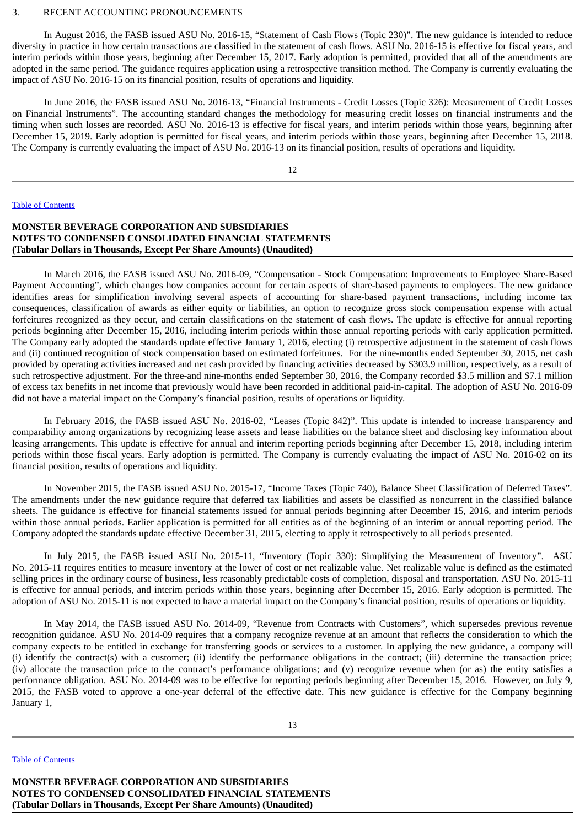#### 3. RECENT ACCOUNTING PRONOUNCEMENTS

In August 2016, the FASB issued ASU No. 2016-15, "Statement of Cash Flows (Topic 230)". The new guidance is intended to reduce diversity in practice in how certain transactions are classified in the statement of cash flows. ASU No. 2016-15 is effective for fiscal years, and interim periods within those years, beginning after December 15, 2017. Early adoption is permitted, provided that all of the amendments are adopted in the same period. The guidance requires application using a retrospective transition method. The Company is currently evaluating the impact of ASU No. 2016-15 on its financial position, results of operations and liquidity.

In June 2016, the FASB issued ASU No. 2016-13, "Financial Instruments - Credit Losses (Topic 326): Measurement of Credit Losses on Financial Instruments". The accounting standard changes the methodology for measuring credit losses on financial instruments and the timing when such losses are recorded. ASU No. 2016-13 is effective for fiscal years, and interim periods within those years, beginning after December 15, 2019. Early adoption is permitted for fiscal years, and interim periods within those years, beginning after December 15, 2018. The Company is currently evaluating the impact of ASU No. 2016-13 on its financial position, results of operations and liquidity.

12

#### Table of [Contents](#page-0-0)

### **MONSTER BEVERAGE CORPORATION AND SUBSIDIARIES NOTES TO CONDENSED CONSOLIDATED FINANCIAL STATEMENTS (Tabular Dollars in Thousands, Except Per Share Amounts) (Unaudited)**

In March 2016, the FASB issued ASU No. 2016-09, "Compensation - Stock Compensation: Improvements to Employee Share-Based Payment Accounting", which changes how companies account for certain aspects of share-based payments to employees. The new guidance identifies areas for simplification involving several aspects of accounting for share-based payment transactions, including income tax consequences, classification of awards as either equity or liabilities, an option to recognize gross stock compensation expense with actual forfeitures recognized as they occur, and certain classifications on the statement of cash flows. The update is effective for annual reporting periods beginning after December 15, 2016, including interim periods within those annual reporting periods with early application permitted. The Company early adopted the standards update effective January 1, 2016, electing (i) retrospective adjustment in the statement of cash flows and (ii) continued recognition of stock compensation based on estimated forfeitures. For the nine-months ended September 30, 2015, net cash provided by operating activities increased and net cash provided by financing activities decreased by \$303.9 million, respectively, as a result of such retrospective adjustment. For the three-and nine-months ended September 30, 2016, the Company recorded \$3.5 million and \$7.1 million of excess tax benefits in net income that previously would have been recorded in additional paid-in-capital. The adoption of ASU No. 2016-09 did not have a material impact on the Company's financial position, results of operations or liquidity.

In February 2016, the FASB issued ASU No. 2016-02, "Leases (Topic 842)". This update is intended to increase transparency and comparability among organizations by recognizing lease assets and lease liabilities on the balance sheet and disclosing key information about leasing arrangements. This update is effective for annual and interim reporting periods beginning after December 15, 2018, including interim periods within those fiscal years. Early adoption is permitted. The Company is currently evaluating the impact of ASU No. 2016-02 on its financial position, results of operations and liquidity.

In November 2015, the FASB issued ASU No. 2015-17, "Income Taxes (Topic 740), Balance Sheet Classification of Deferred Taxes". The amendments under the new guidance require that deferred tax liabilities and assets be classified as noncurrent in the classified balance sheets. The guidance is effective for financial statements issued for annual periods beginning after December 15, 2016, and interim periods within those annual periods. Earlier application is permitted for all entities as of the beginning of an interim or annual reporting period. The Company adopted the standards update effective December 31, 2015, electing to apply it retrospectively to all periods presented.

In July 2015, the FASB issued ASU No. 2015-11, "Inventory (Topic 330): Simplifying the Measurement of Inventory". ASU No. 2015-11 requires entities to measure inventory at the lower of cost or net realizable value. Net realizable value is defined as the estimated selling prices in the ordinary course of business, less reasonably predictable costs of completion, disposal and transportation. ASU No. 2015-11 is effective for annual periods, and interim periods within those years, beginning after December 15, 2016. Early adoption is permitted. The adoption of ASU No. 2015-11 is not expected to have a material impact on the Company's financial position, results of operations or liquidity.

In May 2014, the FASB issued ASU No. 2014-09, "Revenue from Contracts with Customers", which supersedes previous revenue recognition guidance. ASU No. 2014-09 requires that a company recognize revenue at an amount that reflects the consideration to which the company expects to be entitled in exchange for transferring goods or services to a customer. In applying the new guidance, a company will (i) identify the contract(s) with a customer; (ii) identify the performance obligations in the contract; (iii) determine the transaction price; (iv) allocate the transaction price to the contract's performance obligations; and (v) recognize revenue when (or as) the entity satisfies a performance obligation. ASU No. 2014-09 was to be effective for reporting periods beginning after December 15, 2016. However, on July 9, 2015, the FASB voted to approve a one-year deferral of the effective date. This new guidance is effective for the Company beginning January 1,

### Table of [Contents](#page-0-0)

**MONSTER BEVERAGE CORPORATION AND SUBSIDIARIES NOTES TO CONDENSED CONSOLIDATED FINANCIAL STATEMENTS (Tabular Dollars in Thousands, Except Per Share Amounts) (Unaudited)**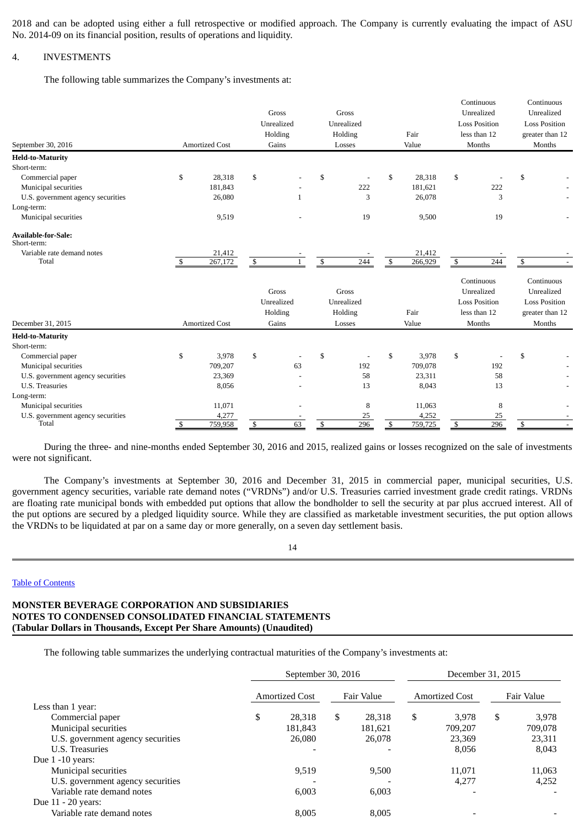2018 and can be adopted using either a full retrospective or modified approach. The Company is currently evaluating the impact of ASU No. 2014-09 on its financial position, results of operations and liquidity.

### 4. INVESTMENTS

The following table summarizes the Company's investments at:

|                                           |               |                       | Gross        |                         | Gross      |              |         | Continuous<br>Unrealized | Continuous<br>Unrealized |
|-------------------------------------------|---------------|-----------------------|--------------|-------------------------|------------|--------------|---------|--------------------------|--------------------------|
|                                           |               |                       | Unrealized   |                         | Unrealized |              |         | <b>Loss Position</b>     | <b>Loss Position</b>     |
|                                           |               |                       | Holding      |                         | Holding    |              | Fair    | less than 12             | greater than 12          |
| September 30, 2016                        |               | <b>Amortized Cost</b> | Gains        |                         | Losses     |              | Value   | Months                   | Months                   |
| <b>Held-to-Maturity</b>                   |               |                       |              |                         |            |              |         |                          |                          |
| Short-term:                               |               |                       |              |                         |            |              |         |                          |                          |
| Commercial paper                          | \$            | 28,318                | \$           | \$                      |            | \$           | 28,318  | \$                       | \$                       |
| Municipal securities                      |               | 181,843               |              |                         | 222        |              | 181,621 | 222                      |                          |
| U.S. government agency securities         |               | 26,080                | $\mathbf{1}$ |                         | 3          |              | 26,078  | 3                        |                          |
| Long-term:                                |               |                       |              |                         |            |              |         |                          |                          |
| Municipal securities                      |               | 9,519                 |              |                         | 19         |              | 9,500   | 19                       |                          |
| <b>Available-for-Sale:</b><br>Short-term: |               |                       |              |                         |            |              |         |                          |                          |
| Variable rate demand notes                |               | 21,412                |              |                         |            |              | 21,412  |                          |                          |
| Total                                     | -\$           | 267,172               | \$           | $\overline{\mathbf{s}}$ | 244        | $\mathbb{S}$ | 266,929 | \$<br>244                | \$                       |
|                                           |               |                       |              |                         |            |              |         | Continuous               | Continuous               |
|                                           |               |                       | Gross        |                         | Gross      |              |         | Unrealized               | Unrealized               |
|                                           |               |                       | Unrealized   |                         | Unrealized |              |         | <b>Loss Position</b>     | <b>Loss Position</b>     |
|                                           |               |                       | Holding      |                         | Holding    |              | Fair    | less than 12             | greater than 12          |
| December 31, 2015                         |               | <b>Amortized Cost</b> | Gains        |                         | Losses     |              | Value   | Months                   | Months                   |
| <b>Held-to-Maturity</b>                   |               |                       |              |                         |            |              |         |                          |                          |
| Short-term:                               |               |                       |              |                         |            |              |         |                          |                          |
| Commercial paper                          | \$            | 3,978                 | \$           | \$                      |            | \$           | 3,978   | \$                       | \$                       |
| Municipal securities                      |               | 709,207               | 63           |                         | 192        |              | 709,078 | 192                      |                          |
| U.S. government agency securities         |               | 23,369                |              |                         | 58         |              | 23,311  | 58                       |                          |
| <b>U.S. Treasuries</b>                    |               | 8,056                 |              |                         | 13         |              | 8,043   | 13                       |                          |
| Long-term:                                |               |                       |              |                         |            |              |         |                          |                          |
| Municipal securities                      |               | 11,071                |              |                         | 8          |              | 11,063  | 8                        |                          |
| U.S. government agency securities         |               | 4,277                 |              |                         | 25         |              | 4,252   | 25                       |                          |
| Total                                     | $\mathfrak s$ | 759,958               | \$<br>63     | $\mathfrak{S}$          | 296        | \$           | 759,725 | \$<br>296                | \$                       |

During the three- and nine-months ended September 30, 2016 and 2015, realized gains or losses recognized on the sale of investments were not significant.

The Company's investments at September 30, 2016 and December 31, 2015 in commercial paper, municipal securities, U.S. government agency securities, variable rate demand notes ("VRDNs") and/or U.S. Treasuries carried investment grade credit ratings. VRDNs are floating rate municipal bonds with embedded put options that allow the bondholder to sell the security at par plus accrued interest. All of the put options are secured by a pledged liquidity source. While they are classified as marketable investment securities, the put option allows the VRDNs to be liquidated at par on a same day or more generally, on a seven day settlement basis.

14

# Table of [Contents](#page-0-0)

### **MONSTER BEVERAGE CORPORATION AND SUBSIDIARIES NOTES TO CONDENSED CONSOLIDATED FINANCIAL STATEMENTS (Tabular Dollars in Thousands, Except Per Share Amounts) (Unaudited)**

The following table summarizes the underlying contractual maturities of the Company's investments at:

|                                   | September 30, 2016    |         |            |         |                       | December 31, 2015 |            |         |  |
|-----------------------------------|-----------------------|---------|------------|---------|-----------------------|-------------------|------------|---------|--|
|                                   | <b>Amortized Cost</b> |         | Fair Value |         | <b>Amortized Cost</b> |                   | Fair Value |         |  |
| Less than 1 year:                 |                       |         |            |         |                       |                   |            |         |  |
| Commercial paper                  | \$                    | 28,318  | \$.        | 28.318  | \$                    | 3.978             | \$         | 3,978   |  |
| Municipal securities              |                       | 181,843 |            | 181,621 |                       | 709,207           |            | 709,078 |  |
| U.S. government agency securities |                       | 26,080  |            | 26,078  |                       | 23,369            |            | 23,311  |  |
| U.S. Treasuries                   |                       |         |            |         |                       | 8,056             |            | 8,043   |  |
| Due $1 - 10$ years:               |                       |         |            |         |                       |                   |            |         |  |
| Municipal securities              |                       | 9,519   |            | 9,500   |                       | 11,071            |            | 11,063  |  |
| U.S. government agency securities |                       |         |            |         |                       | 4.277             |            | 4,252   |  |
| Variable rate demand notes        |                       | 6,003   |            | 6,003   |                       |                   |            |         |  |
| Due 11 - 20 years:                |                       |         |            |         |                       |                   |            |         |  |
| Variable rate demand notes        |                       | 8.005   |            | 8.005   |                       |                   |            |         |  |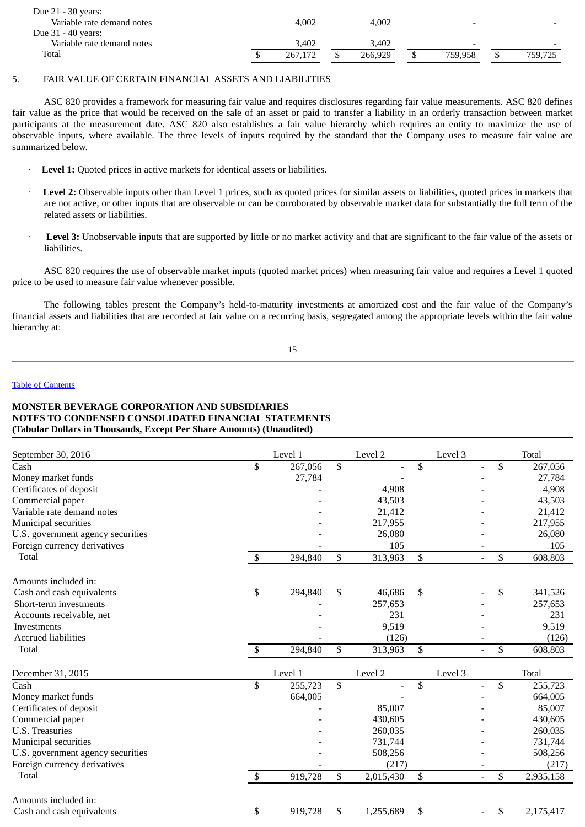| Due 21 - 30 years:         |         |         |         |         |
|----------------------------|---------|---------|---------|---------|
| Variable rate demand notes | 4.002   | 4.002   | -       |         |
| Due 31 - 40 years:         |         |         |         |         |
| Variable rate demand notes | 3.402   | 3.402   | -       |         |
| Total                      | 267,172 | 266,929 | 759.958 | 759,725 |

### 5. FAIR VALUE OF CERTAIN FINANCIAL ASSETS AND LIABILITIES

ASC 820 provides a framework for measuring fair value and requires disclosures regarding fair value measurements. ASC 820 defines fair value as the price that would be received on the sale of an asset or paid to transfer a liability in an orderly transaction between market participants at the measurement date. ASC 820 also establishes a fair value hierarchy which requires an entity to maximize the use of observable inputs, where available. The three levels of inputs required by the standard that the Company uses to measure fair value are summarized below.

- **Level 1:** Quoted prices in active markets for identical assets or liabilities.
- Level 2: Observable inputs other than Level 1 prices, such as quoted prices for similar assets or liabilities, quoted prices in markets that are not active, or other inputs that are observable or can be corroborated by observable market data for substantially the full term of the related assets or liabilities.
- **Level 3:** Unobservable inputs that are supported by little or no market activity and that are significant to the fair value of the assets or liabilities.

ASC 820 requires the use of observable market inputs (quoted market prices) when measuring fair value and requires a Level 1 quoted price to be used to measure fair value whenever possible.

The following tables present the Company's held-to-maturity investments at amortized cost and the fair value of the Company's financial assets and liabilities that are recorded at fair value on a recurring basis, segregated among the appropriate levels within the fair value hierarchy at:

15

# Table of [Contents](#page-0-0)

# **MONSTER BEVERAGE CORPORATION AND SUBSIDIARIES NOTES TO CONDENSED CONSOLIDATED FINANCIAL STATEMENTS (Tabular Dollars in Thousands, Except Per Share Amounts) (Unaudited)**

| September 30, 2016                | Level 1       | Level 2         | Level 3 |                | <b>Total</b>    |
|-----------------------------------|---------------|-----------------|---------|----------------|-----------------|
| Cash                              | \$<br>267,056 | \$              | \$      |                | \$<br>267,056   |
| Money market funds                | 27,784        |                 |         |                | 27,784          |
| Certificates of deposit           |               | 4,908           |         |                | 4,908           |
| Commercial paper                  |               | 43,503          |         |                | 43,503          |
| Variable rate demand notes        |               | 21,412          |         |                | 21,412          |
| Municipal securities              |               | 217,955         |         |                | 217,955         |
| U.S. government agency securities |               | 26,080          |         |                | 26,080          |
| Foreign currency derivatives      |               | 105             |         |                | 105             |
| Total                             | \$<br>294,840 | \$<br>313,963   | \$      | $\blacksquare$ | \$<br>608,803   |
| Amounts included in:              |               |                 |         |                |                 |
| Cash and cash equivalents         | \$<br>294,840 | \$<br>46,686    | \$      |                | \$<br>341,526   |
| Short-term investments            |               | 257,653         |         |                | 257,653         |
| Accounts receivable, net          |               | 231             |         |                | 231             |
| Investments                       |               | 9,519           |         |                | 9,519           |
| <b>Accrued liabilities</b>        |               | (126)           |         |                | (126)           |
| Total                             | \$<br>294,840 | \$<br>313,963   | \$      |                | \$<br>608,803   |
| December 31, 2015                 | Level 1       | Level 2         | Level 3 |                | Total           |
| Cash                              | \$<br>255,723 | \$              | \$      | $\blacksquare$ | \$<br>255,723   |
| Money market funds                | 664,005       |                 |         |                | 664,005         |
| Certificates of deposit           |               | 85,007          |         |                | 85,007          |
| Commercial paper                  |               | 430,605         |         |                | 430,605         |
| U.S. Treasuries                   |               | 260,035         |         |                | 260,035         |
| Municipal securities              |               | 731,744         |         |                | 731,744         |
| U.S. government agency securities |               | 508,256         |         |                | 508,256         |
| Foreign currency derivatives      |               | (217)           |         |                | (217)           |
| Total                             | \$<br>919,728 | \$<br>2,015,430 | \$      |                | \$<br>2,935,158 |
| Amounts included in:              |               |                 |         |                |                 |
| Cash and cash equivalents         | \$<br>919,728 | \$<br>1,255,689 | \$      |                | \$<br>2,175,417 |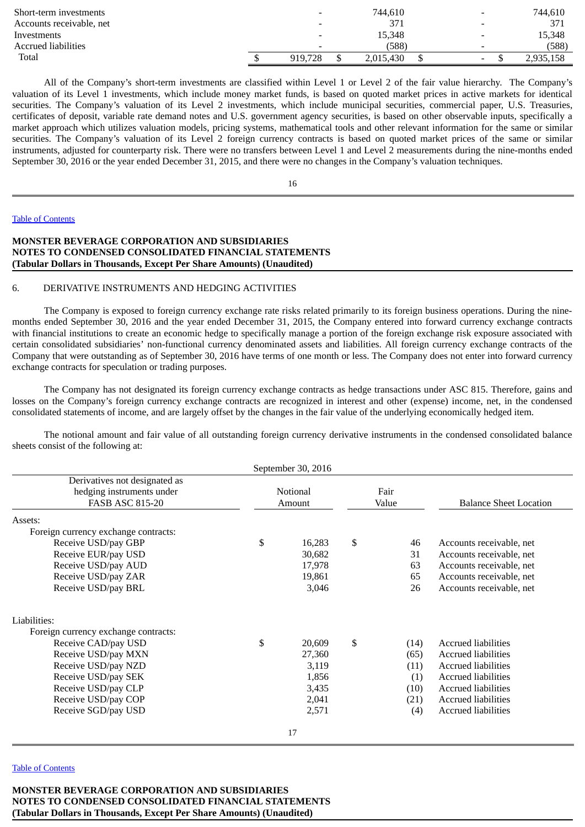| Short-term investments   | -                        | 744.610   |   | 744.610   |
|--------------------------|--------------------------|-----------|---|-----------|
| Accounts receivable, net |                          | 371       |   | 371       |
| Investments              | $\overline{\phantom{0}}$ | 15,348    |   | 15,348    |
| Accrued liabilities      | -                        | (588)     |   | (588)     |
| Total                    | 919.728                  | 2.015.430 | ۰ | 2,935,158 |

All of the Company's short-term investments are classified within Level 1 or Level 2 of the fair value hierarchy. The Company's valuation of its Level 1 investments, which include money market funds, is based on quoted market prices in active markets for identical securities. The Company's valuation of its Level 2 investments, which include municipal securities, commercial paper, U.S. Treasuries, certificates of deposit, variable rate demand notes and U.S. government agency securities, is based on other observable inputs, specifically a market approach which utilizes valuation models, pricing systems, mathematical tools and other relevant information for the same or similar securities. The Company's valuation of its Level 2 foreign currency contracts is based on quoted market prices of the same or similar instruments, adjusted for counterparty risk. There were no transfers between Level 1 and Level 2 measurements during the nine-months ended September 30, 2016 or the year ended December 31, 2015, and there were no changes in the Company's valuation techniques.

16

### Table of [Contents](#page-0-0)

# **MONSTER BEVERAGE CORPORATION AND SUBSIDIARIES NOTES TO CONDENSED CONSOLIDATED FINANCIAL STATEMENTS (Tabular Dollars in Thousands, Except Per Share Amounts) (Unaudited)**

### 6. DERIVATIVE INSTRUMENTS AND HEDGING ACTIVITIES

The Company is exposed to foreign currency exchange rate risks related primarily to its foreign business operations. During the ninemonths ended September 30, 2016 and the year ended December 31, 2015, the Company entered into forward currency exchange contracts with financial institutions to create an economic hedge to specifically manage a portion of the foreign exchange risk exposure associated with certain consolidated subsidiaries' non-functional currency denominated assets and liabilities. All foreign currency exchange contracts of the Company that were outstanding as of September 30, 2016 have terms of one month or less. The Company does not enter into forward currency exchange contracts for speculation or trading purposes.

The Company has not designated its foreign currency exchange contracts as hedge transactions under ASC 815. Therefore, gains and losses on the Company's foreign currency exchange contracts are recognized in interest and other (expense) income, net, in the condensed consolidated statements of income, and are largely offset by the changes in the fair value of the underlying economically hedged item.

| \$<br>Notional<br>Amount<br>16,283<br>30,682<br>17,978 | \$ | Fair<br>Value<br>46 | <b>Balance Sheet Location</b><br>Accounts receivable, net |
|--------------------------------------------------------|----|---------------------|-----------------------------------------------------------|
|                                                        |    |                     |                                                           |
|                                                        |    |                     |                                                           |
|                                                        |    |                     |                                                           |
|                                                        |    |                     |                                                           |
|                                                        |    | 31                  | Accounts receivable, net                                  |
|                                                        |    | 63                  | Accounts receivable, net                                  |
| 19,861                                                 |    | 65                  | Accounts receivable, net                                  |
| 3,046                                                  |    | 26                  | Accounts receivable, net                                  |
|                                                        |    |                     |                                                           |
|                                                        |    |                     |                                                           |
| \$<br>20,609                                           | \$ | (14)                | <b>Accrued liabilities</b>                                |
| 27,360                                                 |    | (65)                | <b>Accrued liabilities</b>                                |
| 3,119                                                  |    | (11)                | <b>Accrued liabilities</b>                                |
| 1,856                                                  |    | (1)                 | <b>Accrued liabilities</b>                                |
| 3,435                                                  |    | (10)                | Accrued liabilities                                       |
| 2,041                                                  |    | (21)                | <b>Accrued liabilities</b>                                |
| 2,571                                                  |    | (4)                 | <b>Accrued liabilities</b>                                |
|                                                        | 17 |                     |                                                           |

The notional amount and fair value of all outstanding foreign currency derivative instruments in the condensed consolidated balance sheets consist of the following at:

#### Table of [Contents](#page-0-0)

**MONSTER BEVERAGE CORPORATION AND SUBSIDIARIES NOTES TO CONDENSED CONSOLIDATED FINANCIAL STATEMENTS (Tabular Dollars in Thousands, Except Per Share Amounts) (Unaudited)**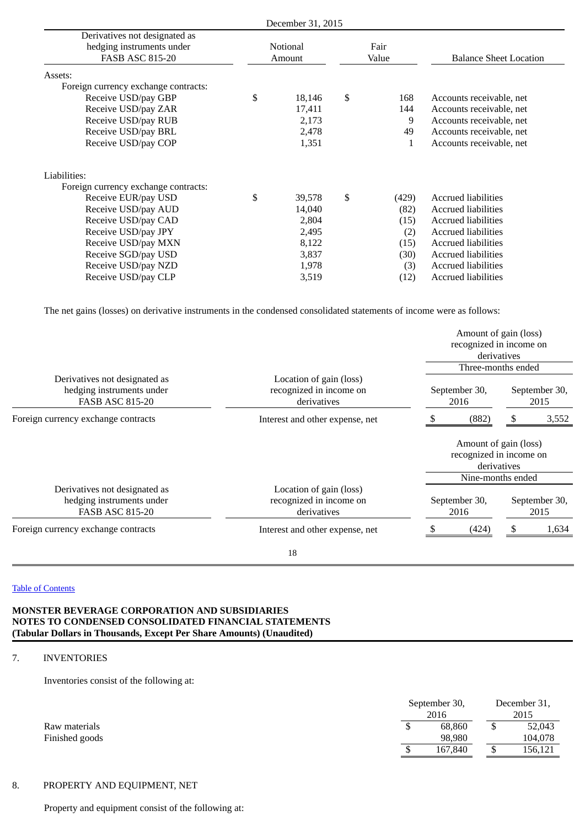|                                      | December 31, 2015 |             |                               |
|--------------------------------------|-------------------|-------------|-------------------------------|
| Derivatives not designated as        |                   |             |                               |
| hedging instruments under            | Notional          | Fair        |                               |
| <b>FASB ASC 815-20</b>               | Amount            | Value       | <b>Balance Sheet Location</b> |
| Assets:                              |                   |             |                               |
| Foreign currency exchange contracts: |                   |             |                               |
| Receive USD/pay GBP                  | \$<br>18,146      | \$<br>168   | Accounts receivable, net      |
| Receive USD/pay ZAR                  | 17,411            | 144         | Accounts receivable, net      |
| Receive USD/pay RUB                  | 2,173             | 9           | Accounts receivable, net      |
| Receive USD/pay BRL                  | 2,478             | 49          | Accounts receivable, net      |
| Receive USD/pay COP                  | 1,351             | 1           | Accounts receivable, net      |
| Liabilities:                         |                   |             |                               |
| Foreign currency exchange contracts: |                   |             |                               |
| Receive EUR/pay USD                  | \$<br>39,578      | \$<br>(429) | Accrued liabilities           |
| Receive USD/pay AUD                  | 14,040            | (82)        | <b>Accrued liabilities</b>    |
| Receive USD/pay CAD                  | 2,804             | (15)        | <b>Accrued liabilities</b>    |
| Receive USD/pay JPY                  | 2,495             | (2)         | <b>Accrued liabilities</b>    |
| Receive USD/pay MXN                  | 8,122             | (15)        | <b>Accrued liabilities</b>    |
| Receive SGD/pay USD                  | 3,837             | (30)        | <b>Accrued liabilities</b>    |
| Receive USD/pay NZD                  | 1,978             | (3)         | <b>Accrued liabilities</b>    |
| Receive USD/pay CLP                  | 3,519             | (12)        | Accrued liabilities           |

The net gains (losses) on derivative instruments in the condensed consolidated statements of income were as follows:

|                                     |                                 | Amount of gain (loss)   |               |
|-------------------------------------|---------------------------------|-------------------------|---------------|
|                                     |                                 | recognized in income on |               |
|                                     |                                 | derivatives             |               |
|                                     |                                 | Three-months ended      |               |
| Derivatives not designated as       | Location of gain (loss)         |                         |               |
| hedging instruments under           | recognized in income on         | September 30,           | September 30, |
| <b>FASB ASC 815-20</b>              | derivatives                     | 2016                    | 2015          |
| Foreign currency exchange contracts | Interest and other expense, net | (882)                   | 3,552         |
|                                     |                                 |                         |               |
|                                     |                                 | Amount of gain (loss)   |               |
|                                     |                                 | recognized in income on |               |
|                                     |                                 | derivatives             |               |
|                                     |                                 | Nine-months ended       |               |
| Derivatives not designated as       | Location of gain (loss)         |                         |               |
| hedging instruments under           | recognized in income on         | September 30,           | September 30, |
| <b>FASB ASC 815-20</b>              | derivatives                     | 2016                    | 2015          |
| Foreign currency exchange contracts | Interest and other expense, net | (424)                   | 1,634         |
|                                     |                                 |                         |               |
|                                     |                                 |                         |               |

18

# Table of [Contents](#page-0-0)

# **MONSTER BEVERAGE CORPORATION AND SUBSIDIARIES NOTES TO CONDENSED CONSOLIDATED FINANCIAL STATEMENTS (Tabular Dollars in Thousands, Except Per Share Amounts) (Unaudited)**

# 7. INVENTORIES

Inventories consist of the following at:

|                |   | September 30, | December 31, |
|----------------|---|---------------|--------------|
|                |   | 2016          | 2015         |
| Raw materials  | ⊅ | 68.860        | 52,043       |
| Finished goods |   | 98,980        | 104.078      |
|                |   | 167,840       | 156,121      |
|                |   |               |              |

# 8. PROPERTY AND EQUIPMENT, NET

Property and equipment consist of the following at: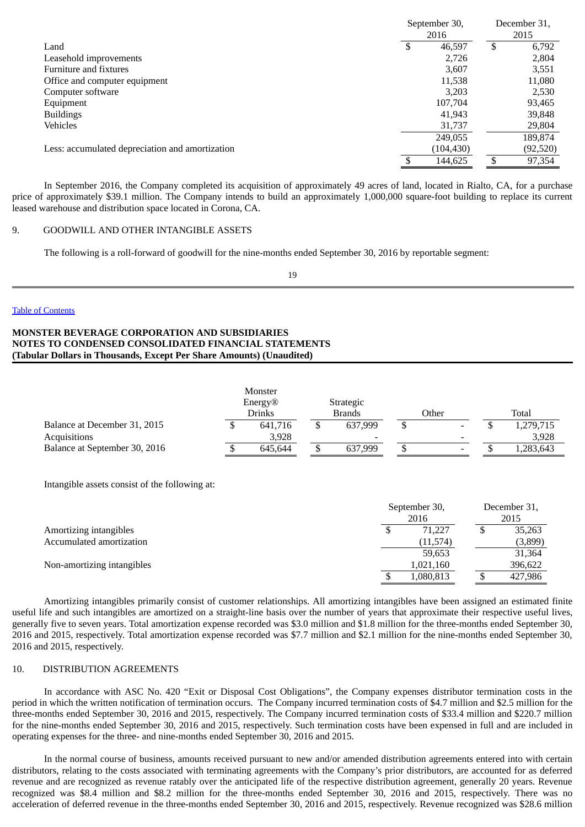|                                                 | September 30,<br>2016 | December 31,<br>2015 |           |  |
|-------------------------------------------------|-----------------------|----------------------|-----------|--|
| Land                                            | 46,597                | S                    | 6,792     |  |
| Leasehold improvements                          | 2,726                 |                      | 2,804     |  |
| Furniture and fixtures                          | 3,607                 |                      | 3,551     |  |
| Office and computer equipment                   | 11,538                |                      | 11,080    |  |
| Computer software                               | 3,203                 |                      | 2,530     |  |
| Equipment                                       | 107,704               |                      | 93,465    |  |
| <b>Buildings</b>                                | 41,943                |                      | 39,848    |  |
| Vehicles                                        | 31,737                |                      | 29,804    |  |
|                                                 | 249,055               |                      | 189,874   |  |
| Less: accumulated depreciation and amortization | (104, 430)            |                      | (92, 520) |  |
|                                                 | 144,625               |                      | 97,354    |  |

In September 2016, the Company completed its acquisition of approximately 49 acres of land, located in Rialto, CA, for a purchase price of approximately \$39.1 million. The Company intends to build an approximately 1,000,000 square-foot building to replace its current leased warehouse and distribution space located in Corona, CA.

# 9. GOODWILL AND OTHER INTANGIBLE ASSETS

The following is a roll-forward of goodwill for the nine-months ended September 30, 2016 by reportable segment:

19

### Table of [Contents](#page-0-0)

### **MONSTER BEVERAGE CORPORATION AND SUBSIDIARIES NOTES TO CONDENSED CONSOLIDATED FINANCIAL STATEMENTS (Tabular Dollars in Thousands, Except Per Share Amounts) (Unaudited)**

|                               | Monster<br>Energy $\circledR$<br>Drinks | Strategic<br><b>Brands</b> | Other          | Total     |
|-------------------------------|-----------------------------------------|----------------------------|----------------|-----------|
| Balance at December 31, 2015  | 641.716                                 | 637.999                    |                | 1,279,715 |
| Acquisitions                  | 3.928                                   |                            |                | 3,928     |
| Balance at September 30, 2016 | 645.644                                 | 637.999                    | $\blacksquare$ | 1,283,643 |

Intangible assets consist of the following at:

|                            | September 30, | December 31, |  |         |
|----------------------------|---------------|--------------|--|---------|
|                            |               | 2016         |  | 2015    |
| Amortizing intangibles     |               | 71.227       |  | 35,263  |
| Accumulated amortization   |               | (11,574)     |  | (3,899) |
|                            |               | 59,653       |  | 31,364  |
| Non-amortizing intangibles |               | 1,021,160    |  | 396,622 |
|                            |               | 1,080,813    |  | 427,986 |

Amortizing intangibles primarily consist of customer relationships. All amortizing intangibles have been assigned an estimated finite useful life and such intangibles are amortized on a straight-line basis over the number of years that approximate their respective useful lives, generally five to seven years. Total amortization expense recorded was \$3.0 million and \$1.8 million for the three-months ended September 30, 2016 and 2015, respectively. Total amortization expense recorded was \$7.7 million and \$2.1 million for the nine-months ended September 30, 2016 and 2015, respectively.

### 10. DISTRIBUTION AGREEMENTS

In accordance with ASC No. 420 "Exit or Disposal Cost Obligations", the Company expenses distributor termination costs in the period in which the written notification of termination occurs. The Company incurred termination costs of \$4.7 million and \$2.5 million for the three-months ended September 30, 2016 and 2015, respectively. The Company incurred termination costs of \$33.4 million and \$220.7 million for the nine-months ended September 30, 2016 and 2015, respectively. Such termination costs have been expensed in full and are included in operating expenses for the three- and nine-months ended September 30, 2016 and 2015.

In the normal course of business, amounts received pursuant to new and/or amended distribution agreements entered into with certain distributors, relating to the costs associated with terminating agreements with the Company's prior distributors, are accounted for as deferred revenue and are recognized as revenue ratably over the anticipated life of the respective distribution agreement, generally 20 years. Revenue recognized was \$8.4 million and \$8.2 million for the three-months ended September 30, 2016 and 2015, respectively. There was no acceleration of deferred revenue in the three-months ended September 30, 2016 and 2015, respectively. Revenue recognized was \$28.6 million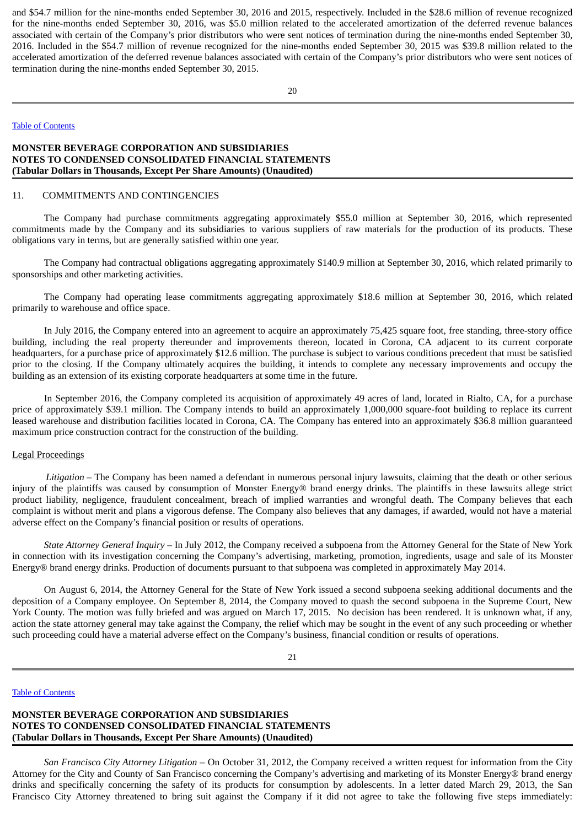and \$54.7 million for the nine-months ended September 30, 2016 and 2015, respectively. Included in the \$28.6 million of revenue recognized for the nine-months ended September 30, 2016, was \$5.0 million related to the accelerated amortization of the deferred revenue balances associated with certain of the Company's prior distributors who were sent notices of termination during the nine-months ended September 30, 2016. Included in the \$54.7 million of revenue recognized for the nine-months ended September 30, 2015 was \$39.8 million related to the accelerated amortization of the deferred revenue balances associated with certain of the Company's prior distributors who were sent notices of termination during the nine-months ended September 30, 2015.

### Table of [Contents](#page-0-0)

### **MONSTER BEVERAGE CORPORATION AND SUBSIDIARIES NOTES TO CONDENSED CONSOLIDATED FINANCIAL STATEMENTS (Tabular Dollars in Thousands, Except Per Share Amounts) (Unaudited)**

### 11. COMMITMENTS AND CONTINGENCIES

The Company had purchase commitments aggregating approximately \$55.0 million at September 30, 2016, which represented commitments made by the Company and its subsidiaries to various suppliers of raw materials for the production of its products. These obligations vary in terms, but are generally satisfied within one year.

The Company had contractual obligations aggregating approximately \$140.9 million at September 30, 2016, which related primarily to sponsorships and other marketing activities.

The Company had operating lease commitments aggregating approximately \$18.6 million at September 30, 2016, which related primarily to warehouse and office space.

In July 2016, the Company entered into an agreement to acquire an approximately 75,425 square foot, free standing, three-story office building, including the real property thereunder and improvements thereon, located in Corona, CA adjacent to its current corporate headquarters, for a purchase price of approximately \$12.6 million. The purchase is subject to various conditions precedent that must be satisfied prior to the closing. If the Company ultimately acquires the building, it intends to complete any necessary improvements and occupy the building as an extension of its existing corporate headquarters at some time in the future.

In September 2016, the Company completed its acquisition of approximately 49 acres of land, located in Rialto, CA, for a purchase price of approximately \$39.1 million. The Company intends to build an approximately 1,000,000 square-foot building to replace its current leased warehouse and distribution facilities located in Corona, CA. The Company has entered into an approximately \$36.8 million guaranteed maximum price construction contract for the construction of the building.

#### Legal Proceedings

*Litigation –* The Company has been named a defendant in numerous personal injury lawsuits, claiming that the death or other serious injury of the plaintiffs was caused by consumption of Monster Energy® brand energy drinks. The plaintiffs in these lawsuits allege strict product liability, negligence, fraudulent concealment, breach of implied warranties and wrongful death. The Company believes that each complaint is without merit and plans a vigorous defense. The Company also believes that any damages, if awarded, would not have a material adverse effect on the Company's financial position or results of operations.

*State Attorney General Inquiry* – In July 2012, the Company received a subpoena from the Attorney General for the State of New York in connection with its investigation concerning the Company's advertising, marketing, promotion, ingredients, usage and sale of its Monster Energy® brand energy drinks. Production of documents pursuant to that subpoena was completed in approximately May 2014.

On August 6, 2014, the Attorney General for the State of New York issued a second subpoena seeking additional documents and the deposition of a Company employee. On September 8, 2014, the Company moved to quash the second subpoena in the Supreme Court, New York County. The motion was fully briefed and was argued on March 17, 2015. No decision has been rendered. It is unknown what, if any, action the state attorney general may take against the Company, the relief which may be sought in the event of any such proceeding or whether such proceeding could have a material adverse effect on the Company's business, financial condition or results of operations.

21

#### Table of [Contents](#page-0-0)

# **MONSTER BEVERAGE CORPORATION AND SUBSIDIARIES NOTES TO CONDENSED CONSOLIDATED FINANCIAL STATEMENTS (Tabular Dollars in Thousands, Except Per Share Amounts) (Unaudited)**

*San Francisco City Attorney Litigation* – On October 31, 2012, the Company received a written request for information from the City Attorney for the City and County of San Francisco concerning the Company's advertising and marketing of its Monster Energy® brand energy drinks and specifically concerning the safety of its products for consumption by adolescents. In a letter dated March 29, 2013, the San Francisco City Attorney threatened to bring suit against the Company if it did not agree to take the following five steps immediately: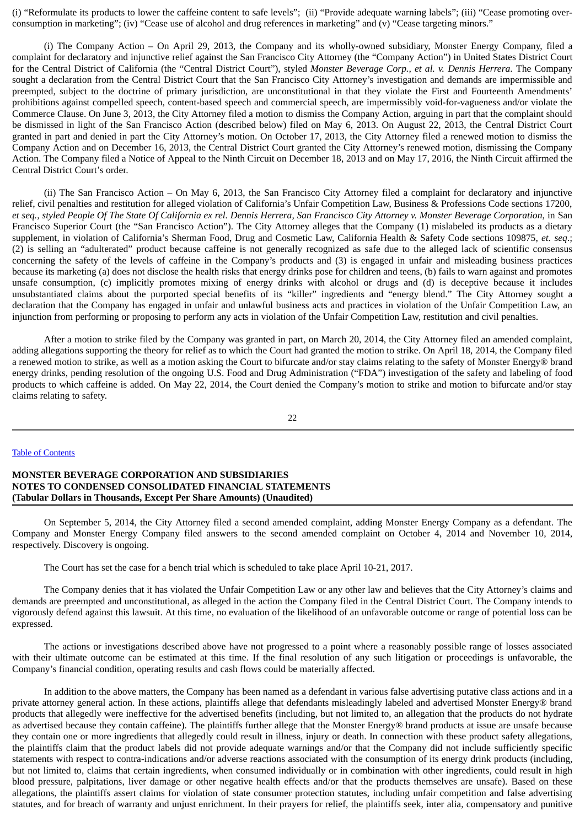(i) "Reformulate its products to lower the caffeine content to safe levels"; (ii) "Provide adequate warning labels"; (iii) "Cease promoting overconsumption in marketing"; (iv) "Cease use of alcohol and drug references in marketing" and (v) "Cease targeting minors."

(i) The Company Action – On April 29, 2013, the Company and its wholly-owned subsidiary, Monster Energy Company, filed a complaint for declaratory and injunctive relief against the San Francisco City Attorney (the "Company Action") in United States District Court for the Central District of California (the "Central District Court"), styled *Monster Beverage Corp., et al. v. Dennis Herrera*. The Company sought a declaration from the Central District Court that the San Francisco City Attorney's investigation and demands are impermissible and preempted, subject to the doctrine of primary jurisdiction, are unconstitutional in that they violate the First and Fourteenth Amendments' prohibitions against compelled speech, content-based speech and commercial speech, are impermissibly void-for-vagueness and/or violate the Commerce Clause. On June 3, 2013, the City Attorney filed a motion to dismiss the Company Action, arguing in part that the complaint should be dismissed in light of the San Francisco Action (described below) filed on May 6, 2013. On August 22, 2013, the Central District Court granted in part and denied in part the City Attorney's motion. On October 17, 2013, the City Attorney filed a renewed motion to dismiss the Company Action and on December 16, 2013, the Central District Court granted the City Attorney's renewed motion, dismissing the Company Action. The Company filed a Notice of Appeal to the Ninth Circuit on December 18, 2013 and on May 17, 2016, the Ninth Circuit affirmed the Central District Court's order.

(ii) The San Francisco Action – On May 6, 2013, the San Francisco City Attorney filed a complaint for declaratory and injunctive relief, civil penalties and restitution for alleged violation of California's Unfair Competition Law, Business & Professions Code sections 17200, et seg., styled People Of The State Of California ex rel. Dennis Herrera, San Francisco City Attorney v. Monster Beverage Corporation, in San Francisco Superior Court (the "San Francisco Action"). The City Attorney alleges that the Company (1) mislabeled its products as a dietary supplement, in violation of California's Sherman Food, Drug and Cosmetic Law, California Health & Safety Code sections 109875, *et. seq*.; (2) is selling an "adulterated" product because caffeine is not generally recognized as safe due to the alleged lack of scientific consensus concerning the safety of the levels of caffeine in the Company's products and (3) is engaged in unfair and misleading business practices because its marketing (a) does not disclose the health risks that energy drinks pose for children and teens, (b) fails to warn against and promotes unsafe consumption, (c) implicitly promotes mixing of energy drinks with alcohol or drugs and (d) is deceptive because it includes unsubstantiated claims about the purported special benefits of its "killer" ingredients and "energy blend." The City Attorney sought a declaration that the Company has engaged in unfair and unlawful business acts and practices in violation of the Unfair Competition Law, an injunction from performing or proposing to perform any acts in violation of the Unfair Competition Law, restitution and civil penalties.

After a motion to strike filed by the Company was granted in part, on March 20, 2014, the City Attorney filed an amended complaint, adding allegations supporting the theory for relief as to which the Court had granted the motion to strike. On April 18, 2014, the Company filed a renewed motion to strike, as well as a motion asking the Court to bifurcate and/or stay claims relating to the safety of Monster Energy® brand energy drinks, pending resolution of the ongoing U.S. Food and Drug Administration ("FDA") investigation of the safety and labeling of food products to which caffeine is added. On May 22, 2014, the Court denied the Company's motion to strike and motion to bifurcate and/or stay claims relating to safety.

#### 22

#### Table of [Contents](#page-0-0)

### **MONSTER BEVERAGE CORPORATION AND SUBSIDIARIES NOTES TO CONDENSED CONSOLIDATED FINANCIAL STATEMENTS (Tabular Dollars in Thousands, Except Per Share Amounts) (Unaudited)**

On September 5, 2014, the City Attorney filed a second amended complaint, adding Monster Energy Company as a defendant. The Company and Monster Energy Company filed answers to the second amended complaint on October 4, 2014 and November 10, 2014, respectively. Discovery is ongoing.

The Court has set the case for a bench trial which is scheduled to take place April 10-21, 2017.

The Company denies that it has violated the Unfair Competition Law or any other law and believes that the City Attorney's claims and demands are preempted and unconstitutional, as alleged in the action the Company filed in the Central District Court. The Company intends to vigorously defend against this lawsuit. At this time, no evaluation of the likelihood of an unfavorable outcome or range of potential loss can be expressed.

The actions or investigations described above have not progressed to a point where a reasonably possible range of losses associated with their ultimate outcome can be estimated at this time. If the final resolution of any such litigation or proceedings is unfavorable, the Company's financial condition, operating results and cash flows could be materially affected.

In addition to the above matters, the Company has been named as a defendant in various false advertising putative class actions and in a private attorney general action. In these actions, plaintiffs allege that defendants misleadingly labeled and advertised Monster Energy® brand products that allegedly were ineffective for the advertised benefits (including, but not limited to, an allegation that the products do not hydrate as advertised because they contain caffeine). The plaintiffs further allege that the Monster Energy® brand products at issue are unsafe because they contain one or more ingredients that allegedly could result in illness, injury or death. In connection with these product safety allegations, the plaintiffs claim that the product labels did not provide adequate warnings and/or that the Company did not include sufficiently specific statements with respect to contra-indications and/or adverse reactions associated with the consumption of its energy drink products (including, but not limited to, claims that certain ingredients, when consumed individually or in combination with other ingredients, could result in high blood pressure, palpitations, liver damage or other negative health effects and/or that the products themselves are unsafe). Based on these allegations, the plaintiffs assert claims for violation of state consumer protection statutes, including unfair competition and false advertising statutes, and for breach of warranty and unjust enrichment. In their prayers for relief, the plaintiffs seek, inter alia, compensatory and punitive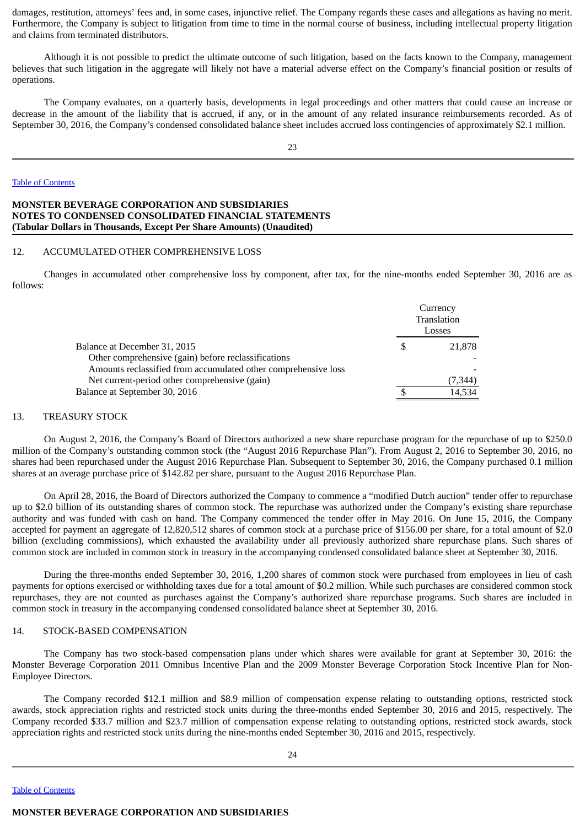damages, restitution, attorneys' fees and, in some cases, injunctive relief. The Company regards these cases and allegations as having no merit. Furthermore, the Company is subject to litigation from time to time in the normal course of business, including intellectual property litigation and claims from terminated distributors.

Although it is not possible to predict the ultimate outcome of such litigation, based on the facts known to the Company, management believes that such litigation in the aggregate will likely not have a material adverse effect on the Company's financial position or results of operations.

The Company evaluates, on a quarterly basis, developments in legal proceedings and other matters that could cause an increase or decrease in the amount of the liability that is accrued, if any, or in the amount of any related insurance reimbursements recorded. As of September 30, 2016, the Company's condensed consolidated balance sheet includes accrued loss contingencies of approximately \$2.1 million.

23

#### Table of [Contents](#page-0-0)

# **MONSTER BEVERAGE CORPORATION AND SUBSIDIARIES NOTES TO CONDENSED CONSOLIDATED FINANCIAL STATEMENTS (Tabular Dollars in Thousands, Except Per Share Amounts) (Unaudited)**

# 12. ACCUMULATED OTHER COMPREHENSIVE LOSS

Changes in accumulated other comprehensive loss by component, after tax, for the nine-months ended September 30, 2016 are as follows:

|                                                                | Currency<br>Translation<br>Losses |         |  |
|----------------------------------------------------------------|-----------------------------------|---------|--|
| Balance at December 31, 2015                                   | S                                 | 21,878  |  |
| Other comprehensive (gain) before reclassifications            |                                   |         |  |
| Amounts reclassified from accumulated other comprehensive loss |                                   |         |  |
| Net current-period other comprehensive (gain)                  |                                   | (7,344) |  |
| Balance at September 30, 2016                                  |                                   | 14.534  |  |
|                                                                |                                   |         |  |

### 13. TREASURY STOCK

On August 2, 2016, the Company's Board of Directors authorized a new share repurchase program for the repurchase of up to \$250.0 million of the Company's outstanding common stock (the "August 2016 Repurchase Plan"). From August 2, 2016 to September 30, 2016, no shares had been repurchased under the August 2016 Repurchase Plan. Subsequent to September 30, 2016, the Company purchased 0.1 million shares at an average purchase price of \$142.82 per share, pursuant to the August 2016 Repurchase Plan.

On April 28, 2016, the Board of Directors authorized the Company to commence a "modified Dutch auction" tender offer to repurchase up to \$2.0 billion of its outstanding shares of common stock. The repurchase was authorized under the Company's existing share repurchase authority and was funded with cash on hand. The Company commenced the tender offer in May 2016. On June 15, 2016, the Company accepted for payment an aggregate of 12,820,512 shares of common stock at a purchase price of \$156.00 per share, for a total amount of \$2.0 billion (excluding commissions), which exhausted the availability under all previously authorized share repurchase plans. Such shares of common stock are included in common stock in treasury in the accompanying condensed consolidated balance sheet at September 30, 2016.

During the three-months ended September 30, 2016, 1,200 shares of common stock were purchased from employees in lieu of cash payments for options exercised or withholding taxes due for a total amount of \$0.2 million. While such purchases are considered common stock repurchases, they are not counted as purchases against the Company's authorized share repurchase programs. Such shares are included in common stock in treasury in the accompanying condensed consolidated balance sheet at September 30, 2016.

### 14. STOCK-BASED COMPENSATION

The Company has two stock-based compensation plans under which shares were available for grant at September 30, 2016: the Monster Beverage Corporation 2011 Omnibus Incentive Plan and the 2009 Monster Beverage Corporation Stock Incentive Plan for Non-Employee Directors.

The Company recorded \$12.1 million and \$8.9 million of compensation expense relating to outstanding options, restricted stock awards, stock appreciation rights and restricted stock units during the three-months ended September 30, 2016 and 2015, respectively. The Company recorded \$33.7 million and \$23.7 million of compensation expense relating to outstanding options, restricted stock awards, stock appreciation rights and restricted stock units during the nine-months ended September 30, 2016 and 2015, respectively.

Table of [Contents](#page-0-0)

# **MONSTER BEVERAGE CORPORATION AND SUBSIDIARIES**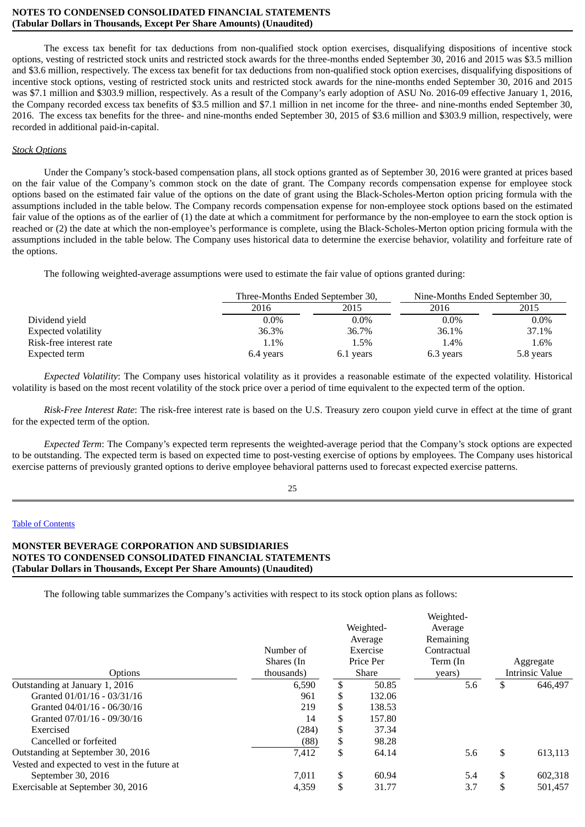### **NOTES TO CONDENSED CONSOLIDATED FINANCIAL STATEMENTS (Tabular Dollars in Thousands, Except Per Share Amounts) (Unaudited)**

The excess tax benefit for tax deductions from non-qualified stock option exercises, disqualifying dispositions of incentive stock options, vesting of restricted stock units and restricted stock awards for the three-months ended September 30, 2016 and 2015 was \$3.5 million and \$3.6 million, respectively. The excess tax benefit for tax deductions from non-qualified stock option exercises, disqualifying dispositions of incentive stock options, vesting of restricted stock units and restricted stock awards for the nine-months ended September 30, 2016 and 2015 was \$7.1 million and \$303.9 million, respectively. As a result of the Company's early adoption of ASU No. 2016-09 effective January 1, 2016, the Company recorded excess tax benefits of \$3.5 million and \$7.1 million in net income for the three- and nine-months ended September 30, 2016. The excess tax benefits for the three- and nine-months ended September 30, 2015 of \$3.6 million and \$303.9 million, respectively, were recorded in additional paid-in-capital.

### *Stock Options*

Under the Company's stock-based compensation plans, all stock options granted as of September 30, 2016 were granted at prices based on the fair value of the Company's common stock on the date of grant. The Company records compensation expense for employee stock options based on the estimated fair value of the options on the date of grant using the Black-Scholes-Merton option pricing formula with the assumptions included in the table below. The Company records compensation expense for non-employee stock options based on the estimated fair value of the options as of the earlier of (1) the date at which a commitment for performance by the non-employee to earn the stock option is reached or (2) the date at which the non-employee's performance is complete, using the Black-Scholes-Merton option pricing formula with the assumptions included in the table below. The Company uses historical data to determine the exercise behavior, volatility and forfeiture rate of the options.

The following weighted-average assumptions were used to estimate the fair value of options granted during:

|                         | Three-Months Ended September 30, |           | Nine-Months Ended September 30, |           |  |
|-------------------------|----------------------------------|-----------|---------------------------------|-----------|--|
|                         | 2016                             | 2015      | 2016                            | 2015      |  |
| Dividend yield          | $0.0\%$                          | $0.0\%$   | $0.0\%$                         | $0.0\%$   |  |
| Expected volatility     | 36.3%                            | 36.7%     | 36.1%                           | 37.1%     |  |
| Risk-free interest rate | 1.1%                             | 1.5%      | 1.4%                            | 1.6%      |  |
| Expected term           | 6.4 years                        | 6.1 years | 6.3 years                       | 5.8 years |  |

*Expected Volatility*: The Company uses historical volatility as it provides a reasonable estimate of the expected volatility. Historical volatility is based on the most recent volatility of the stock price over a period of time equivalent to the expected term of the option.

*Risk-Free Interest Rate*: The risk-free interest rate is based on the U.S. Treasury zero coupon yield curve in effect at the time of grant for the expected term of the option.

*Expected Term*: The Company's expected term represents the weighted-average period that the Company's stock options are expected to be outstanding. The expected term is based on expected time to post-vesting exercise of options by employees. The Company uses historical exercise patterns of previously granted options to derive employee behavioral patterns used to forecast expected exercise patterns.

## 25

#### Table of [Contents](#page-0-0)

# **MONSTER BEVERAGE CORPORATION AND SUBSIDIARIES NOTES TO CONDENSED CONSOLIDATED FINANCIAL STATEMENTS (Tabular Dollars in Thousands, Except Per Share Amounts) (Unaudited)**

The following table summarizes the Company's activities with respect to its stock option plans as follows:

|                                              |            |       |           | Weighted-   |               |        |                        |
|----------------------------------------------|------------|-------|-----------|-------------|---------------|--------|------------------------|
|                                              |            |       | Weighted- | Average     |               |        |                        |
|                                              |            |       | Average   | Remaining   |               |        |                        |
|                                              | Number of  |       | Exercise  | Contractual |               |        |                        |
|                                              | Shares (In |       | Price Per | Term (In    | Aggregate     |        |                        |
| <b>Options</b>                               | thousands) | Share |           |             |               | years) | <b>Intrinsic Value</b> |
| Outstanding at January 1, 2016               | 6,590      | \$    | 50.85     | 5.6         | 646,497       |        |                        |
| Granted 01/01/16 - 03/31/16                  | 961        | \$    | 132.06    |             |               |        |                        |
| Granted 04/01/16 - 06/30/16                  | 219        | \$    | 138.53    |             |               |        |                        |
| Granted 07/01/16 - 09/30/16                  | 14         | \$    | 157.80    |             |               |        |                        |
| Exercised                                    | (284)      | \$    | 37.34     |             |               |        |                        |
| Cancelled or forfeited                       | (88)       | \$    | 98.28     |             |               |        |                        |
| Outstanding at September 30, 2016            | 7,412      | \$    | 64.14     | 5.6         | \$<br>613,113 |        |                        |
| Vested and expected to vest in the future at |            |       |           |             |               |        |                        |
| September 30, 2016                           | 7,011      | \$    | 60.94     | 5.4         | \$<br>602,318 |        |                        |
| Exercisable at September 30, 2016            | 4,359      | \$    | 31.77     | 3.7         | 501,457       |        |                        |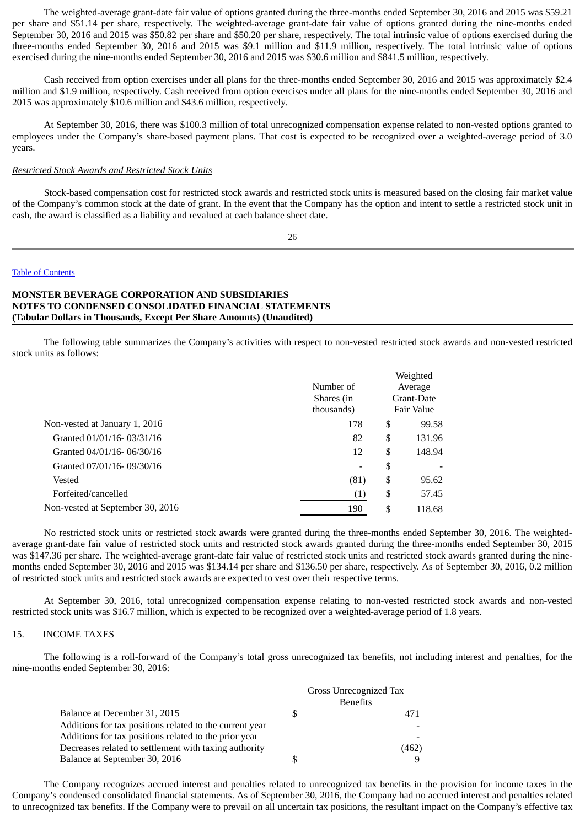The weighted-average grant-date fair value of options granted during the three-months ended September 30, 2016 and 2015 was \$59.21 per share and \$51.14 per share, respectively. The weighted-average grant-date fair value of options granted during the nine-months ended September 30, 2016 and 2015 was \$50.82 per share and \$50.20 per share, respectively. The total intrinsic value of options exercised during the three-months ended September 30, 2016 and 2015 was \$9.1 million and \$11.9 million, respectively. The total intrinsic value of options exercised during the nine-months ended September 30, 2016 and 2015 was \$30.6 million and \$841.5 million, respectively.

Cash received from option exercises under all plans for the three-months ended September 30, 2016 and 2015 was approximately \$2.4 million and \$1.9 million, respectively. Cash received from option exercises under all plans for the nine-months ended September 30, 2016 and 2015 was approximately \$10.6 million and \$43.6 million, respectively.

At September 30, 2016, there was \$100.3 million of total unrecognized compensation expense related to non-vested options granted to employees under the Company's share-based payment plans. That cost is expected to be recognized over a weighted-average period of 3.0 years.

### *Restricted Stock Awards and Restricted Stock Units*

Stock-based compensation cost for restricted stock awards and restricted stock units is measured based on the closing fair market value of the Company's common stock at the date of grant. In the event that the Company has the option and intent to settle a restricted stock unit in cash, the award is classified as a liability and revalued at each balance sheet date.

26

### Table of [Contents](#page-0-0)

### **MONSTER BEVERAGE CORPORATION AND SUBSIDIARIES NOTES TO CONDENSED CONSOLIDATED FINANCIAL STATEMENTS (Tabular Dollars in Thousands, Except Per Share Amounts) (Unaudited)**

The following table summarizes the Company's activities with respect to non-vested restricted stock awards and non-vested restricted stock units as follows:

|                                  |            |    | Weighted   |
|----------------------------------|------------|----|------------|
|                                  | Number of  |    | Average    |
|                                  | Shares (in |    | Grant-Date |
|                                  | thousands) |    | Fair Value |
| Non-vested at January 1, 2016    | 178        | S  | 99.58      |
| Granted 01/01/16-03/31/16        | 82         | S  | 131.96     |
| Granted 04/01/16-06/30/16        | 12         | S  | 148.94     |
| Granted 07/01/16-09/30/16        |            | \$ |            |
| Vested                           | (81)       | \$ | 95.62      |
| Forfeited/cancelled              | (1)        | \$ | 57.45      |
| Non-vested at September 30, 2016 | 190        | \$ | 118.68     |

No restricted stock units or restricted stock awards were granted during the three-months ended September 30, 2016. The weightedaverage grant-date fair value of restricted stock units and restricted stock awards granted during the three-months ended September 30, 2015 was \$147.36 per share. The weighted-average grant-date fair value of restricted stock units and restricted stock awards granted during the ninemonths ended September 30, 2016 and 2015 was \$134.14 per share and \$136.50 per share, respectively. As of September 30, 2016, 0.2 million of restricted stock units and restricted stock awards are expected to vest over their respective terms.

At September 30, 2016, total unrecognized compensation expense relating to non-vested restricted stock awards and non-vested restricted stock units was \$16.7 million, which is expected to be recognized over a weighted-average period of 1.8 years.

### 15. INCOME TAXES

The following is a roll-forward of the Company's total gross unrecognized tax benefits, not including interest and penalties, for the nine-months ended September 30, 2016:

| Gross Unrecognized Tax |
|------------------------|
| <b>Benefits</b>        |
|                        |
|                        |
|                        |
| 462                    |
|                        |
|                        |

The Company recognizes accrued interest and penalties related to unrecognized tax benefits in the provision for income taxes in the Company's condensed consolidated financial statements. As of September 30, 2016, the Company had no accrued interest and penalties related to unrecognized tax benefits. If the Company were to prevail on all uncertain tax positions, the resultant impact on the Company's effective tax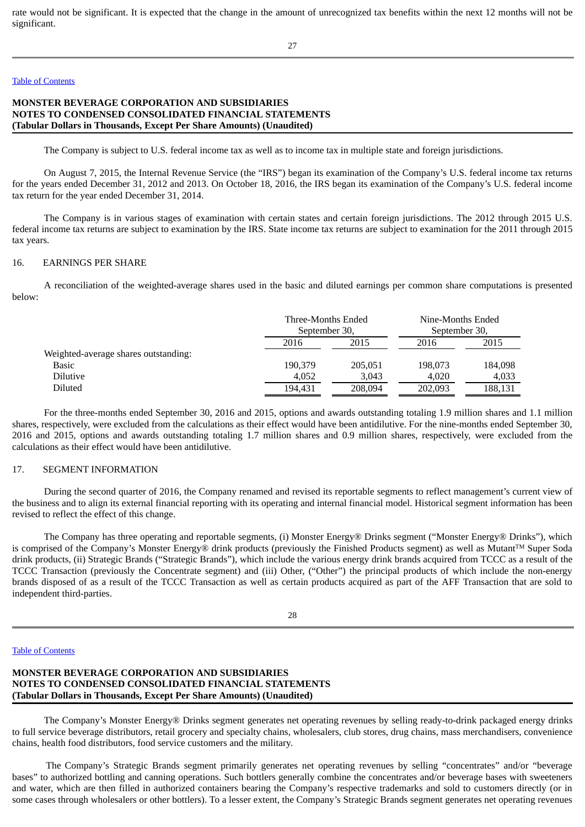rate would not be significant. It is expected that the change in the amount of unrecognized tax benefits within the next 12 months will not be significant.

#### Table of [Contents](#page-0-0)

# **MONSTER BEVERAGE CORPORATION AND SUBSIDIARIES NOTES TO CONDENSED CONSOLIDATED FINANCIAL STATEMENTS (Tabular Dollars in Thousands, Except Per Share Amounts) (Unaudited)**

The Company is subject to U.S. federal income tax as well as to income tax in multiple state and foreign jurisdictions.

On August 7, 2015, the Internal Revenue Service (the "IRS") began its examination of the Company's U.S. federal income tax returns for the years ended December 31, 2012 and 2013. On October 18, 2016, the IRS began its examination of the Company's U.S. federal income tax return for the year ended December 31, 2014.

The Company is in various stages of examination with certain states and certain foreign jurisdictions. The 2012 through 2015 U.S. federal income tax returns are subject to examination by the IRS. State income tax returns are subject to examination for the 2011 through 2015 tax years.

# 16. EARNINGS PER SHARE

A reconciliation of the weighted-average shares used in the basic and diluted earnings per common share computations is presented below:

|                                      | Three-Months Ended<br>September 30, |         | Nine-Months Ended<br>September 30, |         |
|--------------------------------------|-------------------------------------|---------|------------------------------------|---------|
|                                      | 2016                                | 2015    | 2016                               | 2015    |
| Weighted-average shares outstanding: |                                     |         |                                    |         |
| <b>Basic</b>                         | 190,379                             | 205,051 | 198,073                            | 184,098 |
| <b>Dilutive</b>                      | 4.052                               | 3.043   | 4.020                              | 4.033   |
| Diluted                              | 194,431                             | 208,094 | 202.093                            | 188,131 |

For the three-months ended September 30, 2016 and 2015, options and awards outstanding totaling 1.9 million shares and 1.1 million shares, respectively, were excluded from the calculations as their effect would have been antidilutive. For the nine-months ended September 30, 2016 and 2015, options and awards outstanding totaling 1.7 million shares and 0.9 million shares, respectively, were excluded from the calculations as their effect would have been antidilutive.

# 17. SEGMENT INFORMATION

During the second quarter of 2016, the Company renamed and revised its reportable segments to reflect management's current view of the business and to align its external financial reporting with its operating and internal financial model. Historical segment information has been revised to reflect the effect of this change.

The Company has three operating and reportable segments, (i) Monster Energy® Drinks segment ("Monster Energy® Drinks"), which is comprised of the Company's Monster Energy® drink products (previously the Finished Products segment) as well as Mutant™ Super Soda drink products, (ii) Strategic Brands ("Strategic Brands"), which include the various energy drink brands acquired from TCCC as a result of the TCCC Transaction (previously the Concentrate segment) and (iii) Other, ("Other") the principal products of which include the non-energy brands disposed of as a result of the TCCC Transaction as well as certain products acquired as part of the AFF Transaction that are sold to independent third-parties.

### 28

#### Table of [Contents](#page-0-0)

### **MONSTER BEVERAGE CORPORATION AND SUBSIDIARIES NOTES TO CONDENSED CONSOLIDATED FINANCIAL STATEMENTS (Tabular Dollars in Thousands, Except Per Share Amounts) (Unaudited)**

The Company's Monster Energy® Drinks segment generates net operating revenues by selling ready-to-drink packaged energy drinks to full service beverage distributors, retail grocery and specialty chains, wholesalers, club stores, drug chains, mass merchandisers, convenience chains, health food distributors, food service customers and the military.

The Company's Strategic Brands segment primarily generates net operating revenues by selling "concentrates" and/or "beverage bases" to authorized bottling and canning operations. Such bottlers generally combine the concentrates and/or beverage bases with sweeteners and water, which are then filled in authorized containers bearing the Company's respective trademarks and sold to customers directly (or in some cases through wholesalers or other bottlers). To a lesser extent, the Company's Strategic Brands segment generates net operating revenues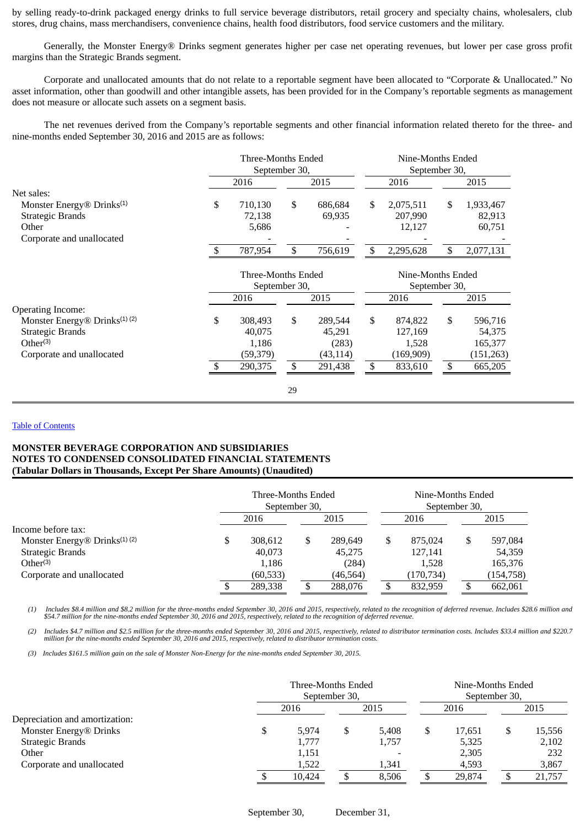by selling ready-to-drink packaged energy drinks to full service beverage distributors, retail grocery and specialty chains, wholesalers, club stores, drug chains, mass merchandisers, convenience chains, health food distributors, food service customers and the military.

Generally, the Monster Energy® Drinks segment generates higher per case net operating revenues, but lower per case gross profit margins than the Strategic Brands segment.

Corporate and unallocated amounts that do not relate to a reportable segment have been allocated to "Corporate & Unallocated." No asset information, other than goodwill and other intangible assets, has been provided for in the Company's reportable segments as management does not measure or allocate such assets on a segment basis.

The net revenues derived from the Company's reportable segments and other financial information related thereto for the three- and nine-months ended September 30, 2016 and 2015 are as follows:

|                                                   | Three-Months Ended |    |           | Nine-Months Ended |                   |    |            |  |
|---------------------------------------------------|--------------------|----|-----------|-------------------|-------------------|----|------------|--|
|                                                   | September 30,      |    |           | September 30,     |                   |    |            |  |
|                                                   | 2016               |    | 2015      |                   | 2016              |    | 2015       |  |
| Net sales:                                        |                    |    |           |                   |                   |    |            |  |
| Monster Energy <sup>®</sup> Drinks <sup>(1)</sup> | \$<br>710,130      | \$ | 686,684   | S.                | 2,075,511         | \$ | 1,933,467  |  |
| Strategic Brands                                  | 72,138             |    | 69,935    |                   | 207,990           |    | 82,913     |  |
| Other                                             | 5,686              |    |           |                   | 12,127            |    | 60,751     |  |
| Corporate and unallocated                         |                    |    |           |                   |                   |    |            |  |
|                                                   | 787,954            | \$ | 756,619   | \$                | 2,295,628         | \$ | 2,077,131  |  |
|                                                   | Three-Months Ended |    |           |                   | Nine-Months Ended |    |            |  |
|                                                   | September 30,      |    |           | September 30,     |                   |    |            |  |
|                                                   | 2016               |    | 2015      | 2016              |                   |    | 2015       |  |
|                                                   |                    |    |           |                   |                   |    |            |  |
| <b>Operating Income:</b>                          |                    |    |           |                   |                   |    |            |  |
| Monster Energy® Drinks <sup>(1)</sup> (2)         | \$<br>308,493      | \$ | 289,544   | <sup>\$</sup>     | 874,822           | \$ | 596,716    |  |
| <b>Strategic Brands</b>                           | 40,075             |    | 45,291    |                   | 127,169           |    | 54,375     |  |
| Other <sup>(3)</sup>                              | 1,186              |    | (283)     |                   | 1,528             |    | 165,377    |  |
| Corporate and unallocated                         | (59, 379)          |    | (43, 114) |                   | (169, 909)        |    | (151, 263) |  |
|                                                   | 290,375            | \$ | 291,438   |                   | 833,610           | \$ | 665,205    |  |

29

#### Table of [Contents](#page-0-0)

### **MONSTER BEVERAGE CORPORATION AND SUBSIDIARIES NOTES TO CONDENSED CONSOLIDATED FINANCIAL STATEMENTS (Tabular Dollars in Thousands, Except Per Share Amounts) (Unaudited)**

|                                                      | Three-Months Ended<br>September 30, |           |    |           | Nine-Months Ended<br>September 30, |            |            |
|------------------------------------------------------|-------------------------------------|-----------|----|-----------|------------------------------------|------------|------------|
|                                                      |                                     | 2016      |    | 2015      |                                    | 2016       | 2015       |
| Income before tax:                                   |                                     |           |    |           |                                    |            |            |
| Monster Energy® Drinks <sup>(1)</sup> <sup>(2)</sup> | \$                                  | 308,612   | S. | 289.649   | S                                  | 875.024    | 597,084    |
| <b>Strategic Brands</b>                              |                                     | 40,073    |    | 45,275    |                                    | 127,141    | 54,359     |
| Other <sup>(3)</sup>                                 |                                     | 1,186     |    | (284)     |                                    | 1,528      | 165,376    |
| Corporate and unallocated                            |                                     | (60, 533) |    | (46, 564) |                                    | (170, 734) | (154, 758) |
|                                                      |                                     | 289,338   |    | 288,076   |                                    | 832.959    | 662,061    |

(1) Includes \$8.4 million and \$8.2 million for the three-months ended September 30, 2016 and 2015, respectively, related to the recognition of deferred revenue. Includes \$28.6 million and \$54.7 million for the nine-months ended September 30, 2016 and 2015, respectively, related to the recognition of deferred revenue.

(2) Includes \$4.7 million and \$2.5 million for the three-months ended September 30, 2016 and 2015, respectively, related to distributor termination costs. Includes \$33.4 million and \$220.7<br>million for the nine-months ended

(3) Includes \$161.5 million gain on the sale of Monster Non-Energy for the nine-months ended September 30, 2015.

|                                | Three-Months Ended<br>September 30, |   |       | Nine-Months Ended<br>September 30, |        |   |        |
|--------------------------------|-------------------------------------|---|-------|------------------------------------|--------|---|--------|
|                                | 2016                                |   | 2015  |                                    | 2016   |   | 2015   |
| Depreciation and amortization: |                                     |   |       |                                    |        |   |        |
| Monster Energy® Drinks         | \$<br>5.974                         | S | 5.408 | \$                                 | 17,651 | S | 15,556 |
| <b>Strategic Brands</b>        | 1,777                               |   | 1,757 |                                    | 5,325  |   | 2,102  |
| Other                          | 1,151                               |   |       |                                    | 2,305  |   | 232    |
| Corporate and unallocated      | 1,522                               |   | 1,341 |                                    | 4,593  |   | 3,867  |
|                                | 10,424                              |   | 8,506 |                                    | 29,874 |   | 21,757 |

September 30, December 31,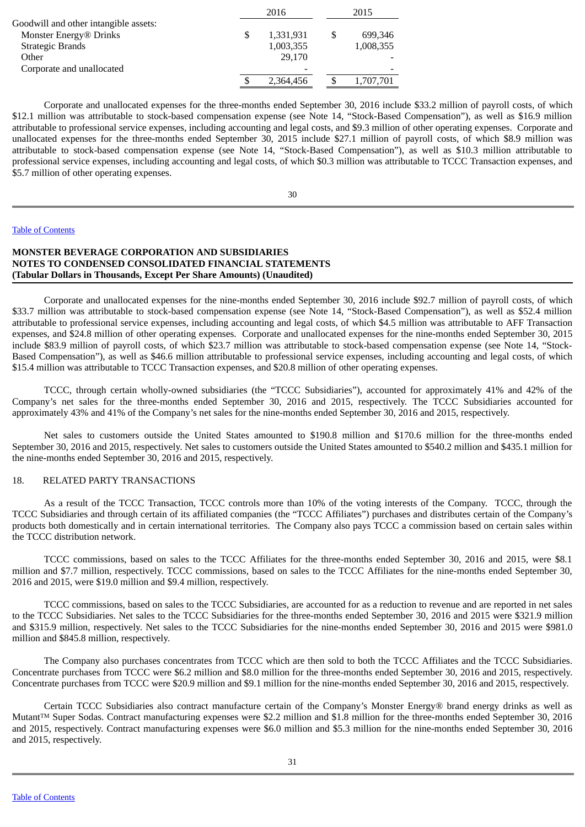|                                       | 2016 |           | 2015      |
|---------------------------------------|------|-----------|-----------|
| Goodwill and other intangible assets: |      |           |           |
| Monster Energy® Drinks                |      | 1,331,931 | 699.346   |
| <b>Strategic Brands</b>               |      | 1,003,355 | 1,008,355 |
| Other                                 |      | 29,170    |           |
| Corporate and unallocated             |      |           |           |
|                                       |      | 2,364,456 | 1,707,701 |
|                                       |      |           |           |

Corporate and unallocated expenses for the three-months ended September 30, 2016 include \$33.2 million of payroll costs, of which \$12.1 million was attributable to stock-based compensation expense (see Note 14, "Stock-Based Compensation"), as well as \$16.9 million attributable to professional service expenses, including accounting and legal costs, and \$9.3 million of other operating expenses. Corporate and unallocated expenses for the three-months ended September 30, 2015 include \$27.1 million of payroll costs, of which \$8.9 million was attributable to stock-based compensation expense (see Note 14, "Stock-Based Compensation"), as well as \$10.3 million attributable to professional service expenses, including accounting and legal costs, of which \$0.3 million was attributable to TCCC Transaction expenses, and \$5.7 million of other operating expenses.

30

### Table of [Contents](#page-0-0)

# **MONSTER BEVERAGE CORPORATION AND SUBSIDIARIES NOTES TO CONDENSED CONSOLIDATED FINANCIAL STATEMENTS (Tabular Dollars in Thousands, Except Per Share Amounts) (Unaudited)**

Corporate and unallocated expenses for the nine-months ended September 30, 2016 include \$92.7 million of payroll costs, of which \$33.7 million was attributable to stock-based compensation expense (see Note 14, "Stock-Based Compensation"), as well as \$52.4 million attributable to professional service expenses, including accounting and legal costs, of which \$4.5 million was attributable to AFF Transaction expenses, and \$24.8 million of other operating expenses. Corporate and unallocated expenses for the nine-months ended September 30, 2015 include \$83.9 million of payroll costs, of which \$23.7 million was attributable to stock-based compensation expense (see Note 14, "Stock-Based Compensation"), as well as \$46.6 million attributable to professional service expenses, including accounting and legal costs, of which \$15.4 million was attributable to TCCC Transaction expenses, and \$20.8 million of other operating expenses.

TCCC, through certain wholly-owned subsidiaries (the "TCCC Subsidiaries"), accounted for approximately 41% and 42% of the Company's net sales for the three-months ended September 30, 2016 and 2015, respectively. The TCCC Subsidiaries accounted for approximately 43% and 41% of the Company's net sales for the nine-months ended September 30, 2016 and 2015, respectively.

Net sales to customers outside the United States amounted to \$190.8 million and \$170.6 million for the three-months ended September 30, 2016 and 2015, respectively. Net sales to customers outside the United States amounted to \$540.2 million and \$435.1 million for the nine-months ended September 30, 2016 and 2015, respectively.

# 18. RELATED PARTY TRANSACTIONS

As a result of the TCCC Transaction, TCCC controls more than 10% of the voting interests of the Company. TCCC, through the TCCC Subsidiaries and through certain of its affiliated companies (the "TCCC Affiliates") purchases and distributes certain of the Company's products both domestically and in certain international territories. The Company also pays TCCC a commission based on certain sales within the TCCC distribution network.

TCCC commissions, based on sales to the TCCC Affiliates for the three-months ended September 30, 2016 and 2015, were \$8.1 million and \$7.7 million, respectively. TCCC commissions, based on sales to the TCCC Affiliates for the nine-months ended September 30, 2016 and 2015, were \$19.0 million and \$9.4 million, respectively.

TCCC commissions, based on sales to the TCCC Subsidiaries, are accounted for as a reduction to revenue and are reported in net sales to the TCCC Subsidiaries. Net sales to the TCCC Subsidiaries for the three-months ended September 30, 2016 and 2015 were \$321.9 million and \$315.9 million, respectively. Net sales to the TCCC Subsidiaries for the nine-months ended September 30, 2016 and 2015 were \$981.0 million and \$845.8 million, respectively.

The Company also purchases concentrates from TCCC which are then sold to both the TCCC Affiliates and the TCCC Subsidiaries. Concentrate purchases from TCCC were \$6.2 million and \$8.0 million for the three-months ended September 30, 2016 and 2015, respectively. Concentrate purchases from TCCC were \$20.9 million and \$9.1 million for the nine-months ended September 30, 2016 and 2015, respectively.

Certain TCCC Subsidiaries also contract manufacture certain of the Company's Monster Energy® brand energy drinks as well as Mutant<sup>™</sup> Super Sodas. Contract manufacturing expenses were \$2.2 million and \$1.8 million for the three-months ended September 30, 2016 and 2015, respectively. Contract manufacturing expenses were \$6.0 million and \$5.3 million for the nine-months ended September 30, 2016 and 2015, respectively.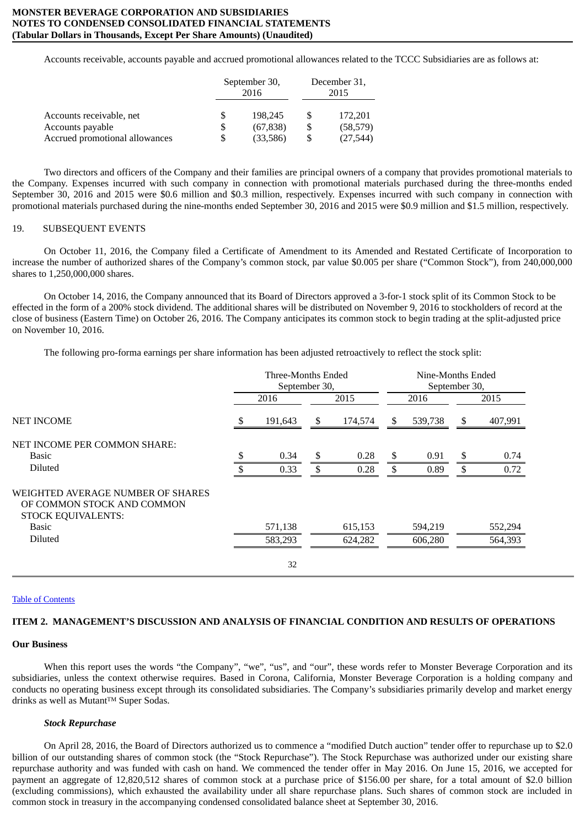# **MONSTER BEVERAGE CORPORATION AND SUBSIDIARIES NOTES TO CONDENSED CONSOLIDATED FINANCIAL STATEMENTS (Tabular Dollars in Thousands, Except Per Share Amounts) (Unaudited)**

Accounts receivable, accounts payable and accrued promotional allowances related to the TCCC Subsidiaries are as follows at:

|                                                                                | September 30,<br>2016 |                                  | December 31,<br>2015 |                                  |  |
|--------------------------------------------------------------------------------|-----------------------|----------------------------------|----------------------|----------------------------------|--|
| Accounts receivable, net<br>Accounts payable<br>Accrued promotional allowances | S<br>S                | 198.245<br>(67, 838)<br>(33,586) | S<br>-S              | 172.201<br>(58, 579)<br>(27,544) |  |

Two directors and officers of the Company and their families are principal owners of a company that provides promotional materials to the Company. Expenses incurred with such company in connection with promotional materials purchased during the three-months ended September 30, 2016 and 2015 were \$0.6 million and \$0.3 million, respectively. Expenses incurred with such company in connection with promotional materials purchased during the nine-months ended September 30, 2016 and 2015 were \$0.9 million and \$1.5 million, respectively.

### 19. SUBSEQUENT EVENTS

On October 11, 2016, the Company filed a Certificate of Amendment to its Amended and Restated Certificate of Incorporation to increase the number of authorized shares of the Company's common stock, par value \$0.005 per share ("Common Stock"), from 240,000,000 shares to 1,250,000,000 shares.

On October 14, 2016, the Company announced that its Board of Directors approved a 3-for-1 stock split of its Common Stock to be effected in the form of a 200% stock dividend. The additional shares will be distributed on November 9, 2016 to stockholders of record at the close of business (Eastern Time) on October 26, 2016. The Company anticipates its common stock to begin trading at the split-adjusted price on November 10, 2016.

The following pro-forma earnings per share information has been adjusted retroactively to reflect the stock split:

|                                                                                       |    | Three-Months Ended<br>September 30, |               |   | Nine-Months Ended | September 30, |         |
|---------------------------------------------------------------------------------------|----|-------------------------------------|---------------|---|-------------------|---------------|---------|
|                                                                                       |    | 2016                                | 2015          |   | 2016              |               | 2015    |
| <b>NET INCOME</b>                                                                     | S  | 191,643                             | \$<br>174,574 | S | 539,738           | S.            | 407,991 |
| NET INCOME PER COMMON SHARE:                                                          |    |                                     |               |   |                   |               |         |
| Basic                                                                                 | \$ | 0.34                                | \$<br>0.28    | S | 0.91              | S             | 0.74    |
| <b>Diluted</b>                                                                        |    | 0.33                                | 0.28          |   | 0.89              |               | 0.72    |
| WEIGHTED AVERAGE NUMBER OF SHARES<br>OF COMMON STOCK AND COMMON<br>STOCK EQUIVALENTS: |    |                                     |               |   |                   |               |         |
| Basic                                                                                 |    | 571,138                             | 615,153       |   | 594,219           |               | 552,294 |
| <b>Diluted</b>                                                                        |    | 583,293                             | 624,282       |   | 606,280           |               | 564,393 |
|                                                                                       |    | 32                                  |               |   |                   |               |         |

### Table of [Contents](#page-0-0)

### <span id="page-22-0"></span>**ITEM 2. MANAGEMENT'S DISCUSSION AND ANALYSIS OF FINANCIAL CONDITION AND RESULTS OF OPERATIONS**

### **Our Business**

When this report uses the words "the Company", "we", "us", and "our", these words refer to Monster Beverage Corporation and its subsidiaries, unless the context otherwise requires. Based in Corona, California, Monster Beverage Corporation is a holding company and conducts no operating business except through its consolidated subsidiaries. The Company's subsidiaries primarily develop and market energy drinks as well as Mutant™ Super Sodas.

### *Stock Repurchase*

On April 28, 2016, the Board of Directors authorized us to commence a "modified Dutch auction" tender offer to repurchase up to \$2.0 billion of our outstanding shares of common stock (the "Stock Repurchase"). The Stock Repurchase was authorized under our existing share repurchase authority and was funded with cash on hand. We commenced the tender offer in May 2016. On June 15, 2016, we accepted for payment an aggregate of 12,820,512 shares of common stock at a purchase price of \$156.00 per share, for a total amount of \$2.0 billion (excluding commissions), which exhausted the availability under all share repurchase plans. Such shares of common stock are included in common stock in treasury in the accompanying condensed consolidated balance sheet at September 30, 2016.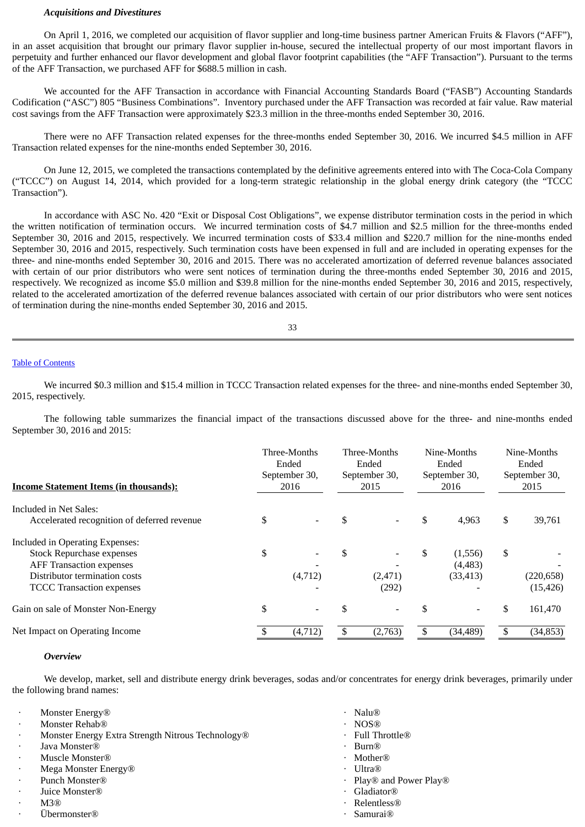#### *Acquisitions and Divestitures*

On April 1, 2016, we completed our acquisition of flavor supplier and long-time business partner American Fruits & Flavors ("AFF"), in an asset acquisition that brought our primary flavor supplier in-house, secured the intellectual property of our most important flavors in perpetuity and further enhanced our flavor development and global flavor footprint capabilities (the "AFF Transaction"). Pursuant to the terms of the AFF Transaction, we purchased AFF for \$688.5 million in cash.

We accounted for the AFF Transaction in accordance with Financial Accounting Standards Board ("FASB") Accounting Standards Codification ("ASC") 805 "Business Combinations". Inventory purchased under the AFF Transaction was recorded at fair value. Raw material cost savings from the AFF Transaction were approximately \$23.3 million in the three-months ended September 30, 2016.

There were no AFF Transaction related expenses for the three-months ended September 30, 2016. We incurred \$4.5 million in AFF Transaction related expenses for the nine-months ended September 30, 2016.

On June 12, 2015, we completed the transactions contemplated by the definitive agreements entered into with The Coca-Cola Company ("TCCC") on August 14, 2014, which provided for a long-term strategic relationship in the global energy drink category (the "TCCC Transaction").

In accordance with ASC No. 420 "Exit or Disposal Cost Obligations", we expense distributor termination costs in the period in which the written notification of termination occurs. We incurred termination costs of \$4.7 million and \$2.5 million for the three-months ended September 30, 2016 and 2015, respectively. We incurred termination costs of \$33.4 million and \$220.7 million for the nine-months ended September 30, 2016 and 2015, respectively. Such termination costs have been expensed in full and are included in operating expenses for the three- and nine-months ended September 30, 2016 and 2015. There was no accelerated amortization of deferred revenue balances associated with certain of our prior distributors who were sent notices of termination during the three-months ended September 30, 2016 and 2015, respectively. We recognized as income \$5.0 million and \$39.8 million for the nine-months ended September 30, 2016 and 2015, respectively, related to the accelerated amortization of the deferred revenue balances associated with certain of our prior distributors who were sent notices of termination during the nine-months ended September 30, 2016 and 2015.

33

#### Table of [Contents](#page-0-0)

We incurred \$0.3 million and \$15.4 million in TCCC Transaction related expenses for the three- and nine-months ended September 30, 2015, respectively.

The following table summarizes the financial impact of the transactions discussed above for the three- and nine-months ended September 30, 2016 and 2015:

| <b>Income Statement Items (in thousands):</b> | Three-Months<br>Ended<br>September 30,<br>2016 | Three-Months<br>Ended<br>September 30,<br>2015 |         | Nine-Months<br>Ended<br>September 30,<br>2016 |           | Nine-Months<br>Ended<br>September 30,<br>2015 |            |
|-----------------------------------------------|------------------------------------------------|------------------------------------------------|---------|-----------------------------------------------|-----------|-----------------------------------------------|------------|
| Included in Net Sales:                        |                                                |                                                |         |                                               |           |                                               |            |
| Accelerated recognition of deferred revenue   | \$                                             |                                                |         | \$                                            | 4,963     | \$                                            | 39,761     |
| Included in Operating Expenses:               |                                                |                                                |         |                                               |           |                                               |            |
| Stock Repurchase expenses                     | \$                                             |                                                |         |                                               | (1,556)   | \$                                            |            |
| <b>AFF Transaction expenses</b>               |                                                |                                                |         |                                               | (4, 483)  |                                               |            |
| Distributor termination costs                 | (4, 712)                                       |                                                | (2,471) |                                               | (33, 413) |                                               | (220, 658) |
| <b>TCCC Transaction expenses</b>              |                                                |                                                | (292)   |                                               |           |                                               | (15, 426)  |
| Gain on sale of Monster Non-Energy            | \$                                             |                                                |         |                                               |           | \$                                            | 161,470    |
| Net Impact on Operating Income                | (4, 712)                                       |                                                | (2,763) | \$                                            | (34, 489) |                                               | (34, 853)  |

### *Overview*

We develop, market, sell and distribute energy drink beverages, sodas and/or concentrates for energy drink beverages, primarily under the following brand names:

- **Monster Energy®** · Nalu®
- **Monster Rehab®** · NOS® · NOS®
- Monster Energy Extra Strength Nitrous Technology® Full Throttle®
- *Fava Monster®* · Burn®
- **Muscle Monster®** · **Muscle Monster®** · **Mother**
- **Mega Monster Energy®** · Ultra®
- 
- **Figure Monster®** · **Gladiator®** · Gladiator®
- $\cdot$  M3®  $\cdot$  Relentless®
- · Übermonster® · Samurai®
- 
- 
- 
- 
- 
- 
- Punch Monster® **Punch Monster®** *Play®* and Power Play®
	-
	-
	-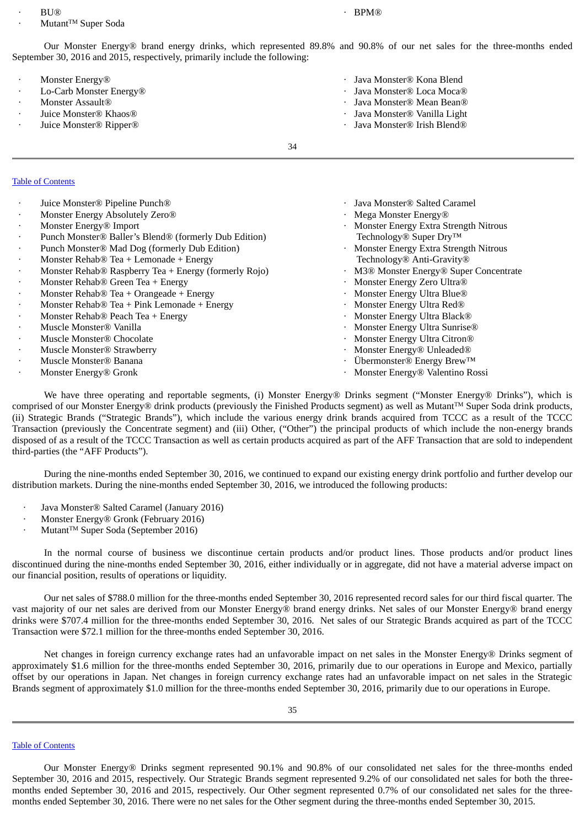- 
- · Mutant<sup>™</sup> Super Soda

 $\cdot$  BU® · BPM®

Our Monster Energy® brand energy drinks, which represented 89.8% and 90.8% of our net sales for the three-months ended September 30, 2016 and 2015, respectively, primarily include the following:

- 
- · Lo-Carb Monster Energy® · Java Monster® Loca Moca®
- 
- 
- Juice Monster® Ripper® · **Java Monster® Irish Blend®** · Java Monster® Irish Blend®
- **Monster Energy®** *CONSTERS <b>CONSTERS CONSTERS CONSTERS CONSTERS CONSTERS CONSTERS CONSTERS CONSTERS CONSTERS CONSTERS CONSTERS CONSTERS CONSTERS CONSTERS CONSTERS* 
	-
- · Monster Assault® · Java Monster® Mean Bean®
	- · Java Monster® Vanilla Light
	-

34

### Table of [Contents](#page-0-0)

- · Juice Monster® Pipeline Punch® · Java Monster® Salted Caramel
- **Monster Energy Absolutely Zero® · Mega Monster Energy @ · Mega Monster Energy**
- 
- Punch Monster® Baller's Blend® (formerly Dub Edition) Technology® Super Dry™<br>Punch Monster® Mad Dog (formerly Dub Edition) for a monster Energy Extra Strength Nitrous
- Punch Monster® Mad Dog (formerly Dub Edition)
- **Monster Rehab® Tea + Lemonade + Energy Technology® Anti-Gravity®**
- · Monster Rehab® Raspberry Tea + Energy (formerly Rojo) · M3® Monster Energy® Super Concentrate
- **Monster Rehab® Green Tea + Energy All and Server Constant Constant Constant Constant Constant Constant Constant Constant Constant Constant Constant Constant Constant Constant Constant Constant Constant Constant Constan**
- **Monster Rehab® Tea + Orangeade + Energy and Service 2 and Service Constant Monster Energy Ultra Blue®**
- Monster Rehab® Tea + Pink Lemonade + Energy **· Monster Energy Ultra Red®**
- **Monster Rehab® Peach Tea + Energy** *CONSTERMONAGER FRAME FRAME FRAME FRAME FRAME FRAME FRAME FRAME FRAME FRAME FRAME FRAME FRAME FRAME FRAME FRAME FRAME FRAME FRAME FRAME FRAME FRAME FRAME FRAME FRAME FRAME FRAME FRAME F*
- 
- **Muscle Monster® Chocolate and the constant of the Monster Energy Ultra Citron® · Monster Energy Ultra Citron®**
- **Muscle Monster® Strawberry and the strawberry of the strawberry of the strawberry of the strawberry of the strawberry of the strawberry of the strawberry of the strawberry of the straight of the straight of the straigh**
- · Muscle Monster® Banana · Übermonster® Energy Brew™
- 
- 
- 
- · Monster Energy® Import · Monster Energy Extra Strength Nitrous
	-
	-
	-
	-
	-
	-
- **Muscle Monster® Vanilla and Sunrise®** *Monster Energy Ultra Sunrise®* 
	-
	-
	-
- · Monster Energy® Gronk · Monster Energy® Valentino Rossi

We have three operating and reportable segments, (i) Monster Energy® Drinks segment ("Monster Energy® Drinks"), which is comprised of our Monster Energy® drink products (previously the Finished Products segment) as well as Mutant™ Super Soda drink products, (ii) Strategic Brands ("Strategic Brands"), which include the various energy drink brands acquired from TCCC as a result of the TCCC Transaction (previously the Concentrate segment) and (iii) Other, ("Other") the principal products of which include the non-energy brands disposed of as a result of the TCCC Transaction as well as certain products acquired as part of the AFF Transaction that are sold to independent third-parties (the "AFF Products").

During the nine-months ended September 30, 2016, we continued to expand our existing energy drink portfolio and further develop our distribution markets. During the nine-months ended September 30, 2016, we introduced the following products:

- Java Monster® Salted Caramel (January 2016)
- · Monster Energy® Gronk (February 2016)
- $\cdot$  Mutant<sup>TM</sup> Super Soda (September 2016)

In the normal course of business we discontinue certain products and/or product lines. Those products and/or product lines discontinued during the nine-months ended September 30, 2016, either individually or in aggregate, did not have a material adverse impact on our financial position, results of operations or liquidity.

Our net sales of \$788.0 million for the three-months ended September 30, 2016 represented record sales for our third fiscal quarter. The vast majority of our net sales are derived from our Monster Energy® brand energy drinks. Net sales of our Monster Energy® brand energy drinks were \$707.4 million for the three-months ended September 30, 2016. Net sales of our Strategic Brands acquired as part of the TCCC Transaction were \$72.1 million for the three-months ended September 30, 2016.

Net changes in foreign currency exchange rates had an unfavorable impact on net sales in the Monster Energy® Drinks segment of approximately \$1.6 million for the three-months ended September 30, 2016, primarily due to our operations in Europe and Mexico, partially offset by our operations in Japan. Net changes in foreign currency exchange rates had an unfavorable impact on net sales in the Strategic Brands segment of approximately \$1.0 million for the three-months ended September 30, 2016, primarily due to our operations in Europe.

#### Table of [Contents](#page-0-0)

Our Monster Energy® Drinks segment represented 90.1% and 90.8% of our consolidated net sales for the three-months ended September 30, 2016 and 2015, respectively. Our Strategic Brands segment represented 9.2% of our consolidated net sales for both the threemonths ended September 30, 2016 and 2015, respectively. Our Other segment represented 0.7% of our consolidated net sales for the threemonths ended September 30, 2016. There were no net sales for the Other segment during the three-months ended September 30, 2015.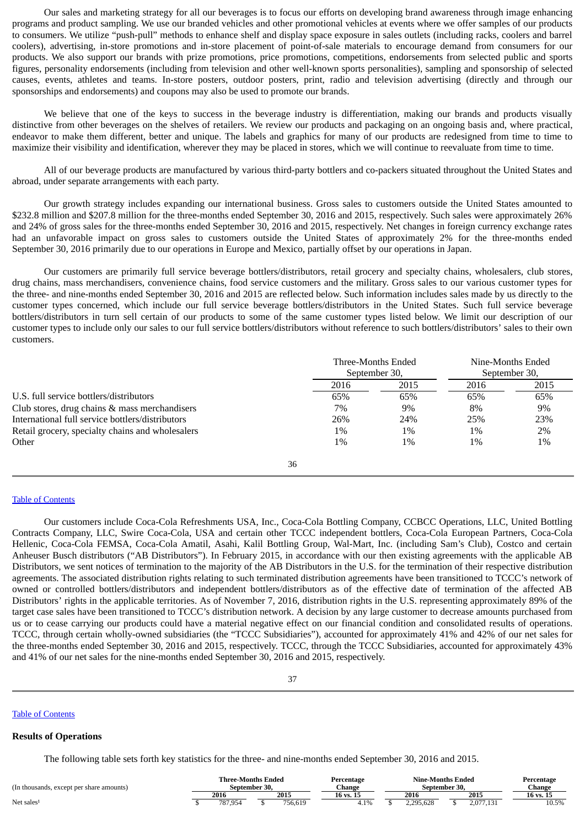Our sales and marketing strategy for all our beverages is to focus our efforts on developing brand awareness through image enhancing programs and product sampling. We use our branded vehicles and other promotional vehicles at events where we offer samples of our products to consumers. We utilize "push-pull" methods to enhance shelf and display space exposure in sales outlets (including racks, coolers and barrel coolers), advertising, in-store promotions and in-store placement of point-of-sale materials to encourage demand from consumers for our products. We also support our brands with prize promotions, price promotions, competitions, endorsements from selected public and sports figures, personality endorsements (including from television and other well-known sports personalities), sampling and sponsorship of selected causes, events, athletes and teams. In-store posters, outdoor posters, print, radio and television advertising (directly and through our sponsorships and endorsements) and coupons may also be used to promote our brands.

We believe that one of the keys to success in the beverage industry is differentiation, making our brands and products visually distinctive from other beverages on the shelves of retailers. We review our products and packaging on an ongoing basis and, where practical, endeavor to make them different, better and unique. The labels and graphics for many of our products are redesigned from time to time to maximize their visibility and identification, wherever they may be placed in stores, which we will continue to reevaluate from time to time.

All of our beverage products are manufactured by various third-party bottlers and co-packers situated throughout the United States and abroad, under separate arrangements with each party.

Our growth strategy includes expanding our international business. Gross sales to customers outside the United States amounted to \$232.8 million and \$207.8 million for the three-months ended September 30, 2016 and 2015, respectively. Such sales were approximately 26% and 24% of gross sales for the three-months ended September 30, 2016 and 2015, respectively. Net changes in foreign currency exchange rates had an unfavorable impact on gross sales to customers outside the United States of approximately 2% for the three-months ended September 30, 2016 primarily due to our operations in Europe and Mexico, partially offset by our operations in Japan.

Our customers are primarily full service beverage bottlers/distributors, retail grocery and specialty chains, wholesalers, club stores, drug chains, mass merchandisers, convenience chains, food service customers and the military. Gross sales to our various customer types for the three- and nine-months ended September 30, 2016 and 2015 are reflected below. Such information includes sales made by us directly to the customer types concerned, which include our full service beverage bottlers/distributors in the United States. Such full service beverage bottlers/distributors in turn sell certain of our products to some of the same customer types listed below. We limit our description of our customer types to include only our sales to our full service bottlers/distributors without reference to such bottlers/distributors' sales to their own customers.

|                                                  |               | Three-Months Ended |       | Nine-Months Ended |
|--------------------------------------------------|---------------|--------------------|-------|-------------------|
|                                                  | September 30, |                    |       | September 30,     |
|                                                  | 2016          | 2015               | 2016  | 2015              |
| U.S. full service bottlers/distributors          | 65%           | 65%                | 65%   | 65%               |
| Club stores, drug chains & mass merchandisers    | 7%            | 9%                 | 8%    | 9%                |
| International full service bottlers/distributors | 26%           | 24%                | 25%   | 23%               |
| Retail grocery, specialty chains and wholesalers | 1%            | $1\%$              | 1%    | 2%                |
| Other                                            | 1%            | $1\%$              | $1\%$ | $1\%$             |
|                                                  | n c           |                    |       |                   |

36

### Table of [Contents](#page-0-0)

Our customers include Coca-Cola Refreshments USA, Inc., Coca-Cola Bottling Company, CCBCC Operations, LLC, United Bottling Contracts Company, LLC, Swire Coca-Cola, USA and certain other TCCC independent bottlers, Coca-Cola European Partners, Coca-Cola Hellenic, Coca-Cola FEMSA, Coca-Cola Amatil, Asahi, Kalil Bottling Group, Wal-Mart, Inc. (including Sam's Club), Costco and certain Anheuser Busch distributors ("AB Distributors"). In February 2015, in accordance with our then existing agreements with the applicable AB Distributors, we sent notices of termination to the majority of the AB Distributors in the U.S. for the termination of their respective distribution agreements. The associated distribution rights relating to such terminated distribution agreements have been transitioned to TCCC's network of owned or controlled bottlers/distributors and independent bottlers/distributors as of the effective date of termination of the affected AB Distributors' rights in the applicable territories. As of November 7, 2016, distribution rights in the U.S. representing approximately 89% of the target case sales have been transitioned to TCCC's distribution network. A decision by any large customer to decrease amounts purchased from us or to cease carrying our products could have a material negative effect on our financial condition and consolidated results of operations. TCCC, through certain wholly-owned subsidiaries (the "TCCC Subsidiaries"), accounted for approximately 41% and 42% of our net sales for the three-months ended September 30, 2016 and 2015, respectively. TCCC, through the TCCC Subsidiaries, accounted for approximately 43% and 41% of our net sales for the nine-months ended September 30, 2016 and 2015, respectively.

### Table of [Contents](#page-0-0)

#### **Results of Operations**

The following table sets forth key statistics for the three- and nine-months ended September 30, 2016 and 2015.

| (In thousands, except per share amounts) | <b>Three-Months Ended</b><br>September 30. |         | Percentage<br>Change | <b>Nine-Months Ended</b><br>September 30. |                          | Percentage<br>Change |
|------------------------------------------|--------------------------------------------|---------|----------------------|-------------------------------------------|--------------------------|----------------------|
|                                          | 2016                                       | 2015    | 16 vs.               | 2016                                      | 2015                     | 16 vs. 15            |
| Net sales <sup>1</sup>                   | 787.954                                    | 756,619 | 10/<br>4.I/0         | 2.295.628                                 | 2,077<br>$^{\prime}$ ,13 | 10.5%                |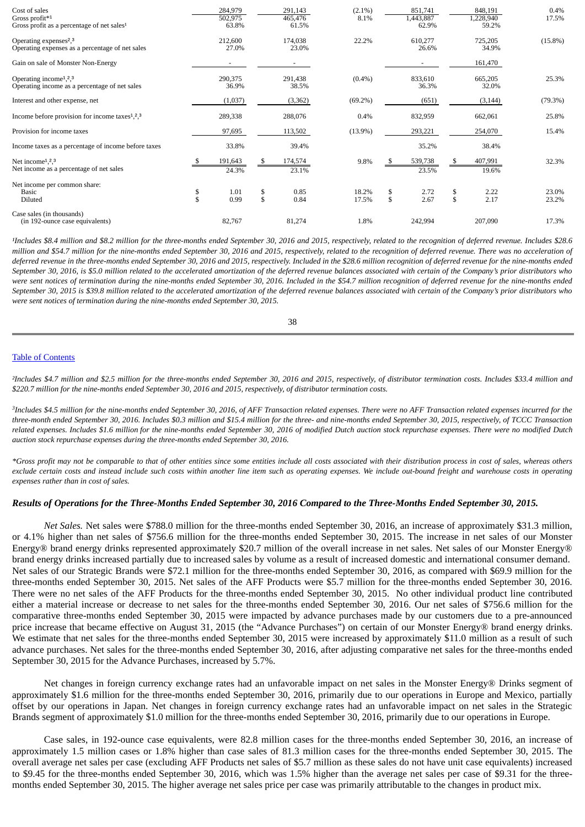| Cost of sales<br>Gross profit*1<br>Gross profit as a percentage of net sales <sup>1</sup>                    |          | 284,979<br>502,975<br>63.8% |          | 291,143<br>465,476<br>61.5% | $(2.1\%)$<br>8.1% |                     | 851,741<br>1,443,887<br>62.9% |          | 848,191<br>1,228,940<br>59.2% | 0.4%<br>17.5%  |
|--------------------------------------------------------------------------------------------------------------|----------|-----------------------------|----------|-----------------------------|-------------------|---------------------|-------------------------------|----------|-------------------------------|----------------|
| Operating expenses <sup>2</sup> , <sup>3</sup><br>Operating expenses as a percentage of net sales            |          | 212,600<br>27.0%            |          | 174,038<br>23.0%            | 22.2%             |                     | 610,277<br>26.6%              |          | 725,205<br>34.9%              | $(15.8\%)$     |
| Gain on sale of Monster Non-Energy                                                                           |          |                             |          |                             |                   |                     |                               |          | 161,470                       |                |
| Operating income <sup>1</sup> , <sup>2</sup> , <sup>3</sup><br>Operating income as a percentage of net sales |          | 290,375<br>36.9%            |          | 291,438<br>38.5%            | $(0.4\%)$         |                     | 833,610<br>36.3%              |          | 665,205<br>32.0%              | 25.3%          |
| Interest and other expense, net                                                                              |          | (1,037)                     |          | (3, 362)                    | $(69.2\%)$        |                     | (651)                         |          | (3, 144)                      | (79.3%)        |
| Income before provision for income taxes $1,2,3$                                                             |          | 289,338                     |          | 288,076                     | 0.4%              |                     | 832,959                       |          | 662,061                       | 25.8%          |
| Provision for income taxes                                                                                   |          | 97,695                      |          | 113,502                     | $(13.9\%)$        |                     | 293,221                       |          | 254,070                       | 15.4%          |
| Income taxes as a percentage of income before taxes                                                          |          | 33.8%                       |          | 39.4%                       |                   |                     | 35.2%                         |          | 38.4%                         |                |
| Net income <sup>1</sup> , <sup>2</sup> , <sup>3</sup><br>Net income as a percentage of net sales             |          | 191,643<br>24.3%            |          | 174,574<br>23.1%            | 9.8%              |                     | 539,738<br>23.5%              |          | 407,991<br>19.6%              | 32.3%          |
| Net income per common share:<br><b>Basic</b><br>Diluted                                                      | \$<br>\$ | 1.01<br>0.99                | \$<br>\$ | 0.85<br>0.84                | 18.2%<br>17.5%    | \$<br>$\mathcal{S}$ | 2.72<br>2.67                  | \$<br>\$ | 2.22<br>2.17                  | 23.0%<br>23.2% |
| Case sales (in thousands)<br>(in 192-ounce case equivalents)                                                 |          | 82,767                      |          | 81,274                      | 1.8%              |                     | 242,994                       |          | 207,090                       | 17.3%          |

*¹Includes \$8.4 million and \$8.2 million for the three-months ended September 30, 2016 and 2015, respectively, related to the recognition of deferred revenue. Includes \$28.6 million and \$54.7 million for the nine-months ended September 30, 2016 and 2015, respectively, related to the recognition of deferred revenue. There was no acceleration of deferred revenue in the three-months ended September 30, 2016 and 2015, respectively. Included in the \$28.6 million recognition of deferred revenue for the nine-months ended September 30, 2016, is \$5.0 million related to the accelerated amortization of the deferred revenue balances associated with certain of the Company's prior distributors who were sent notices of termination during the nine-months ended September 30, 2016. Included in the \$54.7 million recognition of deferred revenue for the nine-months ended September 30, 2015 is \$39.8 million related to the accelerated amortization of the deferred revenue balances associated with certain of the Company's prior distributors who were sent notices of termination during the nine-months ended September 30, 2015.*

38

#### Table of [Contents](#page-0-0)

*²Includes \$4.7 million and \$2.5 million for the three-months ended September 30, 2016 and 2015, respectively, of distributor termination costs. Includes \$33.4 million and \$220.7 million for the nine-months ended September 30, 2016 and 2015, respectively, of distributor termination costs.*

*Includes \$4.5 million for the nine-months ended September 30, 2016, of AFF Transaction related expenses. There were no AFF Transaction related expenses incurred for the 3three-month ended September 30, 2016. Includes \$0.3 million and \$15.4 million for the three- and nine-months ended September 30, 2015, respectively, of TCCC Transaction related expenses. Includes \$1.6 million for the nine-months ended September 30, 2016 of modified Dutch auction stock repurchase expenses. There were no modified Dutch auction stock repurchase expenses during the three-months ended September 30, 2016.*

*\*Gross profit may not be comparable to that of other entities since some entities include all costs associated with their distribution process in cost of sales, whereas others exclude certain costs and instead include such costs within another line item such as operating expenses. We include out-bound freight and warehouse costs in operating expenses rather than in cost of sales.*

# Results of Operations for the Three-Months Ended September 30, 2016 Compared to the Three-Months Ended September 30, 2015.

*Net Sales.* Net sales were \$788.0 million for the three-months ended September 30, 2016, an increase of approximately \$31.3 million, or 4.1% higher than net sales of \$756.6 million for the three-months ended September 30, 2015. The increase in net sales of our Monster Energy® brand energy drinks represented approximately \$20.7 million of the overall increase in net sales. Net sales of our Monster Energy® brand energy drinks increased partially due to increased sales by volume as a result of increased domestic and international consumer demand. Net sales of our Strategic Brands were \$72.1 million for the three-months ended September 30, 2016, as compared with \$69.9 million for the three-months ended September 30, 2015. Net sales of the AFF Products were \$5.7 million for the three-months ended September 30, 2016. There were no net sales of the AFF Products for the three-months ended September 30, 2015. No other individual product line contributed either a material increase or decrease to net sales for the three-months ended September 30, 2016. Our net sales of \$756.6 million for the comparative three-months ended September 30, 2015 were impacted by advance purchases made by our customers due to a pre-announced price increase that became effective on August 31, 2015 (the "Advance Purchases") on certain of our Monster Energy® brand energy drinks. We estimate that net sales for the three-months ended September 30, 2015 were increased by approximately \$11.0 million as a result of such advance purchases. Net sales for the three-months ended September 30, 2016, after adjusting comparative net sales for the three-months ended September 30, 2015 for the Advance Purchases, increased by 5.7%.

Net changes in foreign currency exchange rates had an unfavorable impact on net sales in the Monster Energy® Drinks segment of approximately \$1.6 million for the three-months ended September 30, 2016, primarily due to our operations in Europe and Mexico, partially offset by our operations in Japan. Net changes in foreign currency exchange rates had an unfavorable impact on net sales in the Strategic Brands segment of approximately \$1.0 million for the three-months ended September 30, 2016, primarily due to our operations in Europe.

Case sales, in 192-ounce case equivalents, were 82.8 million cases for the three-months ended September 30, 2016, an increase of approximately 1.5 million cases or 1.8% higher than case sales of 81.3 million cases for the three-months ended September 30, 2015. The overall average net sales per case (excluding AFF Products net sales of \$5.7 million as these sales do not have unit case equivalents) increased to \$9.45 for the three-months ended September 30, 2016, which was 1.5% higher than the average net sales per case of \$9.31 for the threemonths ended September 30, 2015. The higher average net sales price per case was primarily attributable to the changes in product mix.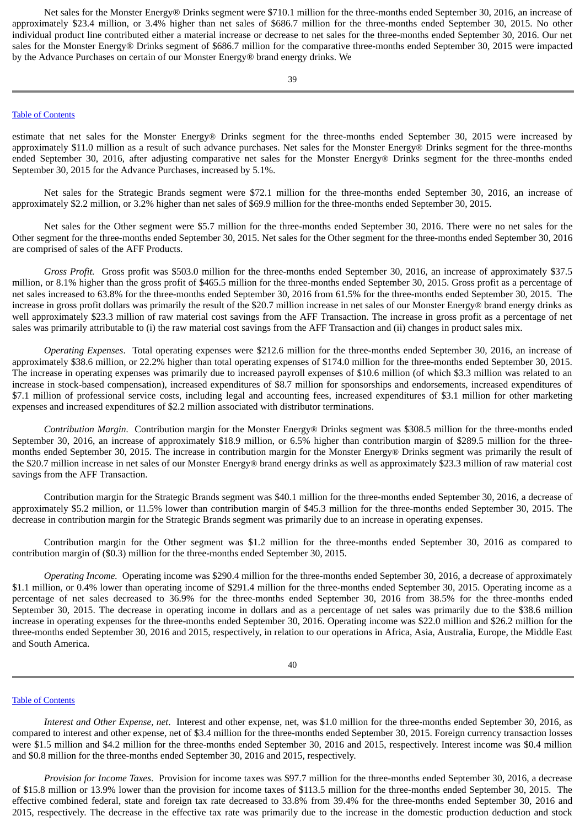Net sales for the Monster Energy® Drinks segment were \$710.1 million for the three-months ended September 30, 2016, an increase of approximately \$23.4 million, or 3.4% higher than net sales of \$686.7 million for the three-months ended September 30, 2015. No other individual product line contributed either a material increase or decrease to net sales for the three-months ended September 30, 2016. Our net sales for the Monster Energy® Drinks segment of \$686.7 million for the comparative three-months ended September 30, 2015 were impacted by the Advance Purchases on certain of our Monster Energy® brand energy drinks. We

#### Table of [Contents](#page-0-0)

estimate that net sales for the Monster Energy® Drinks segment for the three-months ended September 30, 2015 were increased by approximately \$11.0 million as a result of such advance purchases. Net sales for the Monster Energy® Drinks segment for the three-months ended September 30, 2016, after adjusting comparative net sales for the Monster Energy® Drinks segment for the three-months ended September 30, 2015 for the Advance Purchases, increased by 5.1%.

Net sales for the Strategic Brands segment were \$72.1 million for the three-months ended September 30, 2016, an increase of approximately \$2.2 million, or 3.2% higher than net sales of \$69.9 million for the three-months ended September 30, 2015.

Net sales for the Other segment were \$5.7 million for the three-months ended September 30, 2016. There were no net sales for the Other segment for the three-months ended September 30, 2015. Net sales for the Other segment for the three-months ended September 30, 2016 are comprised of sales of the AFF Products.

*Gross Profit.* Gross profit was \$503.0 million for the three-months ended September 30, 2016, an increase of approximately \$37.5 million, or 8.1% higher than the gross profit of \$465.5 million for the three-months ended September 30, 2015. Gross profit as a percentage of net sales increased to 63.8% for the three-months ended September 30, 2016 from 61.5% for the three-months ended September 30, 2015. The increase in gross profit dollars was primarily the result of the \$20.7 million increase in net sales of our Monster Energy® brand energy drinks as well approximately \$23.3 million of raw material cost savings from the AFF Transaction. The increase in gross profit as a percentage of net sales was primarily attributable to (i) the raw material cost savings from the AFF Transaction and (ii) changes in product sales mix.

*Operating Expenses*. Total operating expenses were \$212.6 million for the three-months ended September 30, 2016, an increase of approximately \$38.6 million, or 22.2% higher than total operating expenses of \$174.0 million for the three-months ended September 30, 2015. The increase in operating expenses was primarily due to increased payroll expenses of \$10.6 million (of which \$3.3 million was related to an increase in stock-based compensation), increased expenditures of \$8.7 million for sponsorships and endorsements, increased expenditures of \$7.1 million of professional service costs, including legal and accounting fees, increased expenditures of \$3.1 million for other marketing expenses and increased expenditures of \$2.2 million associated with distributor terminations.

*Contribution Margin.* Contribution margin for the Monster Energy® Drinks segment was \$308.5 million for the three-months ended September 30, 2016, an increase of approximately \$18.9 million, or 6.5% higher than contribution margin of \$289.5 million for the threemonths ended September 30, 2015. The increase in contribution margin for the Monster Energy® Drinks segment was primarily the result of the \$20.7 million increase in net sales of our Monster Energy® brand energy drinks as well as approximately \$23.3 million of raw material cost savings from the AFF Transaction.

Contribution margin for the Strategic Brands segment was \$40.1 million for the three-months ended September 30, 2016, a decrease of approximately \$5.2 million, or 11.5% lower than contribution margin of \$45.3 million for the three-months ended September 30, 2015. The decrease in contribution margin for the Strategic Brands segment was primarily due to an increase in operating expenses.

Contribution margin for the Other segment was \$1.2 million for the three-months ended September 30, 2016 as compared to contribution margin of (\$0.3) million for the three-months ended September 30, 2015.

*Operating Income.* Operating income was \$290.4 million for the three-months ended September 30, 2016, a decrease of approximately \$1.1 million, or 0.4% lower than operating income of \$291.4 million for the three-months ended September 30, 2015. Operating income as a percentage of net sales decreased to 36.9% for the three-months ended September 30, 2016 from 38.5% for the three-months ended September 30, 2015. The decrease in operating income in dollars and as a percentage of net sales was primarily due to the \$38.6 million increase in operating expenses for the three-months ended September 30, 2016. Operating income was \$22.0 million and \$26.2 million for the three-months ended September 30, 2016 and 2015, respectively, in relation to our operations in Africa, Asia, Australia, Europe, the Middle East and South America.

40

#### Table of [Contents](#page-0-0)

*Interest and Other Expense, net*. Interest and other expense, net, was \$1.0 million for the three-months ended September 30, 2016, as compared to interest and other expense, net of \$3.4 million for the three-months ended September 30, 2015. Foreign currency transaction losses were \$1.5 million and \$4.2 million for the three-months ended September 30, 2016 and 2015, respectively. Interest income was \$0.4 million and \$0.8 million for the three-months ended September 30, 2016 and 2015, respectively.

*Provision for Income Taxes*. Provision for income taxes was \$97.7 million for the three-months ended September 30, 2016, a decrease of \$15.8 million or 13.9% lower than the provision for income taxes of \$113.5 million for the three-months ended September 30, 2015. The effective combined federal, state and foreign tax rate decreased to 33.8% from 39.4% for the three-months ended September 30, 2016 and 2015, respectively. The decrease in the effective tax rate was primarily due to the increase in the domestic production deduction and stock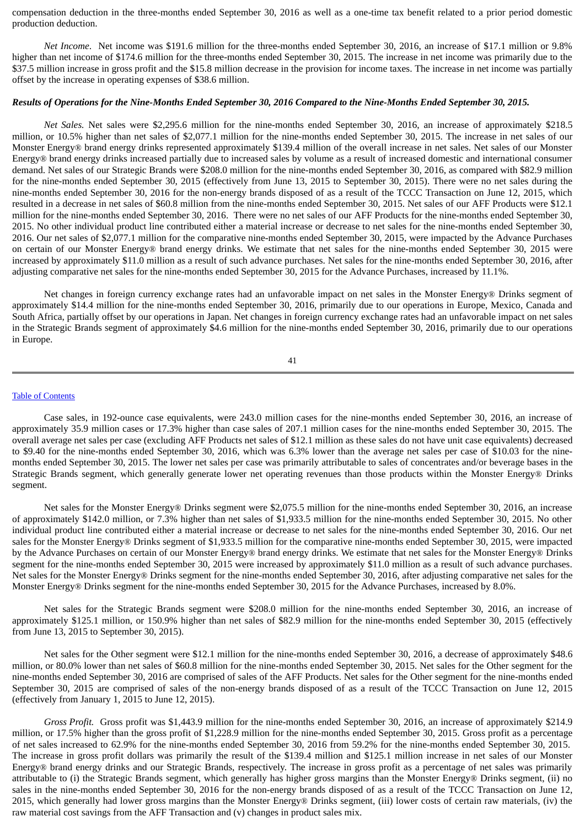compensation deduction in the three-months ended September 30, 2016 as well as a one-time tax benefit related to a prior period domestic production deduction.

*Net Income*. Net income was \$191.6 million for the three-months ended September 30, 2016, an increase of \$17.1 million or 9.8% higher than net income of \$174.6 million for the three-months ended September 30, 2015. The increase in net income was primarily due to the \$37.5 million increase in gross profit and the \$15.8 million decrease in the provision for income taxes. The increase in net income was partially offset by the increase in operating expenses of \$38.6 million.

### Results of Operations for the Nine-Months Ended September 30, 2016 Compared to the Nine-Months Ended September 30, 2015.

*Net Sales.* Net sales were \$2,295.6 million for the nine-months ended September 30, 2016, an increase of approximately \$218.5 million, or 10.5% higher than net sales of \$2,077.1 million for the nine-months ended September 30, 2015. The increase in net sales of our Monster Energy® brand energy drinks represented approximately \$139.4 million of the overall increase in net sales. Net sales of our Monster Energy® brand energy drinks increased partially due to increased sales by volume as a result of increased domestic and international consumer demand. Net sales of our Strategic Brands were \$208.0 million for the nine-months ended September 30, 2016, as compared with \$82.9 million for the nine-months ended September 30, 2015 (effectively from June 13, 2015 to September 30, 2015). There were no net sales during the nine-months ended September 30, 2016 for the non-energy brands disposed of as a result of the TCCC Transaction on June 12, 2015, which resulted in a decrease in net sales of \$60.8 million from the nine-months ended September 30, 2015. Net sales of our AFF Products were \$12.1 million for the nine-months ended September 30, 2016. There were no net sales of our AFF Products for the nine-months ended September 30, 2015. No other individual product line contributed either a material increase or decrease to net sales for the nine-months ended September 30, 2016. Our net sales of \$2,077.1 million for the comparative nine-months ended September 30, 2015, were impacted by the Advance Purchases on certain of our Monster Energy® brand energy drinks. We estimate that net sales for the nine-months ended September 30, 2015 were increased by approximately \$11.0 million as a result of such advance purchases. Net sales for the nine-months ended September 30, 2016, after adjusting comparative net sales for the nine-months ended September 30, 2015 for the Advance Purchases, increased by 11.1%.

Net changes in foreign currency exchange rates had an unfavorable impact on net sales in the Monster Energy® Drinks segment of approximately \$14.4 million for the nine-months ended September 30, 2016, primarily due to our operations in Europe, Mexico, Canada and South Africa, partially offset by our operations in Japan. Net changes in foreign currency exchange rates had an unfavorable impact on net sales in the Strategic Brands segment of approximately \$4.6 million for the nine-months ended September 30, 2016, primarily due to our operations in Europe.

$$
41\\
$$

#### Table of [Contents](#page-0-0)

Case sales, in 192-ounce case equivalents, were 243.0 million cases for the nine-months ended September 30, 2016, an increase of approximately 35.9 million cases or 17.3% higher than case sales of 207.1 million cases for the nine-months ended September 30, 2015. The overall average net sales per case (excluding AFF Products net sales of \$12.1 million as these sales do not have unit case equivalents) decreased to \$9.40 for the nine-months ended September 30, 2016, which was 6.3% lower than the average net sales per case of \$10.03 for the ninemonths ended September 30, 2015. The lower net sales per case was primarily attributable to sales of concentrates and/or beverage bases in the Strategic Brands segment, which generally generate lower net operating revenues than those products within the Monster Energy® Drinks segment.

Net sales for the Monster Energy® Drinks segment were \$2,075.5 million for the nine-months ended September 30, 2016, an increase of approximately \$142.0 million, or 7.3% higher than net sales of \$1,933.5 million for the nine-months ended September 30, 2015. No other individual product line contributed either a material increase or decrease to net sales for the nine-months ended September 30, 2016. Our net sales for the Monster Energy® Drinks segment of \$1,933.5 million for the comparative nine-months ended September 30, 2015, were impacted by the Advance Purchases on certain of our Monster Energy® brand energy drinks. We estimate that net sales for the Monster Energy® Drinks segment for the nine-months ended September 30, 2015 were increased by approximately \$11.0 million as a result of such advance purchases. Net sales for the Monster Energy® Drinks segment for the nine-months ended September 30, 2016, after adjusting comparative net sales for the Monster Energy® Drinks segment for the nine-months ended September 30, 2015 for the Advance Purchases, increased by 8.0%.

Net sales for the Strategic Brands segment were \$208.0 million for the nine-months ended September 30, 2016, an increase of approximately \$125.1 million, or 150.9% higher than net sales of \$82.9 million for the nine-months ended September 30, 2015 (effectively from June 13, 2015 to September 30, 2015).

Net sales for the Other segment were \$12.1 million for the nine-months ended September 30, 2016, a decrease of approximately \$48.6 million, or 80.0% lower than net sales of \$60.8 million for the nine-months ended September 30, 2015. Net sales for the Other segment for the nine-months ended September 30, 2016 are comprised of sales of the AFF Products. Net sales for the Other segment for the nine-months ended September 30, 2015 are comprised of sales of the non-energy brands disposed of as a result of the TCCC Transaction on June 12, 2015 (effectively from January 1, 2015 to June 12, 2015).

*Gross Profit.* Gross profit was \$1,443.9 million for the nine-months ended September 30, 2016, an increase of approximately \$214.9 million, or 17.5% higher than the gross profit of \$1,228.9 million for the nine-months ended September 30, 2015. Gross profit as a percentage of net sales increased to 62.9% for the nine-months ended September 30, 2016 from 59.2% for the nine-months ended September 30, 2015. The increase in gross profit dollars was primarily the result of the \$139.4 million and \$125.1 million increase in net sales of our Monster Energy® brand energy drinks and our Strategic Brands, respectively. The increase in gross profit as a percentage of net sales was primarily attributable to (i) the Strategic Brands segment, which generally has higher gross margins than the Monster Energy® Drinks segment, (ii) no sales in the nine-months ended September 30, 2016 for the non-energy brands disposed of as a result of the TCCC Transaction on June 12, 2015, which generally had lower gross margins than the Monster Energy® Drinks segment, (iii) lower costs of certain raw materials, (iv) the raw material cost savings from the AFF Transaction and  $(v)$  changes in product sales mix.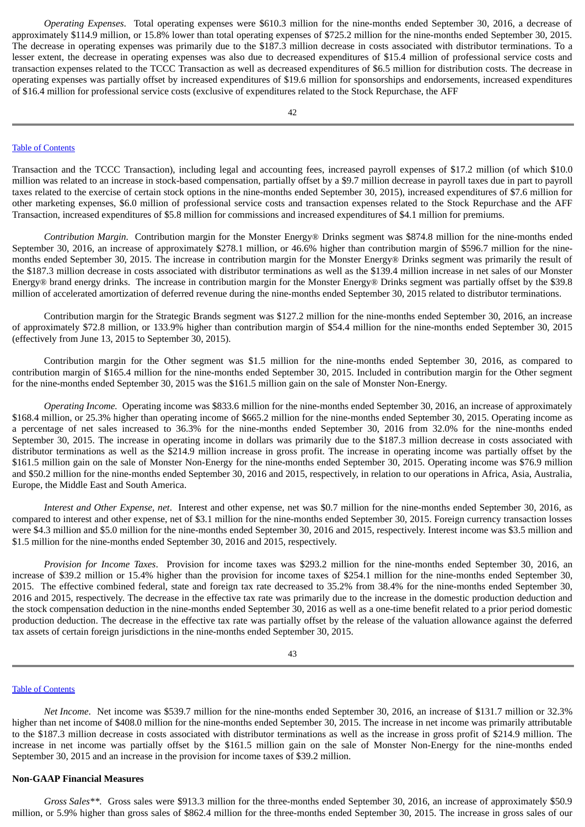*Operating Expenses*. Total operating expenses were \$610.3 million for the nine-months ended September 30, 2016, a decrease of approximately \$114.9 million, or 15.8% lower than total operating expenses of \$725.2 million for the nine-months ended September 30, 2015. The decrease in operating expenses was primarily due to the \$187.3 million decrease in costs associated with distributor terminations. To a lesser extent, the decrease in operating expenses was also due to decreased expenditures of \$15.4 million of professional service costs and transaction expenses related to the TCCC Transaction as well as decreased expenditures of \$6.5 million for distribution costs. The decrease in operating expenses was partially offset by increased expenditures of \$19.6 million for sponsorships and endorsements, increased expenditures of \$16.4 million for professional service costs (exclusive of expenditures related to the Stock Repurchase, the AFF

### Table of [Contents](#page-0-0)

Transaction and the TCCC Transaction), including legal and accounting fees, increased payroll expenses of \$17.2 million (of which \$10.0 million was related to an increase in stock-based compensation, partially offset by a \$9.7 million decrease in payroll taxes due in part to payroll taxes related to the exercise of certain stock options in the nine-months ended September 30, 2015), increased expenditures of \$7.6 million for other marketing expenses, \$6.0 million of professional service costs and transaction expenses related to the Stock Repurchase and the AFF Transaction, increased expenditures of \$5.8 million for commissions and increased expenditures of \$4.1 million for premiums.

*Contribution Margin.* Contribution margin for the Monster Energy® Drinks segment was \$874.8 million for the nine-months ended September 30, 2016, an increase of approximately \$278.1 million, or 46.6% higher than contribution margin of \$596.7 million for the ninemonths ended September 30, 2015. The increase in contribution margin for the Monster Energy® Drinks segment was primarily the result of the \$187.3 million decrease in costs associated with distributor terminations as well as the \$139.4 million increase in net sales of our Monster Energy® brand energy drinks. The increase in contribution margin for the Monster Energy® Drinks segment was partially offset by the \$39.8 million of accelerated amortization of deferred revenue during the nine-months ended September 30, 2015 related to distributor terminations.

Contribution margin for the Strategic Brands segment was \$127.2 million for the nine-months ended September 30, 2016, an increase of approximately \$72.8 million, or 133.9% higher than contribution margin of \$54.4 million for the nine-months ended September 30, 2015 (effectively from June 13, 2015 to September 30, 2015).

Contribution margin for the Other segment was \$1.5 million for the nine-months ended September 30, 2016, as compared to contribution margin of \$165.4 million for the nine-months ended September 30, 2015. Included in contribution margin for the Other segment for the nine-months ended September 30, 2015 was the \$161.5 million gain on the sale of Monster Non-Energy.

*Operating Income.* Operating income was \$833.6 million for the nine-months ended September 30, 2016, an increase of approximately \$168.4 million, or 25.3% higher than operating income of \$665.2 million for the nine-months ended September 30, 2015. Operating income as a percentage of net sales increased to 36.3% for the nine-months ended September 30, 2016 from 32.0% for the nine-months ended September 30, 2015. The increase in operating income in dollars was primarily due to the \$187.3 million decrease in costs associated with distributor terminations as well as the \$214.9 million increase in gross profit. The increase in operating income was partially offset by the \$161.5 million gain on the sale of Monster Non-Energy for the nine-months ended September 30, 2015. Operating income was \$76.9 million and \$50.2 million for the nine-months ended September 30, 2016 and 2015, respectively, in relation to our operations in Africa, Asia, Australia, Europe, the Middle East and South America.

*Interest and Other Expense, net*. Interest and other expense, net was \$0.7 million for the nine-months ended September 30, 2016, as compared to interest and other expense, net of \$3.1 million for the nine-months ended September 30, 2015. Foreign currency transaction losses were \$4.3 million and \$5.0 million for the nine-months ended September 30, 2016 and 2015, respectively. Interest income was \$3.5 million and \$1.5 million for the nine-months ended September 30, 2016 and 2015, respectively.

*Provision for Income Taxes*. Provision for income taxes was \$293.2 million for the nine-months ended September 30, 2016, an increase of \$39.2 million or 15.4% higher than the provision for income taxes of \$254.1 million for the nine-months ended September 30, 2015. The effective combined federal, state and foreign tax rate decreased to 35.2% from 38.4% for the nine-months ended September 30, 2016 and 2015, respectively. The decrease in the effective tax rate was primarily due to the increase in the domestic production deduction and the stock compensation deduction in the nine-months ended September 30, 2016 as well as a one-time benefit related to a prior period domestic production deduction. The decrease in the effective tax rate was partially offset by the release of the valuation allowance against the deferred tax assets of certain foreign jurisdictions in the nine-months ended September 30, 2015.

43

#### Table of [Contents](#page-0-0)

*Net Income*. Net income was \$539.7 million for the nine-months ended September 30, 2016, an increase of \$131.7 million or 32.3% higher than net income of \$408.0 million for the nine-months ended September 30, 2015. The increase in net income was primarily attributable to the \$187.3 million decrease in costs associated with distributor terminations as well as the increase in gross profit of \$214.9 million. The increase in net income was partially offset by the \$161.5 million gain on the sale of Monster Non-Energy for the nine-months ended September 30, 2015 and an increase in the provision for income taxes of \$39.2 million.

#### **Non-GAAP Financial Measures**

*Gross Sales\*\*.* Gross sales were \$913.3 million for the three-months ended September 30, 2016, an increase of approximately \$50.9 million, or 5.9% higher than gross sales of \$862.4 million for the three-months ended September 30, 2015. The increase in gross sales of our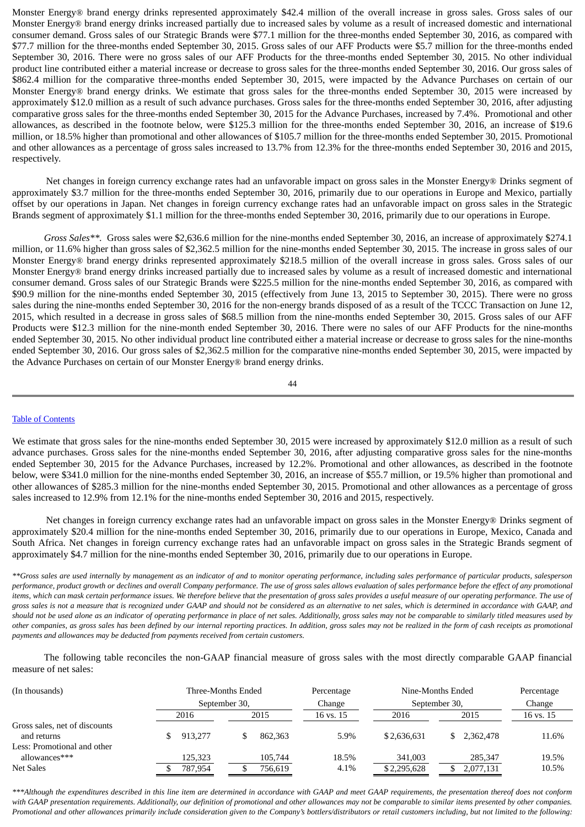Monster Energy® brand energy drinks represented approximately \$42.4 million of the overall increase in gross sales. Gross sales of our Monster Energy® brand energy drinks increased partially due to increased sales by volume as a result of increased domestic and international consumer demand. Gross sales of our Strategic Brands were \$77.1 million for the three-months ended September 30, 2016, as compared with \$77.7 million for the three-months ended September 30, 2015. Gross sales of our AFF Products were \$5.7 million for the three-months ended September 30, 2016. There were no gross sales of our AFF Products for the three-months ended September 30, 2015. No other individual product line contributed either a material increase or decrease to gross sales for the three-months ended September 30, 2016. Our gross sales of \$862.4 million for the comparative three-months ended September 30, 2015, were impacted by the Advance Purchases on certain of our Monster Energy® brand energy drinks. We estimate that gross sales for the three-months ended September 30, 2015 were increased by approximately \$12.0 million as a result of such advance purchases. Gross sales for the three-months ended September 30, 2016, after adjusting comparative gross sales for the three-months ended September 30, 2015 for the Advance Purchases, increased by 7.4%. Promotional and other allowances, as described in the footnote below, were \$125.3 million for the three-months ended September 30, 2016, an increase of \$19.6 million, or 18.5% higher than promotional and other allowances of \$105.7 million for the three-months ended September 30, 2015. Promotional and other allowances as a percentage of gross sales increased to 13.7% from 12.3% for the three-months ended September 30, 2016 and 2015, respectively.

Net changes in foreign currency exchange rates had an unfavorable impact on gross sales in the Monster Energy® Drinks segment of approximately \$3.7 million for the three-months ended September 30, 2016, primarily due to our operations in Europe and Mexico, partially offset by our operations in Japan. Net changes in foreign currency exchange rates had an unfavorable impact on gross sales in the Strategic Brands segment of approximately \$1.1 million for the three-months ended September 30, 2016, primarily due to our operations in Europe.

*Gross Sales\*\*.* Gross sales were \$2,636.6 million for the nine-months ended September 30, 2016, an increase of approximately \$274.1 million, or 11.6% higher than gross sales of \$2,362.5 million for the nine-months ended September 30, 2015. The increase in gross sales of our Monster Energy® brand energy drinks represented approximately \$218.5 million of the overall increase in gross sales. Gross sales of our Monster Energy® brand energy drinks increased partially due to increased sales by volume as a result of increased domestic and international consumer demand. Gross sales of our Strategic Brands were \$225.5 million for the nine-months ended September 30, 2016, as compared with \$90.9 million for the nine-months ended September 30, 2015 (effectively from June 13, 2015 to September 30, 2015). There were no gross sales during the nine-months ended September 30, 2016 for the non-energy brands disposed of as a result of the TCCC Transaction on June 12, 2015, which resulted in a decrease in gross sales of \$68.5 million from the nine-months ended September 30, 2015. Gross sales of our AFF Products were \$12.3 million for the nine-month ended September 30, 2016. There were no sales of our AFF Products for the nine-months ended September 30, 2015. No other individual product line contributed either a material increase or decrease to gross sales for the nine-months ended September 30, 2016. Our gross sales of \$2,362.5 million for the comparative nine-months ended September 30, 2015, were impacted by the Advance Purchases on certain of our Monster Energy® brand energy drinks.

$$
44 \\
$$

#### Table of [Contents](#page-0-0)

We estimate that gross sales for the nine-months ended September 30, 2015 were increased by approximately \$12.0 million as a result of such advance purchases. Gross sales for the nine-months ended September 30, 2016, after adjusting comparative gross sales for the nine-months ended September 30, 2015 for the Advance Purchases, increased by 12.2%. Promotional and other allowances, as described in the footnote below, were \$341.0 million for the nine-months ended September 30, 2016, an increase of \$55.7 million, or 19.5% higher than promotional and other allowances of \$285.3 million for the nine-months ended September 30, 2015. Promotional and other allowances as a percentage of gross sales increased to 12.9% from 12.1% for the nine-months ended September 30, 2016 and 2015, respectively.

Net changes in foreign currency exchange rates had an unfavorable impact on gross sales in the Monster Energy® Drinks segment of approximately \$20.4 million for the nine-months ended September 30, 2016, primarily due to our operations in Europe, Mexico, Canada and South Africa. Net changes in foreign currency exchange rates had an unfavorable impact on gross sales in the Strategic Brands segment of approximately \$4.7 million for the nine-months ended September 30, 2016, primarily due to our operations in Europe.

*\*\*Gross sales are used internally by management as an indicator of and to monitor operating performance, including sales performance of particular products, salesperson performance, product growth or declines and overall Company performance. The use of gross sales allows evaluation of sales performance before the effect of any promotional items, which can mask certain performance issues. We therefore believe that the presentation of gross sales provides a useful measure of our operating performance. The use of gross sales is not a measure that is recognized under GAAP and should not be considered as an alternative to net sales, which is determined in accordance with GAAP, and should not be used alone as an indicator of operating performance in place of net sales. Additionally, gross sales may not be comparable to similarly titled measures used by other companies, as gross sales has been defined by our internal reporting practices. In addition, gross sales may not be realized in the form of cash receipts as promotional payments and allowances may be deducted from payments received from certain customers.*

The following table reconciles the non-GAAP financial measure of gross sales with the most directly comparable GAAP financial measure of net sales:

| (In thousands)                               |  | Three-Months Ended |         | Percentage | Nine-Months Ended | Percentage<br>Change |           |
|----------------------------------------------|--|--------------------|---------|------------|-------------------|----------------------|-----------|
|                                              |  | September 30,      |         | Change     | September 30,     |                      |           |
|                                              |  | 2016               | 2015    | 16 vs. 15  | 2016              | 2015                 | 16 vs. 15 |
| Gross sales, net of discounts<br>and returns |  | 913.277            | 862.363 | 5.9%       | \$2,636,631       | 2.362.478            | 11.6%     |
| Less: Promotional and other<br>allowances*** |  | 125.323            | 105.744 | 18.5%      | 341,003           | 285,347              | 19.5%     |
| <b>Net Sales</b>                             |  | 787,954            | 756.619 | 4.1%       | \$2,295,628       | 2,077,131            | 10.5%     |

*\*\*\*Although the expenditures described in this line item are determined in accordance with GAAP and meet GAAP requirements, the presentation thereof does not conform with GAAP presentation requirements. Additionally, our definition of promotional and other allowances may not be comparable to similar items presented by other companies. Promotional and other allowances primarily include consideration given to the Company's bottlers/distributors or retail customers including, but not limited to the following:*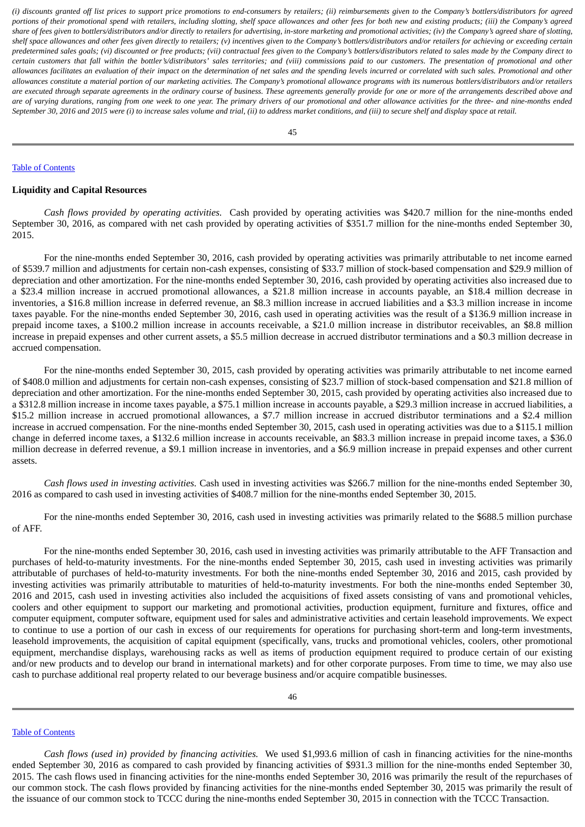*(i) discounts granted off list prices to support price promotions to end-consumers by retailers; (ii) reimbursements given to the Company's bottlers/distributors for agreed portions of their promotional spend with retailers, including slotting, shelf space allowances and other fees for both new and existing products; (iii) the Company's agreed share of fees given to bottlers/distributors and/or directly to retailers for advertising, in-store marketing and promotional activities; (iv) the Company's agreed share of slotting, shelf space allowances and other fees given directly to retailers; (v) incentives given to the Company's bottlers/distributors and/or retailers for achieving or exceeding certain predetermined sales goals; (vi) discounted or free products; (vii) contractual fees given to the Company's bottlers/distributors related to sales made by the Company direct to certain customers that fall within the bottler's/distributors' sales territories; and (viii) commissions paid to our customers. The presentation of promotional and other allowances facilitates an evaluation of their impact on the determination of net sales and the spending levels incurred or correlated with such sales. Promotional and other allowances constitute a material portion of our marketing activities. The Company's promotional allowance programs with its numerous bottlers/distributors and/or retailers are executed through separate agreements in the ordinary course of business. These agreements generally provide for one or more of the arrangements described above and are of varying durations, ranging from one week to one year. The primary drivers of our promotional and other allowance activities for the three- and nine-months ended September 30, 2016 and 2015 were (i) to increase sales volume and trial, (ii) to address market conditions, and (iii) to secure shelf and display space at retail.*

#### Table of [Contents](#page-0-0)

### **Liquidity and Capital Resources**

*Cash flows provided by operating activities.* Cash provided by operating activities was \$420.7 million for the nine-months ended September 30, 2016, as compared with net cash provided by operating activities of \$351.7 million for the nine-months ended September 30, 2015.

For the nine-months ended September 30, 2016, cash provided by operating activities was primarily attributable to net income earned of \$539.7 million and adjustments for certain non-cash expenses, consisting of \$33.7 million of stock-based compensation and \$29.9 million of depreciation and other amortization. For the nine-months ended September 30, 2016, cash provided by operating activities also increased due to a \$23.4 million increase in accrued promotional allowances, a \$21.8 million increase in accounts payable, an \$18.4 million decrease in inventories, a \$16.8 million increase in deferred revenue, an \$8.3 million increase in accrued liabilities and a \$3.3 million increase in income taxes payable. For the nine-months ended September 30, 2016, cash used in operating activities was the result of a \$136.9 million increase in prepaid income taxes, a \$100.2 million increase in accounts receivable, a \$21.0 million increase in distributor receivables, an \$8.8 million increase in prepaid expenses and other current assets, a \$5.5 million decrease in accrued distributor terminations and a \$0.3 million decrease in accrued compensation.

For the nine-months ended September 30, 2015, cash provided by operating activities was primarily attributable to net income earned of \$408.0 million and adjustments for certain non-cash expenses, consisting of \$23.7 million of stock-based compensation and \$21.8 million of depreciation and other amortization. For the nine-months ended September 30, 2015, cash provided by operating activities also increased due to a \$312.8 million increase in income taxes payable, a \$75.1 million increase in accounts payable, a \$29.3 million increase in accrued liabilities, a \$15.2 million increase in accrued promotional allowances, a \$7.7 million increase in accrued distributor terminations and a \$2.4 million increase in accrued compensation. For the nine-months ended September 30, 2015, cash used in operating activities was due to a \$115.1 million change in deferred income taxes, a \$132.6 million increase in accounts receivable, an \$83.3 million increase in prepaid income taxes, a \$36.0 million decrease in deferred revenue, a \$9.1 million increase in inventories, and a \$6.9 million increase in prepaid expenses and other current assets.

*Cash flows used in investing activities.* Cash used in investing activities was \$266.7 million for the nine-months ended September 30, 2016 as compared to cash used in investing activities of \$408.7 million for the nine-months ended September 30, 2015.

For the nine-months ended September 30, 2016, cash used in investing activities was primarily related to the \$688.5 million purchase of AFF.

For the nine-months ended September 30, 2016, cash used in investing activities was primarily attributable to the AFF Transaction and purchases of held-to-maturity investments. For the nine-months ended September 30, 2015, cash used in investing activities was primarily attributable of purchases of held-to-maturity investments. For both the nine-months ended September 30, 2016 and 2015, cash provided by investing activities was primarily attributable to maturities of held-to-maturity investments. For both the nine-months ended September 30, 2016 and 2015, cash used in investing activities also included the acquisitions of fixed assets consisting of vans and promotional vehicles, coolers and other equipment to support our marketing and promotional activities, production equipment, furniture and fixtures, office and computer equipment, computer software, equipment used for sales and administrative activities and certain leasehold improvements. We expect to continue to use a portion of our cash in excess of our requirements for operations for purchasing short-term and long-term investments, leasehold improvements, the acquisition of capital equipment (specifically, vans, trucks and promotional vehicles, coolers, other promotional equipment, merchandise displays, warehousing racks as well as items of production equipment required to produce certain of our existing and/or new products and to develop our brand in international markets) and for other corporate purposes. From time to time, we may also use cash to purchase additional real property related to our beverage business and/or acquire compatible businesses.

#### Table of [Contents](#page-0-0)

*Cash flows (used in) provided by financing activities.* We used \$1,993.6 million of cash in financing activities for the nine-months ended September 30, 2016 as compared to cash provided by financing activities of \$931.3 million for the nine-months ended September 30, 2015. The cash flows used in financing activities for the nine-months ended September 30, 2016 was primarily the result of the repurchases of our common stock. The cash flows provided by financing activities for the nine-months ended September 30, 2015 was primarily the result of the issuance of our common stock to TCCC during the nine-months ended September 30, 2015 in connection with the TCCC Transaction.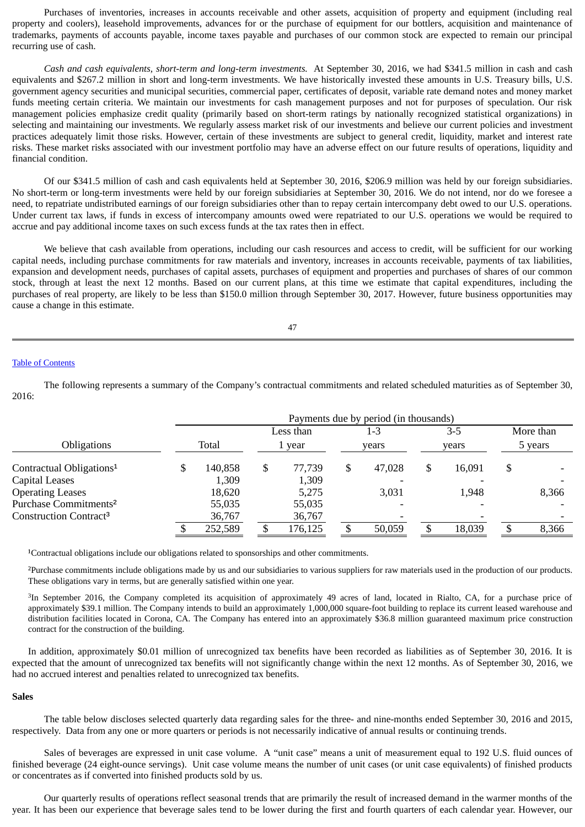Purchases of inventories, increases in accounts receivable and other assets, acquisition of property and equipment (including real property and coolers), leasehold improvements, advances for or the purchase of equipment for our bottlers, acquisition and maintenance of trademarks, payments of accounts payable, income taxes payable and purchases of our common stock are expected to remain our principal recurring use of cash.

*Cash and cash equivalents, short-term and long-term investments.* At September 30, 2016, we had \$341.5 million in cash and cash equivalents and \$267.2 million in short and long-term investments. We have historically invested these amounts in U.S. Treasury bills, U.S. government agency securities and municipal securities, commercial paper, certificates of deposit, variable rate demand notes and money market funds meeting certain criteria. We maintain our investments for cash management purposes and not for purposes of speculation. Our risk management policies emphasize credit quality (primarily based on short-term ratings by nationally recognized statistical organizations) in selecting and maintaining our investments. We regularly assess market risk of our investments and believe our current policies and investment practices adequately limit those risks. However, certain of these investments are subject to general credit, liquidity, market and interest rate risks. These market risks associated with our investment portfolio may have an adverse effect on our future results of operations, liquidity and financial condition.

Of our \$341.5 million of cash and cash equivalents held at September 30, 2016, \$206.9 million was held by our foreign subsidiaries. No short-term or long-term investments were held by our foreign subsidiaries at September 30, 2016. We do not intend, nor do we foresee a need, to repatriate undistributed earnings of our foreign subsidiaries other than to repay certain intercompany debt owed to our U.S. operations. Under current tax laws, if funds in excess of intercompany amounts owed were repatriated to our U.S. operations we would be required to accrue and pay additional income taxes on such excess funds at the tax rates then in effect.

We believe that cash available from operations, including our cash resources and access to credit, will be sufficient for our working capital needs, including purchase commitments for raw materials and inventory, increases in accounts receivable, payments of tax liabilities, expansion and development needs, purchases of capital assets, purchases of equipment and properties and purchases of shares of our common stock, through at least the next 12 months. Based on our current plans, at this time we estimate that capital expenditures, including the purchases of real property, are likely to be less than \$150.0 million through September 30, 2017. However, future business opportunities may cause a change in this estimate.

47

#### Table of [Contents](#page-0-0)

The following represents a summary of the Company's contractual commitments and related scheduled maturities as of September 30, 2016:

| Less than |    |         | 1-3 |        | $3-5$ |        | More than                                      |         |
|-----------|----|---------|-----|--------|-------|--------|------------------------------------------------|---------|
| Total     |    | 1 year  |     |        |       |        |                                                | 5 years |
| 140,858   | \$ | 77,739  | S   | 47,028 | \$    | 16,091 | \$                                             |         |
| 1,309     |    | 1,309   |     |        |       |        |                                                |         |
| 18,620    |    | 5,275   |     | 3,031  |       | 1,948  |                                                | 8,366   |
| 55,035    |    | 55,035  |     |        |       |        |                                                |         |
| 36,767    |    | 36,767  |     |        |       |        |                                                |         |
| 252,589   |    | 176,125 |     | 50,059 |       | 18,039 |                                                | 8,366   |
|           |    |         |     |        | vears |        | Payments due by period (in thousands)<br>years |         |

<sup>1</sup>Contractual obligations include our obligations related to sponsorships and other commitments.

²Purchase commitments include obligations made by us and our subsidiaries to various suppliers for raw materials used in the production of our products. These obligations vary in terms, but are generally satisfied within one year.

<sup>3</sup>In September 2016, the Company completed its acquisition of approximately 49 acres of land, located in Rialto, CA, for a purchase price of approximately \$39.1 million. The Company intends to build an approximately 1,000,000 square-foot building to replace its current leased warehouse and distribution facilities located in Corona, CA. The Company has entered into an approximately \$36.8 million guaranteed maximum price construction contract for the construction of the building.

In addition, approximately \$0.01 million of unrecognized tax benefits have been recorded as liabilities as of September 30, 2016. It is expected that the amount of unrecognized tax benefits will not significantly change within the next 12 months. As of September 30, 2016, we had no accrued interest and penalties related to unrecognized tax benefits.

#### **Sales**

The table below discloses selected quarterly data regarding sales for the three- and nine-months ended September 30, 2016 and 2015, respectively. Data from any one or more quarters or periods is not necessarily indicative of annual results or continuing trends.

Sales of beverages are expressed in unit case volume. A "unit case" means a unit of measurement equal to 192 U.S. fluid ounces of finished beverage (24 eight-ounce servings). Unit case volume means the number of unit cases (or unit case equivalents) of finished products or concentrates as if converted into finished products sold by us.

Our quarterly results of operations reflect seasonal trends that are primarily the result of increased demand in the warmer months of the year. It has been our experience that beverage sales tend to be lower during the first and fourth quarters of each calendar year. However, our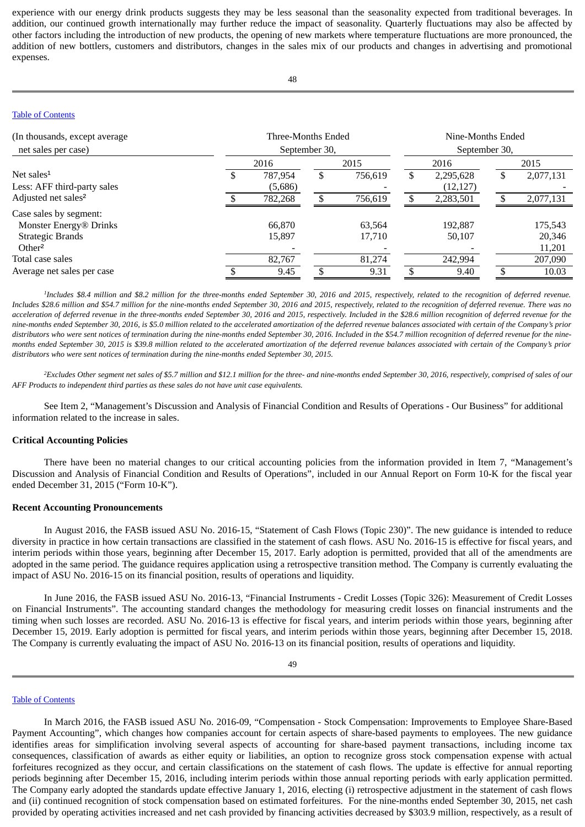experience with our energy drink products suggests they may be less seasonal than the seasonality expected from traditional beverages. In addition, our continued growth internationally may further reduce the impact of seasonality. Quarterly fluctuations may also be affected by other factors including the introduction of new products, the opening of new markets where temperature fluctuations are more pronounced, the addition of new bottlers, customers and distributors, changes in the sales mix of our products and changes in advertising and promotional expenses.

48

#### Table of [Contents](#page-0-0)

| (In thousands, except average   | Three-Months Ended |               |         | Nine-Months Ended |               |   |           |  |
|---------------------------------|--------------------|---------------|---------|-------------------|---------------|---|-----------|--|
| net sales per case)             |                    | September 30, |         |                   | September 30, |   |           |  |
|                                 | 2016               |               | 2015    |                   | 2016          |   | 2015      |  |
| Net sales $1$                   | 787.954            | J.            | 756,619 | Ъ.                | 2,295,628     | S | 2,077,131 |  |
| Less: AFF third-party sales     | (5,686)            |               |         |                   | (12, 127)     |   |           |  |
| Adjusted net sales <sup>2</sup> | 782,268            |               | 756,619 |                   | 2,283,501     |   | 2,077,131 |  |
| Case sales by segment:          |                    |               |         |                   |               |   |           |  |
| Monster Energy® Drinks          | 66.870             |               | 63,564  |                   | 192.887       |   | 175,543   |  |
| <b>Strategic Brands</b>         | 15,897             |               | 17,710  |                   | 50,107        |   | 20,346    |  |
| Other <sup>2</sup>              |                    |               |         |                   |               |   | 11,201    |  |
| Total case sales                | 82,767             |               | 81,274  |                   | 242,994       |   | 207,090   |  |
| Average net sales per case      | 9.45               |               | 9.31    |                   | 9.40          |   | 10.03     |  |

*Includes \$8.4 million and \$8.2 million for the three-months ended September 30, 2016 and 2015, respectively, related to the recognition of deferred revenue. 1 Includes \$28.6 million and \$54.7 million for the nine-months ended September 30, 2016 and 2015, respectively, related to the recognition of deferred revenue. There was no acceleration of deferred revenue in the three-months ended September 30, 2016 and 2015, respectively. Included in the \$28.6 million recognition of deferred revenue for the nine-months ended September 30, 2016, is \$5.0 million related to the accelerated amortization of the deferred revenue balances associated with certain of the Company's prior* distributors who were sent notices of termination during the nine-months ended September 30, 2016. Included in the \$54.7 million recognition of deferred revenue for the nine*months ended September 30, 2015 is \$39.8 million related to the accelerated amortization of the deferred revenue balances associated with certain of the Company's prior distributors who were sent notices of termination during the nine-months ended September 30, 2015.*

*Excludes Other segment net sales of \$5.7 million and \$12.1 million for the three- and nine-months ended September 30, 2016, respectively, comprised of sales of our 2AFF Products to independent third parties as these sales do not have unit case equivalents.*

See Item 2, "Management's Discussion and Analysis of Financial Condition and Results of Operations - Our Business" for additional information related to the increase in sales.

#### **Critical Accounting Policies**

There have been no material changes to our critical accounting policies from the information provided in Item 7, "Management's Discussion and Analysis of Financial Condition and Results of Operations", included in our Annual Report on Form 10-K for the fiscal year ended December 31, 2015 ("Form 10-K").

#### **Recent Accounting Pronouncements**

In August 2016, the FASB issued ASU No. 2016-15, "Statement of Cash Flows (Topic 230)". The new guidance is intended to reduce diversity in practice in how certain transactions are classified in the statement of cash flows. ASU No. 2016-15 is effective for fiscal years, and interim periods within those years, beginning after December 15, 2017. Early adoption is permitted, provided that all of the amendments are adopted in the same period. The guidance requires application using a retrospective transition method. The Company is currently evaluating the impact of ASU No. 2016-15 on its financial position, results of operations and liquidity.

In June 2016, the FASB issued ASU No. 2016-13, "Financial Instruments - Credit Losses (Topic 326): Measurement of Credit Losses on Financial Instruments". The accounting standard changes the methodology for measuring credit losses on financial instruments and the timing when such losses are recorded. ASU No. 2016-13 is effective for fiscal years, and interim periods within those years, beginning after December 15, 2019. Early adoption is permitted for fiscal years, and interim periods within those years, beginning after December 15, 2018. The Company is currently evaluating the impact of ASU No. 2016-13 on its financial position, results of operations and liquidity.

#### Table of [Contents](#page-0-0)

In March 2016, the FASB issued ASU No. 2016-09, "Compensation - Stock Compensation: Improvements to Employee Share-Based Payment Accounting", which changes how companies account for certain aspects of share-based payments to employees. The new guidance identifies areas for simplification involving several aspects of accounting for share-based payment transactions, including income tax consequences, classification of awards as either equity or liabilities, an option to recognize gross stock compensation expense with actual forfeitures recognized as they occur, and certain classifications on the statement of cash flows. The update is effective for annual reporting periods beginning after December 15, 2016, including interim periods within those annual reporting periods with early application permitted. The Company early adopted the standards update effective January 1, 2016, electing (i) retrospective adjustment in the statement of cash flows and (ii) continued recognition of stock compensation based on estimated forfeitures. For the nine-months ended September 30, 2015, net cash provided by operating activities increased and net cash provided by financing activities decreased by \$303.9 million, respectively, as a result of

<sup>49</sup>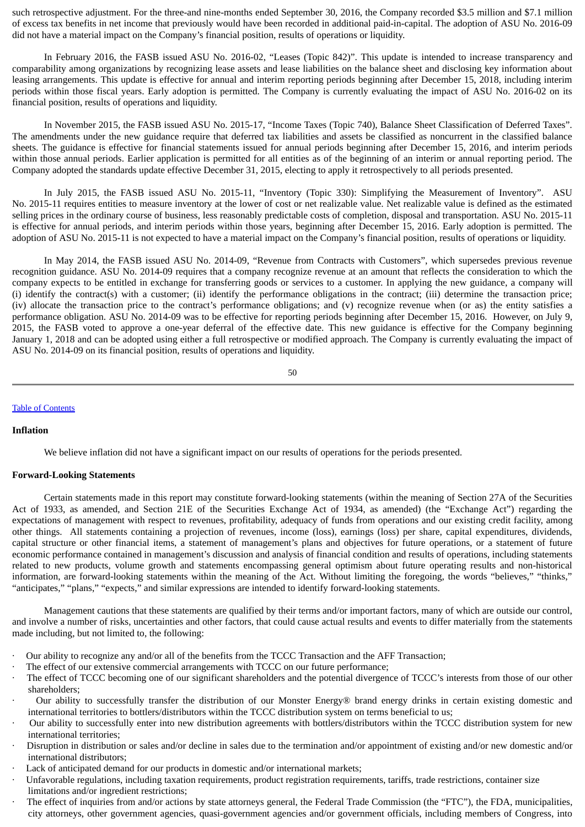such retrospective adjustment. For the three-and nine-months ended September 30, 2016, the Company recorded \$3.5 million and \$7.1 million of excess tax benefits in net income that previously would have been recorded in additional paid-in-capital. The adoption of ASU No. 2016-09 did not have a material impact on the Company's financial position, results of operations or liquidity.

In February 2016, the FASB issued ASU No. 2016-02, "Leases (Topic 842)". This update is intended to increase transparency and comparability among organizations by recognizing lease assets and lease liabilities on the balance sheet and disclosing key information about leasing arrangements. This update is effective for annual and interim reporting periods beginning after December 15, 2018, including interim periods within those fiscal years. Early adoption is permitted. The Company is currently evaluating the impact of ASU No. 2016-02 on its financial position, results of operations and liquidity.

In November 2015, the FASB issued ASU No. 2015-17, "Income Taxes (Topic 740), Balance Sheet Classification of Deferred Taxes". The amendments under the new guidance require that deferred tax liabilities and assets be classified as noncurrent in the classified balance sheets. The guidance is effective for financial statements issued for annual periods beginning after December 15, 2016, and interim periods within those annual periods. Earlier application is permitted for all entities as of the beginning of an interim or annual reporting period. The Company adopted the standards update effective December 31, 2015, electing to apply it retrospectively to all periods presented.

In July 2015, the FASB issued ASU No. 2015-11, "Inventory (Topic 330): Simplifying the Measurement of Inventory". ASU No. 2015-11 requires entities to measure inventory at the lower of cost or net realizable value. Net realizable value is defined as the estimated selling prices in the ordinary course of business, less reasonably predictable costs of completion, disposal and transportation. ASU No. 2015-11 is effective for annual periods, and interim periods within those years, beginning after December 15, 2016. Early adoption is permitted. The adoption of ASU No. 2015-11 is not expected to have a material impact on the Company's financial position, results of operations or liquidity.

In May 2014, the FASB issued ASU No. 2014-09, "Revenue from Contracts with Customers", which supersedes previous revenue recognition guidance. ASU No. 2014-09 requires that a company recognize revenue at an amount that reflects the consideration to which the company expects to be entitled in exchange for transferring goods or services to a customer. In applying the new guidance, a company will (i) identify the contract(s) with a customer; (ii) identify the performance obligations in the contract; (iii) determine the transaction price; (iv) allocate the transaction price to the contract's performance obligations; and (v) recognize revenue when (or as) the entity satisfies a performance obligation. ASU No. 2014-09 was to be effective for reporting periods beginning after December 15, 2016. However, on July 9, 2015, the FASB voted to approve a one-year deferral of the effective date. This new guidance is effective for the Company beginning January 1, 2018 and can be adopted using either a full retrospective or modified approach. The Company is currently evaluating the impact of ASU No. 2014-09 on its financial position, results of operations and liquidity.

$$
50\,
$$

#### Table of [Contents](#page-0-0)

#### **Inflation**

We believe inflation did not have a significant impact on our results of operations for the periods presented.

### **Forward-Looking Statements**

Certain statements made in this report may constitute forward-looking statements (within the meaning of Section 27A of the Securities Act of 1933, as amended, and Section 21E of the Securities Exchange Act of 1934, as amended) (the "Exchange Act") regarding the expectations of management with respect to revenues, profitability, adequacy of funds from operations and our existing credit facility, among other things. All statements containing a projection of revenues, income (loss), earnings (loss) per share, capital expenditures, dividends, capital structure or other financial items, a statement of management's plans and objectives for future operations, or a statement of future economic performance contained in management's discussion and analysis of financial condition and results of operations, including statements related to new products, volume growth and statements encompassing general optimism about future operating results and non-historical information, are forward-looking statements within the meaning of the Act. Without limiting the foregoing, the words "believes," "thinks," "anticipates," "plans," "expects," and similar expressions are intended to identify forward-looking statements.

Management cautions that these statements are qualified by their terms and/or important factors, many of which are outside our control, and involve a number of risks, uncertainties and other factors, that could cause actual results and events to differ materially from the statements made including, but not limited to, the following:

- · Our ability to recognize any and/or all of the benefits from the TCCC Transaction and the AFF Transaction;
- · The effect of our extensive commercial arrangements with TCCC on our future performance;
- The effect of TCCC becoming one of our significant shareholders and the potential divergence of TCCC's interests from those of our other shareholders;
- · Our ability to successfully transfer the distribution of our Monster Energy® brand energy drinks in certain existing domestic and international territories to bottlers/distributors within the TCCC distribution system on terms beneficial to us;
- · Our ability to successfully enter into new distribution agreements with bottlers/distributors within the TCCC distribution system for new international territories;
- · Disruption in distribution or sales and/or decline in sales due to the termination and/or appointment of existing and/or new domestic and/or international distributors;
- Lack of anticipated demand for our products in domestic and/or international markets;
- Unfavorable regulations, including taxation requirements, product registration requirements, tariffs, trade restrictions, container size limitations and/or ingredient restrictions;
- The effect of inquiries from and/or actions by state attorneys general, the Federal Trade Commission (the "FTC"), the FDA, municipalities, city attorneys, other government agencies, quasi-government agencies and/or government officials, including members of Congress, into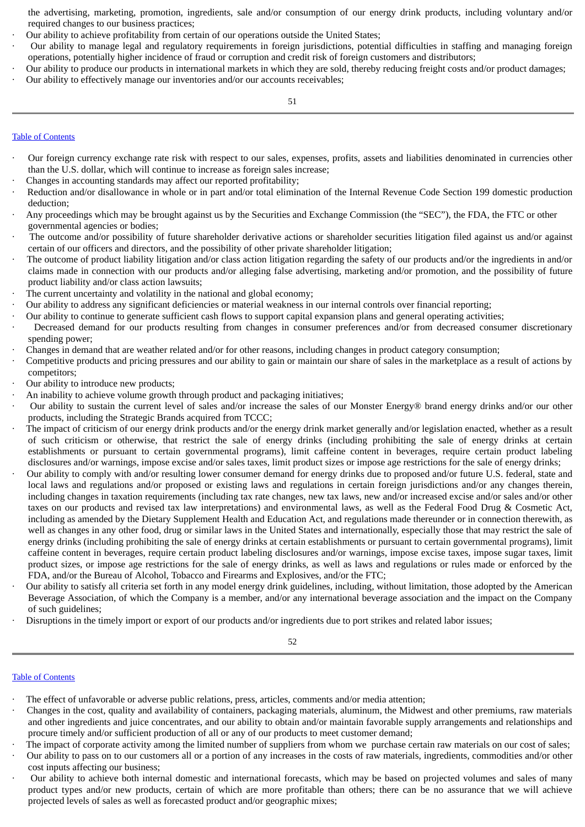the advertising, marketing, promotion, ingredients, sale and/or consumption of our energy drink products, including voluntary and/or required changes to our business practices;

- · Our ability to achieve profitability from certain of our operations outside the United States;
- · Our ability to manage legal and regulatory requirements in foreign jurisdictions, potential difficulties in staffing and managing foreign operations, potentially higher incidence of fraud or corruption and credit risk of foreign customers and distributors;
- · Our ability to produce our products in international markets in which they are sold, thereby reducing freight costs and/or product damages;
- · Our ability to effectively manage our inventories and/or our accounts receivables;

51

### Table of [Contents](#page-0-0)

- Our foreign currency exchange rate risk with respect to our sales, expenses, profits, assets and liabilities denominated in currencies other than the U.S. dollar, which will continue to increase as foreign sales increase;
- · Changes in accounting standards may affect our reported profitability;
- Reduction and/or disallowance in whole or in part and/or total elimination of the Internal Revenue Code Section 199 domestic production deduction;
- · Any proceedings which may be brought against us by the Securities and Exchange Commission (the "SEC"), the FDA, the FTC or other governmental agencies or bodies;
- · The outcome and/or possibility of future shareholder derivative actions or shareholder securities litigation filed against us and/or against certain of our officers and directors, and the possibility of other private shareholder litigation;
- · The outcome of product liability litigation and/or class action litigation regarding the safety of our products and/or the ingredients in and/or claims made in connection with our products and/or alleging false advertising, marketing and/or promotion, and the possibility of future product liability and/or class action lawsuits;
- The current uncertainty and volatility in the national and global economy;
- · Our ability to address any significant deficiencies or material weakness in our internal controls over financial reporting;
- · Our ability to continue to generate sufficient cash flows to support capital expansion plans and general operating activities; Decreased demand for our products resulting from changes in consumer preferences and/or from decreased consumer discretionary spending power;
- · Changes in demand that are weather related and/or for other reasons, including changes in product category consumption;
- · Competitive products and pricing pressures and our ability to gain or maintain our share of sales in the marketplace as a result of actions by competitors;
- Our ability to introduce new products;
- · An inability to achieve volume growth through product and packaging initiatives;
- · Our ability to sustain the current level of sales and/or increase the sales of our Monster Energy® brand energy drinks and/or our other products, including the Strategic Brands acquired from TCCC;
- The impact of criticism of our energy drink products and/or the energy drink market generally and/or legislation enacted, whether as a result of such criticism or otherwise, that restrict the sale of energy drinks (including prohibiting the sale of energy drinks at certain establishments or pursuant to certain governmental programs), limit caffeine content in beverages, require certain product labeling disclosures and/or warnings, impose excise and/or sales taxes, limit product sizes or impose age restrictions for the sale of energy drinks;
- · Our ability to comply with and/or resulting lower consumer demand for energy drinks due to proposed and/or future U.S. federal, state and local laws and regulations and/or proposed or existing laws and regulations in certain foreign jurisdictions and/or any changes therein, including changes in taxation requirements (including tax rate changes, new tax laws, new and/or increased excise and/or sales and/or other taxes on our products and revised tax law interpretations) and environmental laws, as well as the Federal Food Drug & Cosmetic Act, including as amended by the Dietary Supplement Health and Education Act, and regulations made thereunder or in connection therewith, as well as changes in any other food, drug or similar laws in the United States and internationally, especially those that may restrict the sale of energy drinks (including prohibiting the sale of energy drinks at certain establishments or pursuant to certain governmental programs), limit caffeine content in beverages, require certain product labeling disclosures and/or warnings, impose excise taxes, impose sugar taxes, limit product sizes, or impose age restrictions for the sale of energy drinks, as well as laws and regulations or rules made or enforced by the FDA, and/or the Bureau of Alcohol, Tobacco and Firearms and Explosives, and/or the FTC;
- · Our ability to satisfy all criteria set forth in any model energy drink guidelines, including, without limitation, those adopted by the American Beverage Association, of which the Company is a member, and/or any international beverage association and the impact on the Company of such guidelines;
- · Disruptions in the timely import or export of our products and/or ingredients due to port strikes and related labor issues;

52

# Table of [Contents](#page-0-0)

- The effect of unfavorable or adverse public relations, press, articles, comments and/or media attention;
- · Changes in the cost, quality and availability of containers, packaging materials, aluminum, the Midwest and other premiums, raw materials and other ingredients and juice concentrates, and our ability to obtain and/or maintain favorable supply arrangements and relationships and procure timely and/or sufficient production of all or any of our products to meet customer demand;
- The impact of corporate activity among the limited number of suppliers from whom we purchase certain raw materials on our cost of sales;
- · Our ability to pass on to our customers all or a portion of any increases in the costs of raw materials, ingredients, commodities and/or other cost inputs affecting our business;
- Our ability to achieve both internal domestic and international forecasts, which may be based on projected volumes and sales of many product types and/or new products, certain of which are more profitable than others; there can be no assurance that we will achieve projected levels of sales as well as forecasted product and/or geographic mixes;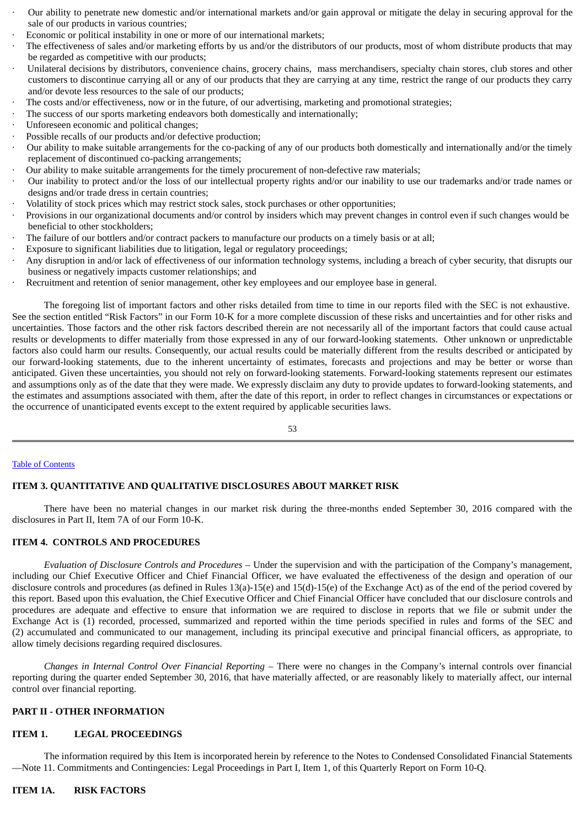- · Our ability to penetrate new domestic and/or international markets and/or gain approval or mitigate the delay in securing approval for the sale of our products in various countries;
- Economic or political instability in one or more of our international markets;
- The effectiveness of sales and/or marketing efforts by us and/or the distributors of our products, most of whom distribute products that may be regarded as competitive with our products;
- · Unilateral decisions by distributors, convenience chains, grocery chains, mass merchandisers, specialty chain stores, club stores and other customers to discontinue carrying all or any of our products that they are carrying at any time, restrict the range of our products they carry and/or devote less resources to the sale of our products;
- The costs and/or effectiveness, now or in the future, of our advertising, marketing and promotional strategies;
- The success of our sports marketing endeavors both domestically and internationally;
- Unforeseen economic and political changes;
- Possible recalls of our products and/or defective production;
- · Our ability to make suitable arrangements for the co-packing of any of our products both domestically and internationally and/or the timely replacement of discontinued co-packing arrangements;
- · Our ability to make suitable arrangements for the timely procurement of non-defective raw materials;
- · Our inability to protect and/or the loss of our intellectual property rights and/or our inability to use our trademarks and/or trade names or designs and/or trade dress in certain countries;
- · Volatility of stock prices which may restrict stock sales, stock purchases or other opportunities;
- · Provisions in our organizational documents and/or control by insiders which may prevent changes in control even if such changes would be beneficial to other stockholders;
- · The failure of our bottlers and/or contract packers to manufacture our products on a timely basis or at all;
- · Exposure to significant liabilities due to litigation, legal or regulatory proceedings;
- · Any disruption in and/or lack of effectiveness of our information technology systems, including a breach of cyber security, that disrupts our business or negatively impacts customer relationships; and
- Recruitment and retention of senior management, other key employees and our employee base in general.

The foregoing list of important factors and other risks detailed from time to time in our reports filed with the SEC is not exhaustive. See the section entitled "Risk Factors" in our Form 10-K for a more complete discussion of these risks and uncertainties and for other risks and uncertainties. Those factors and the other risk factors described therein are not necessarily all of the important factors that could cause actual results or developments to differ materially from those expressed in any of our forward-looking statements. Other unknown or unpredictable factors also could harm our results. Consequently, our actual results could be materially different from the results described or anticipated by our forward-looking statements, due to the inherent uncertainty of estimates, forecasts and projections and may be better or worse than anticipated. Given these uncertainties, you should not rely on forward-looking statements. Forward-looking statements represent our estimates and assumptions only as of the date that they were made. We expressly disclaim any duty to provide updates to forward-looking statements, and the estimates and assumptions associated with them, after the date of this report, in order to reflect changes in circumstances or expectations or the occurrence of unanticipated events except to the extent required by applicable securities laws.

<span id="page-36-1"></span><span id="page-36-0"></span>53

#### Table of [Contents](#page-0-0)

# **ITEM 3. QUANTITATIVE AND QUALITATIVE DISCLOSURES ABOUT MARKET RISK**

There have been no material changes in our market risk during the three-months ended September 30, 2016 compared with the disclosures in Part II, Item 7A of our Form 10-K.

### **ITEM 4. CONTROLS AND PROCEDURES**

*Evaluation of Disclosure Controls and Procedures* – Under the supervision and with the participation of the Company's management, including our Chief Executive Officer and Chief Financial Officer, we have evaluated the effectiveness of the design and operation of our disclosure controls and procedures (as defined in Rules 13(a)-15(e) and 15(d)-15(e) of the Exchange Act) as of the end of the period covered by this report. Based upon this evaluation, the Chief Executive Officer and Chief Financial Officer have concluded that our disclosure controls and procedures are adequate and effective to ensure that information we are required to disclose in reports that we file or submit under the Exchange Act is (1) recorded, processed, summarized and reported within the time periods specified in rules and forms of the SEC and (2) accumulated and communicated to our management, including its principal executive and principal financial officers, as appropriate, to allow timely decisions regarding required disclosures.

*Changes in Internal Control Over Financial Reporting* – There were no changes in the Company's internal controls over financial reporting during the quarter ended September 30, 2016, that have materially affected, or are reasonably likely to materially affect, our internal control over financial reporting.

### <span id="page-36-2"></span>**PART II - OTHER INFORMATION**

# <span id="page-36-3"></span>**ITEM 1. LEGAL PROCEEDINGS**

The information required by this Item is incorporated herein by reference to the Notes to Condensed Consolidated Financial Statements —Note 11. Commitments and Contingencies: Legal Proceedings in Part I, Item 1, of this Quarterly Report on Form 10-Q.

# <span id="page-36-4"></span>**ITEM 1A. RISK FACTORS**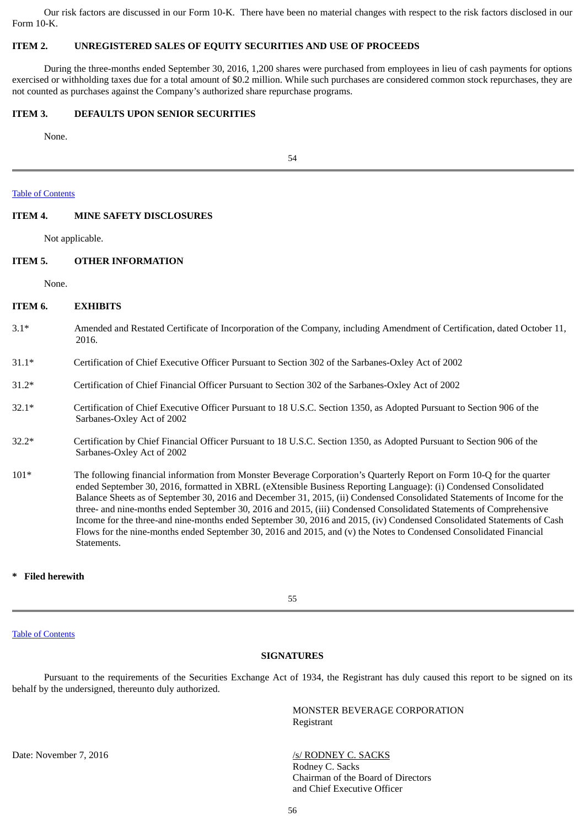Our risk factors are discussed in our Form 10-K. There have been no material changes with respect to the risk factors disclosed in our Form 10-K.

### **ITEM 2. UNREGISTERED SALES OF EQUITY SECURITIES AND USE OF PROCEEDS**

During the three-months ended September 30, 2016, 1,200 shares were purchased from employees in lieu of cash payments for options exercised or withholding taxes due for a total amount of \$0.2 million. While such purchases are considered common stock repurchases, they are not counted as purchases against the Company's authorized share repurchase programs.

# **ITEM 3. DEFAULTS UPON SENIOR SECURITIES**

None.

<span id="page-37-2"></span><span id="page-37-1"></span><span id="page-37-0"></span>54

Table of [Contents](#page-0-0)

#### **ITEM 4. MINE SAFETY DISCLOSURES**

<span id="page-37-3"></span>Not applicable.

#### **ITEM 5. OTHER INFORMATION**

<span id="page-37-4"></span>None.

### **ITEM 6. EXHIBITS**

- 3.1\* Amended and Restated Certificate of Incorporation of the Company, including Amendment of Certification, dated October 11, 2016.
- 31.1\* Certification of Chief Executive Officer Pursuant to Section 302 of the Sarbanes-Oxley Act of 2002
- 31.2\* Certification of Chief Financial Officer Pursuant to Section 302 of the Sarbanes-Oxley Act of 2002
- 32.1\* Certification of Chief Executive Officer Pursuant to 18 U.S.C. Section 1350, as Adopted Pursuant to Section 906 of the Sarbanes-Oxley Act of 2002
- 32.2\* Certification by Chief Financial Officer Pursuant to 18 U.S.C. Section 1350, as Adopted Pursuant to Section 906 of the Sarbanes-Oxley Act of 2002
- 101\* The following financial information from Monster Beverage Corporation's Quarterly Report on Form 10-Q for the quarter ended September 30, 2016, formatted in XBRL (eXtensible Business Reporting Language): (i) Condensed Consolidated Balance Sheets as of September 30, 2016 and December 31, 2015, (ii) Condensed Consolidated Statements of Income for the three- and nine-months ended September 30, 2016 and 2015, (iii) Condensed Consolidated Statements of Comprehensive Income for the three-and nine-months ended September 30, 2016 and 2015, (iv) Condensed Consolidated Statements of Cash Flows for the nine-months ended September 30, 2016 and 2015, and (v) the Notes to Condensed Consolidated Financial Statements.

**\* Filed herewith**

55

### Table of [Contents](#page-0-0)

#### <span id="page-37-5"></span>**SIGNATURES**

Pursuant to the requirements of the Securities Exchange Act of 1934, the Registrant has duly caused this report to be signed on its behalf by the undersigned, thereunto duly authorized.

> MONSTER BEVERAGE CORPORATION Registrant

Date: November 7, 2016 */s/ RODNEY C. SACKS* Rodney C. Sacks Chairman of the Board of Directors and Chief Executive Officer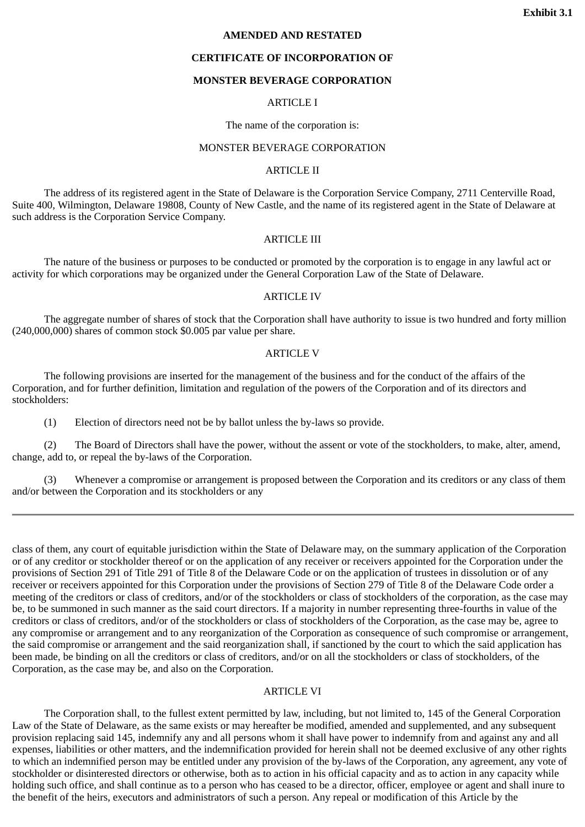### **AMENDED AND RESTATED**

### **CERTIFICATE OF INCORPORATION OF**

# **MONSTER BEVERAGE CORPORATION**

# ARTICLE I

### The name of the corporation is:

# MONSTER BEVERAGE CORPORATION

### ARTICLE II

The address of its registered agent in the State of Delaware is the Corporation Service Company, 2711 Centerville Road, Suite 400, Wilmington, Delaware 19808, County of New Castle, and the name of its registered agent in the State of Delaware at such address is the Corporation Service Company.

### ARTICLE III

The nature of the business or purposes to be conducted or promoted by the corporation is to engage in any lawful act or activity for which corporations may be organized under the General Corporation Law of the State of Delaware.

# ARTICLE IV

The aggregate number of shares of stock that the Corporation shall have authority to issue is two hundred and forty million (240,000,000) shares of common stock \$0.005 par value per share.

# ARTICLE V

The following provisions are inserted for the management of the business and for the conduct of the affairs of the Corporation, and for further definition, limitation and regulation of the powers of the Corporation and of its directors and stockholders:

(1) Election of directors need not be by ballot unless the by-laws so provide.

(2) The Board of Directors shall have the power, without the assent or vote of the stockholders, to make, alter, amend, change, add to, or repeal the by-laws of the Corporation.

Whenever a compromise or arrangement is proposed between the Corporation and its creditors or any class of them and/or between the Corporation and its stockholders or any

class of them, any court of equitable jurisdiction within the State of Delaware may, on the summary application of the Corporation or of any creditor or stockholder thereof or on the application of any receiver or receivers appointed for the Corporation under the provisions of Section 291 of Title 291 of Title 8 of the Delaware Code or on the application of trustees in dissolution or of any receiver or receivers appointed for this Corporation under the provisions of Section 279 of Title 8 of the Delaware Code order a meeting of the creditors or class of creditors, and/or of the stockholders or class of stockholders of the corporation, as the case may be, to be summoned in such manner as the said court directors. If a majority in number representing three-fourths in value of the creditors or class of creditors, and/or of the stockholders or class of stockholders of the Corporation, as the case may be, agree to any compromise or arrangement and to any reorganization of the Corporation as consequence of such compromise or arrangement, the said compromise or arrangement and the said reorganization shall, if sanctioned by the court to which the said application has been made, be binding on all the creditors or class of creditors, and/or on all the stockholders or class of stockholders, of the Corporation, as the case may be, and also on the Corporation.

# ARTICLE VI

The Corporation shall, to the fullest extent permitted by law, including, but not limited to, 145 of the General Corporation Law of the State of Delaware, as the same exists or may hereafter be modified, amended and supplemented, and any subsequent provision replacing said 145, indemnify any and all persons whom it shall have power to indemnify from and against any and all expenses, liabilities or other matters, and the indemnification provided for herein shall not be deemed exclusive of any other rights to which an indemnified person may be entitled under any provision of the by-laws of the Corporation, any agreement, any vote of stockholder or disinterested directors or otherwise, both as to action in his official capacity and as to action in any capacity while holding such office, and shall continue as to a person who has ceased to be a director, officer, employee or agent and shall inure to the benefit of the heirs, executors and administrators of such a person. Any repeal or modification of this Article by the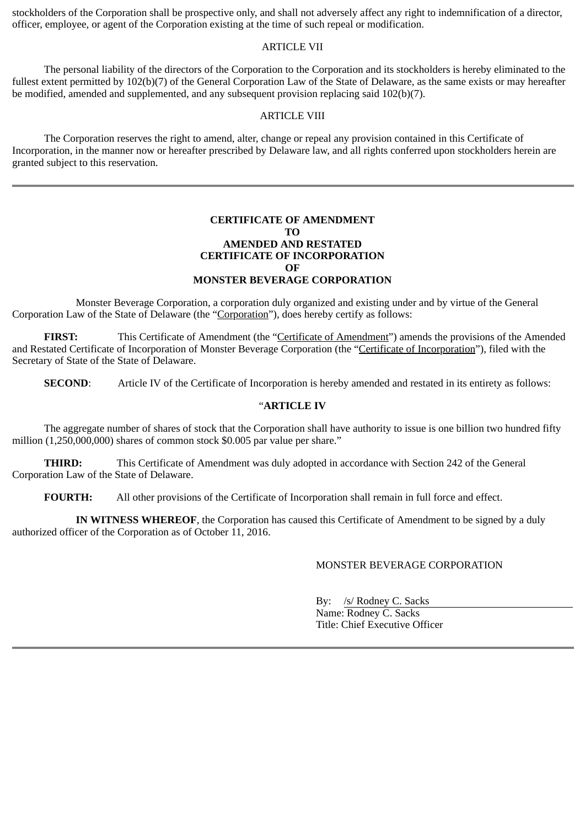stockholders of the Corporation shall be prospective only, and shall not adversely affect any right to indemnification of a director, officer, employee, or agent of the Corporation existing at the time of such repeal or modification.

# ARTICLE VII

The personal liability of the directors of the Corporation to the Corporation and its stockholders is hereby eliminated to the fullest extent permitted by 102(b)(7) of the General Corporation Law of the State of Delaware, as the same exists or may hereafter be modified, amended and supplemented, and any subsequent provision replacing said 102(b)(7).

### ARTICLE VIII

The Corporation reserves the right to amend, alter, change or repeal any provision contained in this Certificate of Incorporation, in the manner now or hereafter prescribed by Delaware law, and all rights conferred upon stockholders herein are granted subject to this reservation.

# **CERTIFICATE OF AMENDMENT TO AMENDED AND RESTATED CERTIFICATE OF INCORPORATION OF MONSTER BEVERAGE CORPORATION**

Monster Beverage Corporation, a corporation duly organized and existing under and by virtue of the General Corporation Law of the State of Delaware (the "Corporation"), does hereby certify as follows:

**FIRST:** This Certificate of Amendment (the "Certificate of Amendment") amends the provisions of the Amended and Restated Certificate of Incorporation of Monster Beverage Corporation (the "Certificate of Incorporation"), filed with the Secretary of State of the State of Delaware.

**SECOND:** Article IV of the Certificate of Incorporation is hereby amended and restated in its entirety as follows:

# "**ARTICLE IV**

The aggregate number of shares of stock that the Corporation shall have authority to issue is one billion two hundred fifty million (1,250,000,000) shares of common stock \$0.005 par value per share."

**THIRD:** This Certificate of Amendment was duly adopted in accordance with Section 242 of the General Corporation Law of the State of Delaware.

**FOURTH:** All other provisions of the Certificate of Incorporation shall remain in full force and effect.

**IN WITNESS WHEREOF**, the Corporation has caused this Certificate of Amendment to be signed by a duly authorized officer of the Corporation as of October 11, 2016.

# MONSTER BEVERAGE CORPORATION

By: /s/ Rodney C. Sacks Name: Rodney C. Sacks Title: Chief Executive Officer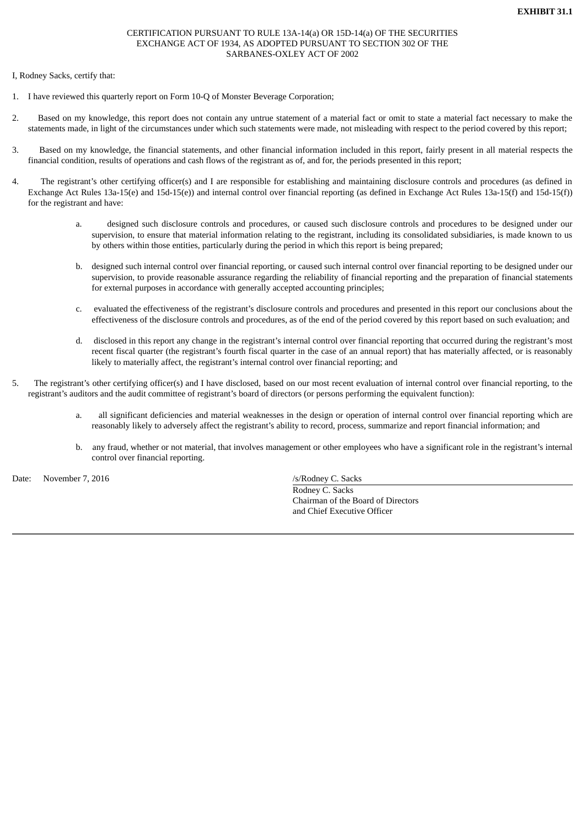### CERTIFICATION PURSUANT TO RULE 13A-14(a) OR 15D-14(a) OF THE SECURITIES EXCHANGE ACT OF 1934, AS ADOPTED PURSUANT TO SECTION 302 OF THE SARBANES-OXLEY ACT OF 2002

I, Rodney Sacks, certify that:

- 1. I have reviewed this quarterly report on Form 10-Q of Monster Beverage Corporation;
- 2. Based on my knowledge, this report does not contain any untrue statement of a material fact or omit to state a material fact necessary to make the statements made, in light of the circumstances under which such statements were made, not misleading with respect to the period covered by this report;
- 3. Based on my knowledge, the financial statements, and other financial information included in this report, fairly present in all material respects the financial condition, results of operations and cash flows of the registrant as of, and for, the periods presented in this report;
- 4. The registrant's other certifying officer(s) and I are responsible for establishing and maintaining disclosure controls and procedures (as defined in Exchange Act Rules 13a-15(e) and 15d-15(e)) and internal control over financial reporting (as defined in Exchange Act Rules 13a-15(f) and 15d-15(f)) for the registrant and have:
	- a. designed such disclosure controls and procedures, or caused such disclosure controls and procedures to be designed under our supervision, to ensure that material information relating to the registrant, including its consolidated subsidiaries, is made known to us by others within those entities, particularly during the period in which this report is being prepared;
	- b. designed such internal control over financial reporting, or caused such internal control over financial reporting to be designed under our supervision, to provide reasonable assurance regarding the reliability of financial reporting and the preparation of financial statements for external purposes in accordance with generally accepted accounting principles;
	- c. evaluated the effectiveness of the registrant's disclosure controls and procedures and presented in this report our conclusions about the effectiveness of the disclosure controls and procedures, as of the end of the period covered by this report based on such evaluation; and
	- d. disclosed in this report any change in the registrant's internal control over financial reporting that occurred during the registrant's most recent fiscal quarter (the registrant's fourth fiscal quarter in the case of an annual report) that has materially affected, or is reasonably likely to materially affect, the registrant's internal control over financial reporting; and
- 5. The registrant's other certifying officer(s) and I have disclosed, based on our most recent evaluation of internal control over financial reporting, to the registrant's auditors and the audit committee of registrant's board of directors (or persons performing the equivalent function):
	- a. all significant deficiencies and material weaknesses in the design or operation of internal control over financial reporting which are reasonably likely to adversely affect the registrant's ability to record, process, summarize and report financial information; and
	- b. any fraud, whether or not material, that involves management or other employees who have a significant role in the registrant's internal control over financial reporting.

Date: November 7, 2016 /s/Rodney C. Sacks

Rodney C. Sacks Chairman of the Board of Directors and Chief Executive Officer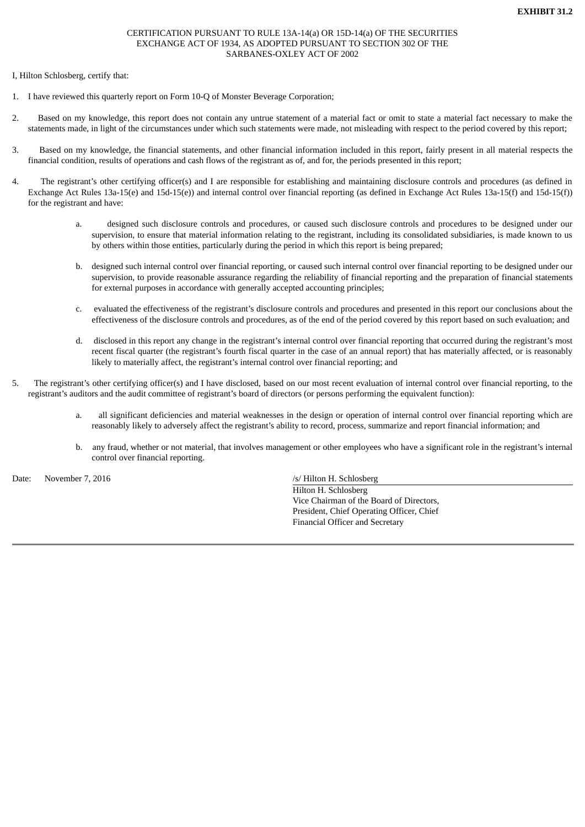### CERTIFICATION PURSUANT TO RULE 13A-14(a) OR 15D-14(a) OF THE SECURITIES EXCHANGE ACT OF 1934, AS ADOPTED PURSUANT TO SECTION 302 OF THE SARBANES-OXLEY ACT OF 2002

### I, Hilton Schlosberg, certify that:

- 1. I have reviewed this quarterly report on Form 10-Q of Monster Beverage Corporation;
- 2. Based on my knowledge, this report does not contain any untrue statement of a material fact or omit to state a material fact necessary to make the statements made, in light of the circumstances under which such statements were made, not misleading with respect to the period covered by this report;
- 3. Based on my knowledge, the financial statements, and other financial information included in this report, fairly present in all material respects the financial condition, results of operations and cash flows of the registrant as of, and for, the periods presented in this report;
- 4. The registrant's other certifying officer(s) and I are responsible for establishing and maintaining disclosure controls and procedures (as defined in Exchange Act Rules 13a-15(e) and 15d-15(e)) and internal control over financial reporting (as defined in Exchange Act Rules 13a-15(f) and 15d-15(f)) for the registrant and have:
	- a. designed such disclosure controls and procedures, or caused such disclosure controls and procedures to be designed under our supervision, to ensure that material information relating to the registrant, including its consolidated subsidiaries, is made known to us by others within those entities, particularly during the period in which this report is being prepared;
	- b. designed such internal control over financial reporting, or caused such internal control over financial reporting to be designed under our supervision, to provide reasonable assurance regarding the reliability of financial reporting and the preparation of financial statements for external purposes in accordance with generally accepted accounting principles;
	- c. evaluated the effectiveness of the registrant's disclosure controls and procedures and presented in this report our conclusions about the effectiveness of the disclosure controls and procedures, as of the end of the period covered by this report based on such evaluation; and
	- d. disclosed in this report any change in the registrant's internal control over financial reporting that occurred during the registrant's most recent fiscal quarter (the registrant's fourth fiscal quarter in the case of an annual report) that has materially affected, or is reasonably likely to materially affect, the registrant's internal control over financial reporting; and
- 5. The registrant's other certifying officer(s) and I have disclosed, based on our most recent evaluation of internal control over financial reporting, to the registrant's auditors and the audit committee of registrant's board of directors (or persons performing the equivalent function):
	- a. all significant deficiencies and material weaknesses in the design or operation of internal control over financial reporting which are reasonably likely to adversely affect the registrant's ability to record, process, summarize and report financial information; and
	- b. any fraud, whether or not material, that involves management or other employees who have a significant role in the registrant's internal control over financial reporting.

Date: November 7, 2016 /s/ Hilton H. Schlosberg

Hilton H. Schlosberg Vice Chairman of the Board of Directors, President, Chief Operating Officer, Chief Financial Officer and Secretary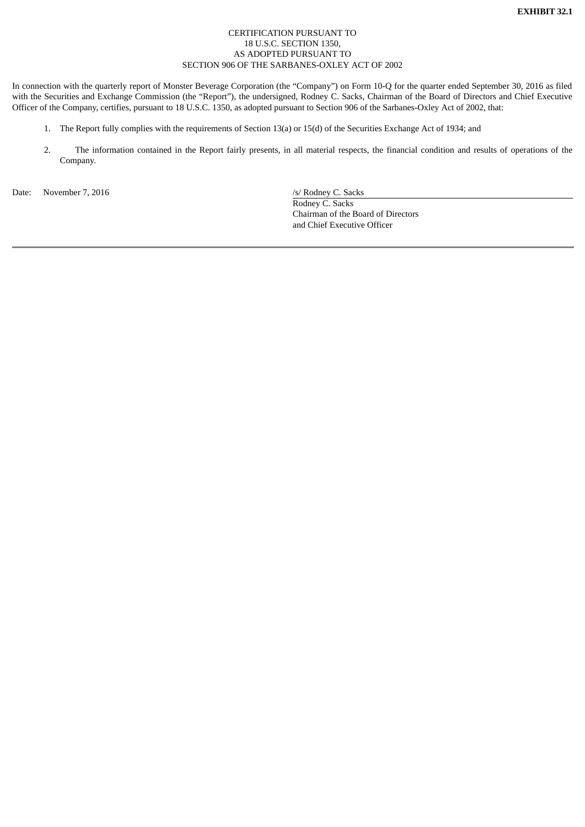### CERTIFICATION PURSUANT TO 18 U.S.C. SECTION 1350, AS ADOPTED PURSUANT TO SECTION 906 OF THE SARBANES-OXLEY ACT OF 2002

In connection with the quarterly report of Monster Beverage Corporation (the "Company") on Form 10-Q for the quarter ended September 30, 2016 as filed with the Securities and Exchange Commission (the "Report"), the undersigned, Rodney C. Sacks, Chairman of the Board of Directors and Chief Executive Officer of the Company, certifies, pursuant to 18 U.S.C. 1350, as adopted pursuant to Section 906 of the Sarbanes-Oxley Act of 2002, that:

- 1. The Report fully complies with the requirements of Section 13(a) or 15(d) of the Securities Exchange Act of 1934; and
- 2. The information contained in the Report fairly presents, in all material respects, the financial condition and results of operations of the Company.

Date: November 7, 2016 /s/ Rodney C. Sacks

Rodney C. Sacks Chairman of the Board of Directors and Chief Executive Officer